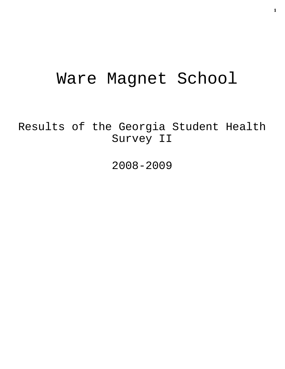# Ware Magnet School

Results of the Georgia Student Health Survey II

2008-2009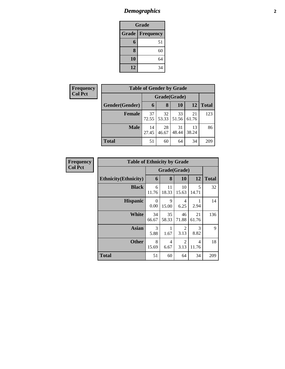# *Demographics* **2**

| Grade                            |    |  |  |  |  |
|----------------------------------|----|--|--|--|--|
| <b>Grade</b><br><b>Frequency</b> |    |  |  |  |  |
| 6                                | 51 |  |  |  |  |
| 8                                | 60 |  |  |  |  |
| 10                               | 64 |  |  |  |  |
| 12                               | 34 |  |  |  |  |

| <b>Frequency</b> | <b>Table of Gender by Grade</b> |             |              |             |             |              |  |  |
|------------------|---------------------------------|-------------|--------------|-------------|-------------|--------------|--|--|
| <b>Col Pct</b>   |                                 |             | Grade(Grade) |             |             |              |  |  |
|                  | Gender(Gender)                  | 6           | 8            | 10          | 12          | <b>Total</b> |  |  |
|                  | <b>Female</b>                   | 37<br>72.55 | 32<br>53.33  | 33<br>51.56 | 21<br>61.76 | 123          |  |  |
|                  | <b>Male</b>                     | 14<br>27.45 | 28<br>46.67  | 31<br>48.44 | 13<br>38.24 | 86           |  |  |
|                  | <b>Total</b>                    | 51          | 60           | 64          | 34          | 209          |  |  |

| <b>Frequency</b> | <b>Table of Ethnicity by Grade</b> |                  |             |                        |                       |              |
|------------------|------------------------------------|------------------|-------------|------------------------|-----------------------|--------------|
| <b>Col Pct</b>   |                                    | Grade(Grade)     |             |                        |                       |              |
|                  | <b>Ethnicity</b> (Ethnicity)       | 6                | 8           | 10                     | 12                    | <b>Total</b> |
|                  | <b>Black</b>                       | 6<br>11.76       | 11<br>18.33 | 10<br>15.63            | 5<br>14.71            | 32           |
|                  | <b>Hispanic</b>                    | $\theta$<br>0.00 | 9<br>15.00  | 4<br>6.25              | 2.94                  | 14           |
|                  | <b>White</b>                       | 34<br>66.67      | 35<br>58.33 | 46<br>71.88            | 21<br>61.76           | 136          |
|                  | <b>Asian</b>                       | 3<br>5.88        | 1.67        | 2<br>3.13              | $\mathcal{R}$<br>8.82 | 9            |
|                  | <b>Other</b>                       | 8<br>15.69       | 4<br>6.67   | $\overline{2}$<br>3.13 | 4<br>11.76            | 18           |
|                  | <b>Total</b>                       | 51               | 60          | 64                     | 34                    | 209          |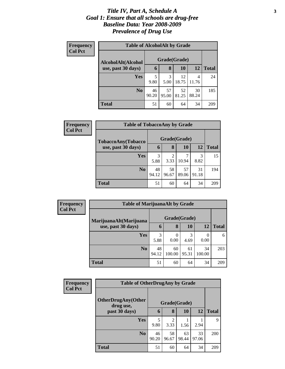### *Title IV, Part A, Schedule A* **3** *Goal 1: Ensure that all schools are drug-free Baseline Data: Year 2008-2009 Prevalence of Drug Use*

| Frequency<br><b>Col Pct</b> | <b>Table of AlcoholAlt by Grade</b> |              |             |             |             |              |  |  |  |
|-----------------------------|-------------------------------------|--------------|-------------|-------------|-------------|--------------|--|--|--|
|                             | AlcoholAlt(Alcohol                  | Grade(Grade) |             |             |             |              |  |  |  |
|                             | use, past 30 days)                  | 6            | 8           | <b>10</b>   | 12          | <b>Total</b> |  |  |  |
|                             | Yes                                 | 5<br>9.80    | 3<br>5.00   | 12<br>18.75 | 4<br>11.76  | 24           |  |  |  |
|                             | N <sub>0</sub>                      | 46<br>90.20  | 57<br>95.00 | 52<br>81.25 | 30<br>88.24 | 185          |  |  |  |
|                             | Total                               | 51           | 60          | 64          | 34          | 209          |  |  |  |

| <b>Frequency</b><br><b>Col Pct</b> | <b>Table of TobaccoAny by Grade</b> |              |             |             |             |              |  |
|------------------------------------|-------------------------------------|--------------|-------------|-------------|-------------|--------------|--|
|                                    | TobaccoAny(Tobacco                  | Grade(Grade) |             |             |             |              |  |
|                                    | use, past 30 days)                  | 6            | 8           | 10          | 12          | <b>Total</b> |  |
|                                    | <b>Yes</b>                          | 3<br>5.88    | 2<br>3.33   | 10.94       | 3<br>8.82   | 15           |  |
|                                    | N <sub>0</sub>                      | 48<br>94.12  | 58<br>96.67 | 57<br>89.06 | 31<br>91.18 | 194          |  |
|                                    | <b>Total</b>                        | 51           | 60          | 64          | 34          | 209          |  |

| Frequency<br><b>Col Pct</b> | <b>Table of MarijuanaAlt by Grade</b> |             |              |             |              |              |
|-----------------------------|---------------------------------------|-------------|--------------|-------------|--------------|--------------|
|                             | MarijuanaAlt(Marijuana                |             | Grade(Grade) |             |              |              |
|                             | use, past 30 days)                    | 6           | 8            | <b>10</b>   | 12           | <b>Total</b> |
|                             | <b>Yes</b>                            | 3<br>5.88   | 0<br>0.00    | 3<br>4.69   | 0<br>0.00    | 6            |
|                             | N <sub>0</sub>                        | 48<br>94.12 | 60<br>100.00 | 61<br>95.31 | 34<br>100.00 | 203          |
|                             | <b>Total</b>                          | 51          | 60           | 64          | 34           | 209          |

| <b>Frequency</b> | <b>Table of OtherDrugAny by Grade</b> |             |                        |             |             |              |
|------------------|---------------------------------------|-------------|------------------------|-------------|-------------|--------------|
| <b>Col Pct</b>   | OtherDrugAny(Other<br>drug use,       |             | Grade(Grade)           |             |             |              |
|                  | past 30 days)                         | 6           | 8                      | 10          | 12          | <b>Total</b> |
|                  | <b>Yes</b>                            | 5<br>9.80   | $\mathfrak{D}$<br>3.33 | 1.56        | 2.94        | 9            |
|                  | N <sub>0</sub>                        | 46<br>90.20 | 58<br>96.67            | 63<br>98.44 | 33<br>97.06 | 200          |
|                  | <b>Total</b>                          | 51          | 60                     | 64          | 34          | 209          |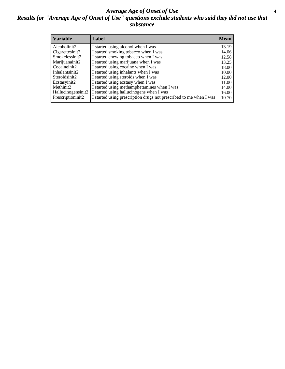### *Average Age of Onset of Use* **4** *Results for "Average Age of Onset of Use" questions exclude students who said they did not use that substance*

| <b>Variable</b>    | Label                                                              | <b>Mean</b> |
|--------------------|--------------------------------------------------------------------|-------------|
| Alcoholinit2       | I started using alcohol when I was                                 | 13.19       |
| Cigarettesinit2    | I started smoking tobacco when I was                               | 14.06       |
| Smokelessinit2     | I started chewing tobacco when I was                               | 12.58       |
| Marijuanainit2     | I started using marijuana when I was                               | 13.25       |
| Cocaineinit2       | I started using cocaine when I was                                 | 18.00       |
| Inhalantsinit2     | I started using inhalants when I was                               | 10.00       |
| Steroidsinit2      | I started using steroids when I was                                | 12.00       |
| Ecstasyinit2       | I started using ecstasy when I was                                 | 11.00       |
| Methinit2          | I started using methamphetamines when I was                        | 14.00       |
| Hallucinogensinit2 | I started using hallucinogens when I was                           | 16.00       |
| Prescriptioninit2  | I started using prescription drugs not prescribed to me when I was | 10.70       |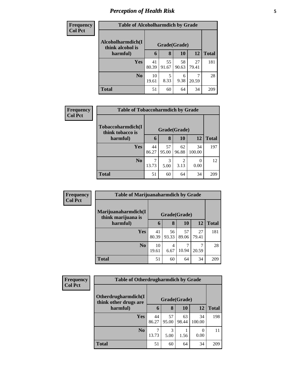# *Perception of Health Risk* **5**

| <b>Frequency</b> | <b>Table of Alcoholharmdich by Grade</b> |             |              |             |             |              |  |
|------------------|------------------------------------------|-------------|--------------|-------------|-------------|--------------|--|
| <b>Col Pct</b>   | Alcoholharmdich(I<br>think alcohol is    |             | Grade(Grade) |             |             |              |  |
|                  | harmful)                                 | 6           | 8            | 10          | 12          | <b>Total</b> |  |
|                  | <b>Yes</b>                               | 41<br>80.39 | 55<br>91.67  | 58<br>90.63 | 27<br>79.41 | 181          |  |
|                  | N <sub>0</sub>                           | 10<br>19.61 | 5<br>8.33    | 6<br>9.38   | 20.59       | 28           |  |
|                  | <b>Total</b>                             | 51          | 60           | 64          | 34          | 209          |  |

| <b>Frequency</b> | <b>Table of Tobaccoharmdich by Grade</b> |             |              |             |              |              |  |  |
|------------------|------------------------------------------|-------------|--------------|-------------|--------------|--------------|--|--|
| <b>Col Pct</b>   | Tobaccoharmdich(I<br>think tobacco is    |             | Grade(Grade) |             |              |              |  |  |
|                  | harmful)                                 | 6           | 8            | <b>10</b>   | 12           | <b>Total</b> |  |  |
|                  | <b>Yes</b>                               | 44<br>86.27 | 57<br>95.00  | 62<br>96.88 | 34<br>100.00 | 197          |  |  |
|                  | N <sub>0</sub>                           | 13.73       | 3<br>5.00    | ◠<br>3.13   | 0.00         | 12           |  |  |
|                  | <b>Total</b>                             | 51          | 60           | 64          | 34           | 209          |  |  |

| Frequency      | <b>Table of Marijuanaharmdich by Grade</b> |             |              |             |             |              |
|----------------|--------------------------------------------|-------------|--------------|-------------|-------------|--------------|
| <b>Col Pct</b> | Marijuanaharmdich(I<br>think marijuana is  |             | Grade(Grade) |             |             |              |
|                | harmful)                                   | 6           | 8            | 10          | <b>12</b>   | <b>Total</b> |
|                | <b>Yes</b>                                 | 41<br>80.39 | 56<br>93.33  | 57<br>89.06 | 27<br>79.41 | 181          |
|                | N <sub>0</sub>                             | 10<br>19.61 | 4<br>6.67    | 10.94       | 20.59       | 28           |
|                | <b>Total</b>                               | 51          | 60           | 64          | 34          | 209          |

| Frequency      | <b>Table of Otherdrugharmdich by Grade</b>   |             |              |             |              |              |
|----------------|----------------------------------------------|-------------|--------------|-------------|--------------|--------------|
| <b>Col Pct</b> | Otherdrugharmdich(I<br>think other drugs are |             | Grade(Grade) |             |              |              |
|                | harmful)                                     | 6           | 8            | 10          | 12           | <b>Total</b> |
|                | Yes                                          | 44<br>86.27 | 57<br>95.00  | 63<br>98.44 | 34<br>100.00 | 198          |
|                | N <sub>0</sub>                               | ⇁<br>13.73  | 3<br>5.00    | 1.56        | 0.00         | 11           |
|                | <b>Total</b>                                 | 51          | 60           | 64          | 34           | 209          |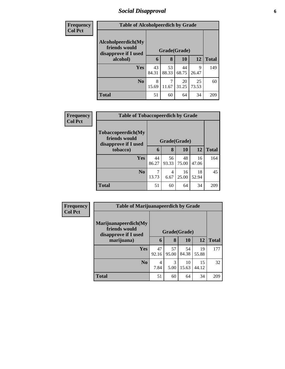# *Social Disapproval* **6**

| <b>Frequency</b> | <b>Table of Alcoholpeerdich by Grade</b> |       |              |       |       |              |  |
|------------------|------------------------------------------|-------|--------------|-------|-------|--------------|--|
| <b>Col Pct</b>   |                                          |       |              |       |       |              |  |
|                  | Alcoholpeerdich(My<br>friends would      |       |              |       |       |              |  |
|                  | disapprove if I used                     |       | Grade(Grade) |       |       |              |  |
|                  | alcohol)                                 | 6     | 8            | 10    | 12    | <b>Total</b> |  |
|                  | Yes                                      | 43    | 53           | 44    | Q     | 149          |  |
|                  |                                          | 84.31 | 88.33        | 68.75 | 26.47 |              |  |
|                  | N <sub>0</sub>                           | 8     |              | 20    | 25    | 60           |  |
|                  |                                          | 15.69 | 11.67        | 31.25 | 73.53 |              |  |
|                  | <b>Total</b>                             | 51    | 60           | 64    | 34    | 209          |  |

| <b>Frequency</b> | <b>Table of Tobaccopeerdich by Grade</b>                    |             |              |             |             |              |
|------------------|-------------------------------------------------------------|-------------|--------------|-------------|-------------|--------------|
| <b>Col Pct</b>   | Tobaccopeerdich(My<br>friends would<br>disapprove if I used |             | Grade(Grade) |             |             |              |
|                  | tobacco)                                                    | 6           | 8            | 10          | 12          | <b>Total</b> |
|                  | <b>Yes</b>                                                  | 44<br>86.27 | 56<br>93.33  | 48<br>75.00 | 16<br>47.06 | 164          |
|                  | N <sub>o</sub>                                              | 7<br>13.73  | 4<br>6.67    | 16<br>25.00 | 18<br>52.94 | 45           |
|                  | <b>Total</b>                                                | 51          | 60           | 64          | 34          | 209          |

| Frequency      | <b>Table of Marijuanapeerdich by Grade</b>                    |             |              |             |             |              |
|----------------|---------------------------------------------------------------|-------------|--------------|-------------|-------------|--------------|
| <b>Col Pct</b> | Marijuanapeerdich(My<br>friends would<br>disapprove if I used |             | Grade(Grade) |             |             |              |
|                | marijuana)                                                    | 6           | 8            | 10          | 12          | <b>Total</b> |
|                | <b>Yes</b>                                                    | 47<br>92.16 | 57<br>95.00  | 54<br>84.38 | 19<br>55.88 | 177          |
|                | N <sub>o</sub>                                                | 4<br>7.84   | 3<br>5.00    | 10<br>15.63 | 15<br>44.12 | 32           |
|                | <b>Total</b>                                                  | 51          | 60           | 64          | 34          | 209          |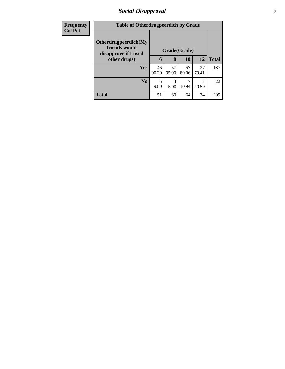# *Social Disapproval* **7**

| <b>Frequency</b> | <b>Table of Otherdrugpeerdich by Grade</b>                    |             |              |             |             |              |
|------------------|---------------------------------------------------------------|-------------|--------------|-------------|-------------|--------------|
| <b>Col Pct</b>   | Otherdrugpeerdich(My<br>friends would<br>disapprove if I used |             | Grade(Grade) |             |             |              |
|                  | other drugs)                                                  | 6           | 8            | <b>10</b>   | <b>12</b>   | <b>Total</b> |
|                  | Yes                                                           | 46<br>90.20 | 57<br>95.00  | 57<br>89.06 | 27<br>79.41 | 187          |
|                  | N <sub>0</sub>                                                | 5<br>9.80   | 3<br>5.00    | 10.94       | 20.59       | 22           |
|                  | <b>Total</b>                                                  | 51          | 60           | 64          | 34          | 209          |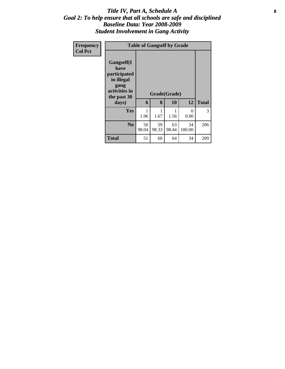### Title IV, Part A, Schedule A **8** *Goal 2: To help ensure that all schools are safe and disciplined Baseline Data: Year 2008-2009 Student Involvement in Gang Activity*

| Frequency<br><b>Col Pct</b> | <b>Table of Gangself by Grade</b>                                                                 |             |             |                    |              |              |  |
|-----------------------------|---------------------------------------------------------------------------------------------------|-------------|-------------|--------------------|--------------|--------------|--|
|                             | Gangself(I<br>have<br>participated<br>in illegal<br>gang<br>activities in<br>the past 30<br>days) | 6           | 8           | Grade(Grade)<br>10 | 12           | <b>Total</b> |  |
|                             | Yes                                                                                               | 1.96        | 1.67        | 1.56               | 0<br>0.00    | 3            |  |
|                             | N <sub>0</sub>                                                                                    | 50<br>98.04 | 59<br>98.33 | 63<br>98.44        | 34<br>100.00 | 206          |  |
|                             | <b>Total</b>                                                                                      | 51          | 60          | 64                 | 34           | 209          |  |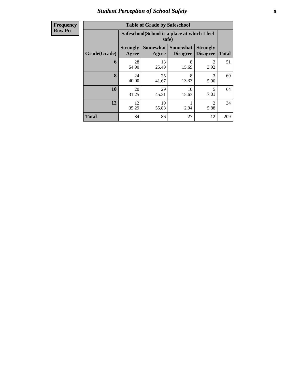# *Student Perception of School Safety* **9**

| <b>Frequency</b><br>Row Pct |
|-----------------------------|
|                             |

| <b>Table of Grade by Safeschool</b> |                          |                                                        |                                    |                                    |              |  |  |  |  |
|-------------------------------------|--------------------------|--------------------------------------------------------|------------------------------------|------------------------------------|--------------|--|--|--|--|
|                                     |                          | Safeschool (School is a place at which I feel<br>safe) |                                    |                                    |              |  |  |  |  |
| Grade(Grade)                        | <b>Strongly</b><br>Agree | <b>Somewhat</b><br>Agree                               | <b>Somewhat</b><br><b>Disagree</b> | <b>Strongly</b><br><b>Disagree</b> | <b>Total</b> |  |  |  |  |
| 6                                   | 28<br>54.90              | 13<br>25.49                                            | 8<br>15.69                         | 2<br>3.92                          | 51           |  |  |  |  |
| 8                                   | 24<br>40.00              | 25<br>41.67                                            | 8<br>13.33                         | 3<br>5.00                          | 60           |  |  |  |  |
| 10                                  | 20<br>31.25              | 29<br>45.31                                            | 10<br>15.63                        | 5<br>7.81                          | 64           |  |  |  |  |
| 12                                  | 12<br>35.29              | 19<br>2<br>2.94<br>55.88<br>5.88                       |                                    |                                    |              |  |  |  |  |
| <b>Total</b>                        | 84                       | 86                                                     | 27                                 | 12                                 | 209          |  |  |  |  |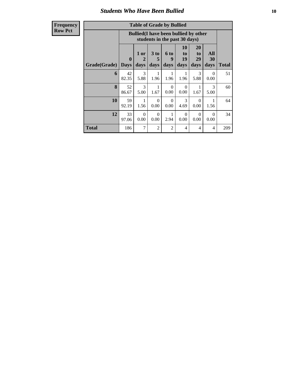### *Students Who Have Been Bullied* **10**

**Frequency Row Pct**

| <b>Table of Grade by Bullied</b> |              |                                                                               |                      |                  |                  |                  |                  |              |
|----------------------------------|--------------|-------------------------------------------------------------------------------|----------------------|------------------|------------------|------------------|------------------|--------------|
|                                  |              | <b>Bullied</b> (I have been bullied by other<br>students in the past 30 days) |                      |                  |                  |                  |                  |              |
|                                  | $\mathbf{0}$ | 1 or<br>$\mathcal{D}_{\cdot}$                                                 | 3 <sub>to</sub><br>5 | 6 to<br>9        | 10<br>to<br>19   | 20<br>to<br>29   | All<br>30        |              |
| Grade(Grade)                     | <b>Days</b>  | days                                                                          | days                 | days             | days             | days             | days             | <b>Total</b> |
| 6                                | 42<br>82.35  | 3<br>5.88                                                                     | 1<br>1.96            | 1<br>1.96        | 1<br>1.96        | 3<br>5.88        | $\Omega$<br>0.00 | 51           |
| 8                                | 52<br>86.67  | 3<br>5.00                                                                     | 1<br>1.67            | $\Omega$<br>0.00 | $\Omega$<br>0.00 | 1<br>1.67        | 3<br>5.00        | 60           |
| 10                               | 59<br>92.19  | 1<br>1.56                                                                     | $\Omega$<br>0.00     | $\Omega$<br>0.00 | 3<br>4.69        | 0<br>0.00        | 1.56             | 64           |
| 12                               | 33<br>97.06  | $\Omega$<br>0.00                                                              | $\Omega$<br>0.00     | 2.94             | $\Omega$<br>0.00 | $\Omega$<br>0.00 | $\Omega$<br>0.00 | 34           |
| <b>Total</b>                     | 186          | 7                                                                             | $\overline{2}$       | $\overline{c}$   | 4                | 4                | 4                | 209          |

 $\blacksquare$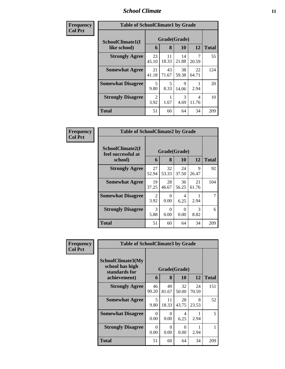### *School Climate* **11**

| Frequency      | <b>Table of SchoolClimate1 by Grade</b> |                                  |              |             |             |              |  |  |
|----------------|-----------------------------------------|----------------------------------|--------------|-------------|-------------|--------------|--|--|
| <b>Col Pct</b> | SchoolClimate1(I                        |                                  | Grade(Grade) |             |             |              |  |  |
|                | like school)                            | 6                                | 8            | 10          | 12          | <b>Total</b> |  |  |
|                | <b>Strongly Agree</b>                   | 23<br>45.10                      | 11<br>18.33  | 14<br>21.88 | 20.59       | 55           |  |  |
|                | <b>Somewhat Agree</b>                   | 21<br>41.18                      | 43<br>71.67  | 38<br>59.38 | 22<br>64.71 | 124          |  |  |
|                | <b>Somewhat Disagree</b>                | $\overline{\mathcal{L}}$<br>9.80 | 5<br>8.33    | 9<br>14.06  | 2.94        | 20           |  |  |
|                | <b>Strongly Disagree</b>                | $\mathfrak{D}$<br>3.92           | 1.67         | 3<br>4.69   | 4<br>11.76  | 10           |  |  |
|                | <b>Total</b>                            | 51                               | 60           | 64          | 34          | 209          |  |  |

| Frequency      | <b>Table of SchoolClimate2 by Grade</b>           |                        |                      |             |             |              |
|----------------|---------------------------------------------------|------------------------|----------------------|-------------|-------------|--------------|
| <b>Col Pct</b> | SchoolClimate2(I<br>feel successful at<br>school) | 6                      | Grade(Grade)<br>8    | 10          | 12          | <b>Total</b> |
|                | <b>Strongly Agree</b>                             | 27<br>52.94            | 32<br>53.33          | 24<br>37.50 | 9<br>26.47  | 92           |
|                | <b>Somewhat Agree</b>                             | 19<br>37.25            | 28<br>46.67          | 36<br>56.25 | 21<br>61.76 | 104          |
|                | <b>Somewhat Disagree</b>                          | $\mathfrak{D}$<br>3.92 | 0<br>0.00            | 4<br>6.25   | 2.94        |              |
|                | <b>Strongly Disagree</b>                          | 3<br>5.88              | $\mathbf{0}$<br>0.00 | 0<br>0.00   | 3<br>8.82   | 6            |
|                | Total                                             | 51                     | 60                   | 64          | 34          | 209          |

| <b>Frequency</b> | <b>Table of SchoolClimate3 by Grade</b>                               |                  |             |                    |            |              |  |
|------------------|-----------------------------------------------------------------------|------------------|-------------|--------------------|------------|--------------|--|
| <b>Col Pct</b>   | SchoolClimate3(My<br>school has high<br>standards for<br>achievement) | 6                | 8           | Grade(Grade)<br>10 | 12         | <b>Total</b> |  |
|                  | <b>Strongly Agree</b>                                                 | 46               | 49          | 32                 | 24         | 151          |  |
|                  | <b>Somewhat Agree</b>                                                 | 90.20<br>5       | 81.67<br>11 | 50.00<br>28        | 70.59<br>8 | 52           |  |
|                  |                                                                       | 9.80             | 18.33       | 43.75              | 23.53      |              |  |
|                  | <b>Somewhat Disagree</b>                                              | $\Omega$<br>0.00 | 0<br>0.00   | 4<br>6.25          | 2.94       | 5            |  |
|                  | <b>Strongly Disagree</b>                                              | $\Omega$<br>0.00 | 0<br>0.00   | $\Omega$<br>0.00   | 2.94       |              |  |
|                  | Total                                                                 | 51               | 60          | 64                 | 34         | 209          |  |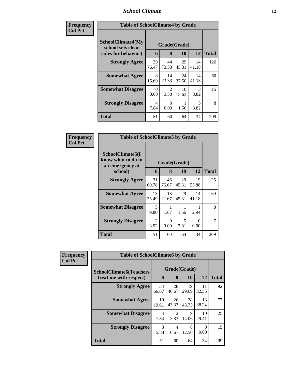# *School Climate* **12**

| Frequency      | <b>Table of SchoolClimate4 by Grade</b>                              |             |                       |             |                       |              |
|----------------|----------------------------------------------------------------------|-------------|-----------------------|-------------|-----------------------|--------------|
| <b>Col Pct</b> | <b>SchoolClimate4(My</b><br>school sets clear<br>rules for behavior) | 6           | Grade(Grade)<br>8     | <b>10</b>   | 12                    | <b>Total</b> |
|                | <b>Strongly Agree</b>                                                | 39<br>76.47 | 44<br>73.33           | 29<br>45.31 | 14<br>41.18           | 126          |
|                | <b>Somewhat Agree</b>                                                | 8<br>15.69  | 14<br>23.33           | 24<br>37.50 | 14<br>41.18           | 60           |
|                | <b>Somewhat Disagree</b>                                             | 0<br>0.00   | $\mathcal{D}$<br>3.33 | 10<br>15.63 | $\mathcal{R}$<br>8.82 | 15           |
|                | <b>Strongly Disagree</b>                                             | 4<br>7.84   | 0<br>0.00             | 1.56        | 3<br>8.82             | 8            |
|                | <b>Total</b>                                                         | 51          | 60                    | 64          | 34                    | 209          |

| Frequency      | <b>Table of SchoolClimate5 by Grade</b>                   |             |              |             |             |              |  |  |
|----------------|-----------------------------------------------------------|-------------|--------------|-------------|-------------|--------------|--|--|
| <b>Col Pct</b> | SchoolClimate5(I<br>know what to do in<br>an emergency at |             | Grade(Grade) |             |             |              |  |  |
|                | school)                                                   | 6           | 8            | 10          | 12          | <b>Total</b> |  |  |
|                | <b>Strongly Agree</b>                                     | 31<br>60.78 | 46<br>76.67  | 29<br>45.31 | 19<br>55.88 | 125          |  |  |
|                | <b>Somewhat Agree</b>                                     | 13<br>25.49 | 13<br>21.67  | 29<br>45.31 | 14<br>41.18 | 69           |  |  |
|                | <b>Somewhat Disagree</b>                                  | 5<br>9.80   | 1<br>1.67    | 1.56        | 2.94        | 8            |  |  |
|                | <b>Strongly Disagree</b>                                  | 2<br>3.92   | 0<br>0.00    | 5<br>7.81   | 0<br>0.00   | 7            |  |  |
|                | Total                                                     | 51          | 60           | 64          | 34          | 209          |  |  |

| Frequency      | <b>Table of SchoolClimate6 by Grade</b>                  |                   |                  |                          |                   |     |  |  |
|----------------|----------------------------------------------------------|-------------------|------------------|--------------------------|-------------------|-----|--|--|
| <b>Col Pct</b> | <b>SchoolClimate6(Teachers</b><br>treat me with respect) | Grade(Grade)<br>6 | <b>Total</b>     |                          |                   |     |  |  |
|                | <b>Strongly Agree</b>                                    | 34<br>66.67       | 8<br>28<br>46.67 | <b>10</b><br>19<br>29.69 | 12<br>11<br>32.35 | 92  |  |  |
|                | <b>Somewhat Agree</b>                                    | 10<br>19.61       | 26<br>43.33      | 28<br>43.75              | 13<br>38.24       | 77  |  |  |
|                | <b>Somewhat Disagree</b>                                 | 4<br>7.84         | 2<br>3.33        | 9<br>14.06               | 10<br>29.41       | 25  |  |  |
|                | <b>Strongly Disagree</b>                                 | 3<br>5.88         | 4<br>6.67        | 8<br>12.50               | 0<br>0.00         | 15  |  |  |
|                | <b>Total</b>                                             | 51                | 60               | 64                       | 34                | 209 |  |  |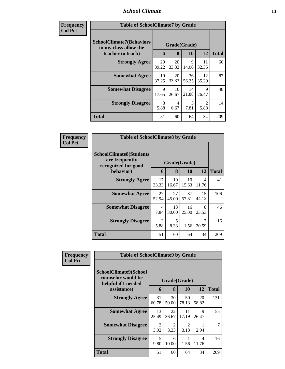### *School Climate* **13**

| Frequency<br>Col Pet |
|----------------------|
|                      |

п

| ncy | <b>Table of SchoolClimate7 by Grade</b>    |             |              |             |                        |              |  |  |
|-----|--------------------------------------------|-------------|--------------|-------------|------------------------|--------------|--|--|
|     | <b>SchoolClimate7(Behaviors</b>            |             | Grade(Grade) |             |                        |              |  |  |
|     | in my class allow the<br>teacher to teach) | 6           | 8            | 10          | 12                     | <b>Total</b> |  |  |
|     | <b>Strongly Agree</b>                      | 20<br>39.22 | 20<br>33.33  | 9<br>14.06  | 11<br>32.35            | 60           |  |  |
|     | <b>Somewhat Agree</b>                      | 19<br>37.25 | 20<br>33.33  | 36<br>56.25 | 12<br>35.29            | 87           |  |  |
|     | <b>Somewhat Disagree</b>                   | 9<br>17.65  | 16<br>26.67  | 14<br>21.88 | 9<br>26.47             | 48           |  |  |
|     | <b>Strongly Disagree</b>                   | 3<br>5.88   | 4<br>6.67    | 5<br>7.81   | $\mathfrak{D}$<br>5.88 | 14           |  |  |
|     | <b>Total</b>                               | 51          | 60           | 64          | 34                     | 209          |  |  |

| Frequency      | <b>Table of SchoolClimate8 by Grade</b>                                 |                        |             |              |                         |              |
|----------------|-------------------------------------------------------------------------|------------------------|-------------|--------------|-------------------------|--------------|
| <b>Col Pct</b> | <b>SchoolClimate8(Students</b><br>are frequently<br>recognized for good |                        |             | Grade(Grade) |                         |              |
|                | behavior)                                                               | 6                      | 8           | 10           | 12                      | <b>Total</b> |
|                | <b>Strongly Agree</b>                                                   | 17<br>33.33            | 10<br>16.67 | 10<br>15.63  | $\overline{4}$<br>11.76 | 41           |
|                | <b>Somewhat Agree</b>                                                   | 27<br>52.94            | 27<br>45.00 | 37<br>57.81  | 15<br>44.12             | 106          |
|                | <b>Somewhat Disagree</b>                                                | $\overline{4}$<br>7.84 | 18<br>30.00 | 16<br>25.00  | 8<br>23.53              | 46           |
|                | <b>Strongly Disagree</b>                                                | 3<br>5.88              | 5<br>8.33   | 1.56         | 7<br>20.59              | 16           |
|                | <b>Total</b>                                                            | 51                     | 60          | 64           | 34                      | 209          |

| Frequency<br><b>Col Pct</b> | <b>Table of SchoolClimate9 by Grade</b>                            |              |                        |             |             |              |  |  |  |
|-----------------------------|--------------------------------------------------------------------|--------------|------------------------|-------------|-------------|--------------|--|--|--|
|                             | SchoolClimate9(School<br>counselor would be<br>helpful if I needed | Grade(Grade) |                        |             |             |              |  |  |  |
|                             | assistance)                                                        | 6            | 8                      | 10          | 12          | <b>Total</b> |  |  |  |
|                             | <b>Strongly Agree</b>                                              | 31<br>60.78  | 30<br>50.00            | 50<br>78.13 | 20<br>58.82 | 131          |  |  |  |
|                             | <b>Somewhat Agree</b>                                              | 13<br>25.49  | 22<br>36.67            | 11<br>17.19 | 9<br>26.47  | 55           |  |  |  |
|                             | <b>Somewhat Disagree</b>                                           | 2<br>3.92    | $\mathfrak{D}$<br>3.33 | 2<br>3.13   | 2.94        | 7            |  |  |  |
|                             | <b>Strongly Disagree</b>                                           | 5<br>9.80    | 6<br>10.00             | 1<br>1.56   | 4<br>11.76  | 16           |  |  |  |
|                             | <b>Total</b>                                                       | 51           | 60                     | 64          | 34          | 209          |  |  |  |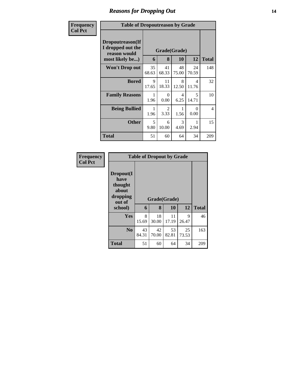# *Reasons for Dropping Out* **14**

| Frequency      | <b>Table of Dropoutreason by Grade</b>                                   |                                    |                  |             |             |     |  |  |  |
|----------------|--------------------------------------------------------------------------|------------------------------------|------------------|-------------|-------------|-----|--|--|--|
| <b>Col Pct</b> | Dropoutreason(If<br>I dropped out the<br>reason would<br>most likely be) | Grade(Grade)<br>8<br>12<br>6<br>10 |                  |             |             |     |  |  |  |
|                | <b>Won't Drop out</b>                                                    | 35<br>68.63                        | 41<br>68.33      | 48<br>75.00 | 24<br>70.59 | 148 |  |  |  |
|                | <b>Bored</b>                                                             | 9<br>17.65                         | 11<br>18.33      | 8<br>12.50  | 4<br>11.76  | 32  |  |  |  |
|                | <b>Family Reasons</b>                                                    | 1.96                               | $\Omega$<br>0.00 | 4<br>6.25   | 5<br>14.71  | 10  |  |  |  |
|                | <b>Being Bullied</b>                                                     | 1.96                               | 2<br>3.33        | 1.56        | 0<br>0.00   | 4   |  |  |  |
|                | <b>Other</b>                                                             | 5<br>9.80                          | 6<br>10.00       | 3<br>4.69   | 1<br>2.94   | 15  |  |  |  |
|                | <b>Total</b>                                                             | 51                                 | 60               | 64          | 34          | 209 |  |  |  |

| Frequency      | <b>Table of Dropout by Grade</b>                            |             |              |             |             |              |
|----------------|-------------------------------------------------------------|-------------|--------------|-------------|-------------|--------------|
| <b>Col Pct</b> | Dropout(I<br>have<br>thought<br>about<br>dropping<br>out of |             | Grade(Grade) |             |             |              |
|                | school)                                                     | 6           | 8            | 10          | 12          | <b>Total</b> |
|                | Yes                                                         | 8<br>15.69  | 18<br>30.00  | 11<br>17.19 | 9<br>26.47  | 46           |
|                | N <sub>0</sub>                                              | 43<br>84.31 | 42<br>70.00  | 53<br>82.81 | 25<br>73.53 | 163          |
|                | <b>Total</b>                                                | 51          | 60           | 64          | 34          | 209          |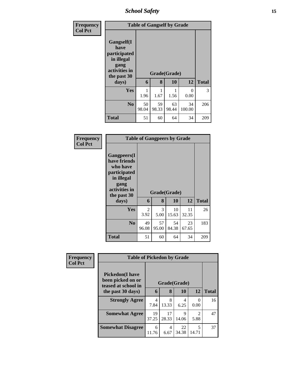*School Safety* **15**

| <b>Frequency</b> | <b>Table of Gangself by Grade</b>                                                                 |                   |              |             |              |     |  |  |
|------------------|---------------------------------------------------------------------------------------------------|-------------------|--------------|-------------|--------------|-----|--|--|
| <b>Col Pct</b>   | Gangself(I<br>have<br>participated<br>in illegal<br>gang<br>activities in<br>the past 30<br>days) | Grade(Grade)<br>6 | <b>Total</b> |             |              |     |  |  |
|                  | <b>Yes</b>                                                                                        | 1<br>1.96         | 1.67         | 1.56        | 0<br>0.00    | 3   |  |  |
|                  | N <sub>0</sub>                                                                                    | 50<br>98.04       | 59<br>98.33  | 63<br>98.44 | 34<br>100.00 | 206 |  |  |
|                  | <b>Total</b>                                                                                      | 51                | 60           | 64          | 34           | 209 |  |  |

| <b>Frequency</b> |
|------------------|
| <b>Col Pct</b>   |

| <b>Table of Gangpeers by Grade</b>                                                                                    |             |              |             |             |              |  |  |  |  |  |
|-----------------------------------------------------------------------------------------------------------------------|-------------|--------------|-------------|-------------|--------------|--|--|--|--|--|
| <b>Gangpeers</b> (I<br>have friends<br>who have<br>participated<br>in illegal<br>gang<br>activities in<br>the past 30 |             | Grade(Grade) |             |             |              |  |  |  |  |  |
| days)                                                                                                                 | 6           | 8            | 10          | 12          | <b>Total</b> |  |  |  |  |  |
| Yes                                                                                                                   | 2<br>3.92   | 3<br>5.00    | 10<br>15.63 | 11<br>32.35 | 26           |  |  |  |  |  |
| N <sub>0</sub>                                                                                                        | 49<br>96.08 | 57<br>95.00  | 54<br>84.38 | 23<br>67.65 | 183          |  |  |  |  |  |
| Total                                                                                                                 | 51          | 60           | 64          | 34          | 209          |  |  |  |  |  |

| Frequency      | <b>Table of Pickedon by Grade</b>                                   |             |              |             |                                     |              |  |
|----------------|---------------------------------------------------------------------|-------------|--------------|-------------|-------------------------------------|--------------|--|
| <b>Col Pct</b> | <b>Pickedon</b> (I have<br>been picked on or<br>teased at school in |             | Grade(Grade) |             |                                     |              |  |
|                | the past 30 days)                                                   | 6           | 8            | 10          | 12                                  | <b>Total</b> |  |
|                | <b>Strongly Agree</b>                                               | 4<br>7.84   | 8<br>13.33   | 4<br>6.25   | 0.00                                | 16           |  |
|                | <b>Somewhat Agree</b>                                               | 19<br>37.25 | 17<br>28.33  | 9<br>14.06  | $\mathcal{D}_{\mathcal{L}}$<br>5.88 | 47           |  |
|                | <b>Somewhat Disagree</b>                                            | 6<br>11.76  | 4<br>6.67    | 22<br>34.38 | 5<br>14.71                          | 37           |  |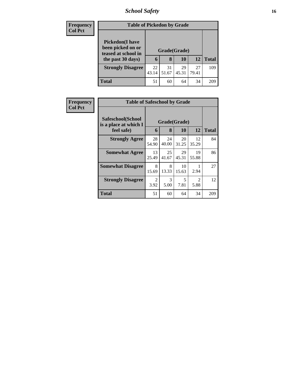# *School Safety* **16**

| <b>Frequency</b> | <b>Table of Pickedon by Grade</b>        |       |              |       |       |              |  |  |
|------------------|------------------------------------------|-------|--------------|-------|-------|--------------|--|--|
| <b>Col Pct</b>   | <b>Pickedon</b> (I have                  |       |              |       |       |              |  |  |
|                  | been picked on or<br>teased at school in |       | Grade(Grade) |       |       |              |  |  |
|                  | the past 30 days)                        | 6     | 8            | 10    | 12    | <b>Total</b> |  |  |
|                  | <b>Strongly Disagree</b>                 | 22    | 31           | 29    | 27    | 109          |  |  |
|                  |                                          | 43.14 | 51.67        | 45.31 | 79.41 |              |  |  |
|                  | <b>Total</b>                             | 51    | 60           | 64    | 34    | 209          |  |  |

| Frequency<br><b>Col Pct</b> | <b>Table of Safeschool by Grade</b>        |              |             |             |                        |              |  |
|-----------------------------|--------------------------------------------|--------------|-------------|-------------|------------------------|--------------|--|
|                             | Safeschool(School<br>is a place at which I | Grade(Grade) |             |             |                        |              |  |
|                             | feel safe)                                 | 6            | 8           | 10          | 12                     | <b>Total</b> |  |
|                             | <b>Strongly Agree</b>                      | 28<br>54.90  | 24<br>40.00 | 20<br>31.25 | 12<br>35.29            | 84           |  |
|                             | <b>Somewhat Agree</b>                      | 13<br>25.49  | 25<br>41.67 | 29<br>45.31 | 19<br>55.88            | 86           |  |
|                             | <b>Somewhat Disagree</b>                   | 8<br>15.69   | 8<br>13.33  | 10<br>15.63 | 2.94                   | 27           |  |
|                             | <b>Strongly Disagree</b>                   | 2<br>3.92    | 3<br>5.00   | 5<br>7.81   | $\mathfrak{D}$<br>5.88 | 12           |  |
|                             | <b>Total</b>                               | 51           | 60          | 64          | 34                     | 209          |  |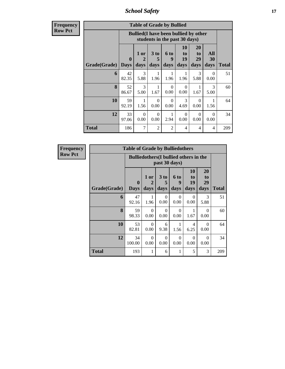*School Safety* **17**

**Frequency Row Pct**

| <b>Table of Grade by Bullied</b> |                             |                                                                               |                   |                   |                        |                               |                   |              |  |
|----------------------------------|-----------------------------|-------------------------------------------------------------------------------|-------------------|-------------------|------------------------|-------------------------------|-------------------|--------------|--|
|                                  |                             | <b>Bullied</b> (I have been bullied by other<br>students in the past 30 days) |                   |                   |                        |                               |                   |              |  |
| Grade(Grade)                     | $\mathbf{0}$<br><b>Days</b> | 1 or<br>2<br>days                                                             | 3 to<br>5<br>days | 6 to<br>9<br>days | 10<br>to<br>19<br>days | <b>20</b><br>to<br>29<br>days | All<br>30<br>days | <b>Total</b> |  |
| 6                                | 42<br>82.35                 | $\mathcal{F}$<br>5.88                                                         | 1<br>1.96         | 1.96              | 1<br>1.96              | 3<br>5.88                     | $\Omega$<br>0.00  | 51           |  |
| 8                                | 52<br>86.67                 | 3<br>5.00                                                                     | 1<br>1.67         | $\Omega$<br>0.00  | $\Omega$<br>0.00       | 1<br>1.67                     | 3<br>5.00         | 60           |  |
| 10                               | 59<br>92.19                 | 1<br>1.56                                                                     | $\Omega$<br>0.00  | $\Omega$<br>0.00  | 3<br>4.69              | $\Omega$<br>0.00              | 1<br>1.56         | 64           |  |
| 12                               | 33<br>97.06                 | $\Omega$<br>0.00                                                              | $\Omega$<br>0.00  | 2.94              | $\Omega$<br>0.00       | $\Omega$<br>0.00              | $\Omega$<br>0.00  | 34           |  |
| Total                            | 186                         | 7                                                                             | $\overline{2}$    | $\overline{c}$    | 4                      | 4                             | 4                 | 209          |  |

| Frequency      |              | <b>Table of Grade by Bulliedothers</b> |                   |                   |                                               |                               |                                    |              |
|----------------|--------------|----------------------------------------|-------------------|-------------------|-----------------------------------------------|-------------------------------|------------------------------------|--------------|
| <b>Row Pct</b> |              |                                        |                   | past 30 days)     | <b>Bulliedothers</b> (I bullied others in the |                               |                                    |              |
|                | Grade(Grade) | $\mathbf{0}$<br><b>Days</b>            | 1 or<br>2<br>days | 3 to<br>5<br>days | 6 to<br>9<br>days                             | <b>10</b><br>to<br>19<br>days | 20<br>t <sub>o</sub><br>29<br>days | <b>Total</b> |
|                | 6            | 47<br>92.16                            | 1<br>1.96         | $\Omega$<br>0.00  | $\Omega$<br>0.00                              | $\Omega$<br>0.00              | 3<br>5.88                          | 51           |
|                | 8            | 59<br>98.33                            | $\Omega$<br>0.00  | $\Omega$<br>0.00  | $\Omega$<br>0.00                              | 1<br>1.67                     | $\Omega$<br>0.00                   | 60           |
|                | 10           | 53<br>82.81                            | $\Omega$<br>0.00  | 6<br>9.38         | 1.56                                          | 4<br>6.25                     | $\Omega$<br>0.00                   | 64           |
|                | 12           | 34<br>100.00                           | $\Omega$<br>0.00  | $\Omega$<br>0.00  | $\Omega$<br>0.00                              | $\Omega$<br>0.00              | $\Omega$<br>0.00                   | 34           |
|                | <b>Total</b> | 193                                    | 1                 | 6                 |                                               | 5                             | 3                                  | 209          |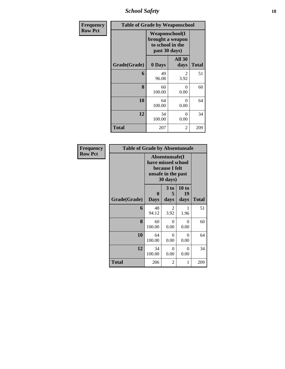*School Safety* **18**

| Frequency      | <b>Table of Grade by Weaponschool</b> |                                                                                 |                       |       |
|----------------|---------------------------------------|---------------------------------------------------------------------------------|-----------------------|-------|
| <b>Row Pct</b> |                                       | <b>Weaponschool</b> (I<br>brought a weapon<br>to school in the<br>past 30 days) |                       |       |
|                | Grade(Grade)                          | 0 Days                                                                          | <b>All 30</b><br>days | Total |
|                | 6                                     | 49<br>96.08                                                                     | 2<br>3.92             | 51    |
|                | 8                                     | 60<br>100.00                                                                    | 0<br>0.00             | 60    |
|                | 10                                    | 64<br>100.00                                                                    | 0<br>0.00             | 64    |
|                | 12                                    | 34<br>100.00                                                                    | 0<br>0.00             | 34    |
|                | Total                                 | 207                                                                             | 2                     | 209   |

| <b>Frequency</b> | <b>Table of Grade by Absentunsafe</b> |                  |                                                                                           |                     |              |  |  |
|------------------|---------------------------------------|------------------|-------------------------------------------------------------------------------------------|---------------------|--------------|--|--|
| <b>Row Pct</b>   |                                       |                  | Absentunsafe(I)<br>have missed school<br>because I felt<br>unsafe in the past<br>30 days) |                     |              |  |  |
|                  | Grade(Grade)                          | 0<br><b>Days</b> | 3 to<br>5<br>days                                                                         | 10 to<br>19<br>days | <b>Total</b> |  |  |
|                  | 6                                     | 48<br>94.12      | 2<br>3.92                                                                                 | 1<br>1.96           | 51           |  |  |
|                  | 8                                     | 60<br>100.00     | $\Omega$<br>0.00                                                                          | $\Omega$<br>0.00    | 60           |  |  |
|                  | 10                                    | 64<br>100.00     | $\Omega$<br>0.00                                                                          | $\theta$<br>0.00    | 64           |  |  |
|                  | 12                                    | 34<br>100.00     | $\theta$<br>0.00                                                                          | $\Omega$<br>0.00    | 34           |  |  |
|                  | <b>Total</b>                          | 206              | 2                                                                                         | 1                   | 209          |  |  |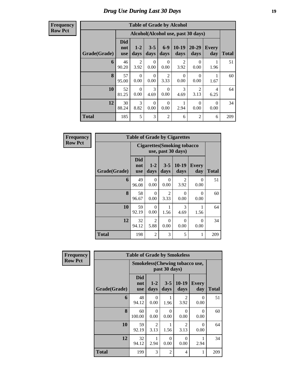#### **Frequency Row Pct**

| <b>Table of Grade by Alcohol</b> |                                 |                                    |                  |                        |                        |                        |                     |              |  |
|----------------------------------|---------------------------------|------------------------------------|------------------|------------------------|------------------------|------------------------|---------------------|--------------|--|
|                                  |                                 | Alcohol(Alcohol use, past 30 days) |                  |                        |                        |                        |                     |              |  |
| Grade(Grade)                     | <b>Did</b><br>not<br><b>use</b> | $1-2$<br>days                      | $3 - 5$<br>days  | $6 - 9$<br>days        | $10-19$<br>days        | 20-29<br>days          | <b>Every</b><br>day | <b>Total</b> |  |
| 6                                | 46<br>90.20                     | $\overline{2}$<br>3.92             | 0<br>0.00        | $\Omega$<br>0.00       | $\overline{2}$<br>3.92 | $\Omega$<br>0.00       | 1.96                | 51           |  |
| 8                                | 57<br>95.00                     | $\Omega$<br>0.00                   | $\Omega$<br>0.00 | $\overline{2}$<br>3.33 | $\theta$<br>0.00       | $\Omega$<br>0.00       | 1.67                | 60           |  |
| 10                               | 52<br>81.25                     | $\Omega$<br>0.00                   | 3<br>4.69        | $\Omega$<br>0.00       | 3<br>4.69              | $\mathfrak{D}$<br>3.13 | 4<br>6.25           | 64           |  |
| 12                               | 30<br>88.24                     | $\mathcal{R}$<br>8.82              | $\Omega$<br>0.00 | $\Omega$<br>0.00       | 2.94                   | $\Omega$<br>0.00       | $\Omega$<br>0.00    | 34           |  |
| <b>Total</b>                     | 185                             | 5                                  | 3                | $\overline{2}$         | 6                      | $\overline{2}$         | 6                   | 209          |  |

| <b>Frequency</b> |              | <b>Table of Grade by Cigarettes</b>                      |                        |                                     |                        |                     |              |  |  |
|------------------|--------------|----------------------------------------------------------|------------------------|-------------------------------------|------------------------|---------------------|--------------|--|--|
| <b>Row Pct</b>   |              | <b>Cigarettes (Smoking tobacco</b><br>use, past 30 days) |                        |                                     |                        |                     |              |  |  |
|                  | Grade(Grade) | <b>Did</b><br>not<br><b>use</b>                          | $1 - 2$<br>days        | $3 - 5$<br>days                     | $10-19$<br>days        | <b>Every</b><br>day | <b>Total</b> |  |  |
|                  | 6            | 49<br>96.08                                              | 0<br>0.00              | 0<br>0.00                           | $\mathfrak{D}$<br>3.92 | 0<br>0.00           | 51           |  |  |
|                  | 8            | 58<br>96.67                                              | 0<br>0.00              | $\mathcal{D}_{\mathcal{L}}$<br>3.33 | 0<br>0.00              | 0<br>0.00           | 60           |  |  |
|                  | 10           | 59<br>92.19                                              | 0<br>0.00              | 1.56                                | 3<br>4.69              | 1.56                | 64           |  |  |
|                  | 12           | 32<br>94.12                                              | $\overline{2}$<br>5.88 | $\Omega$<br>0.00                    | 0<br>0.00              | 0<br>0.00           | 34           |  |  |
|                  | <b>Total</b> | 198                                                      | $\overline{2}$         | 3                                   | 5                      | 1                   | 209          |  |  |

| <b>Frequency</b> | <b>Table of Grade by Smokeless</b> |                                 |                        |                  |                                       |                     |              |  |
|------------------|------------------------------------|---------------------------------|------------------------|------------------|---------------------------------------|---------------------|--------------|--|
| <b>Row Pct</b>   |                                    |                                 |                        | past 30 days)    | <b>Smokeless(Chewing tobacco use,</b> |                     |              |  |
|                  | Grade(Grade)                       | <b>Did</b><br>not<br><b>use</b> | $1 - 2$<br>days        | $3 - 5$<br>days  | $10-19$<br>days                       | <b>Every</b><br>day | <b>Total</b> |  |
|                  | 6                                  | 48<br>94.12                     | $\Omega$<br>0.00       | 1.96             | $\overline{2}$<br>3.92                | 0<br>0.00           | 51           |  |
|                  | 8                                  | 60<br>100.00                    | $\Omega$<br>0.00       | $\Omega$<br>0.00 | $\Omega$<br>0.00                      | $\Omega$<br>0.00    | 60           |  |
|                  | 10                                 | 59<br>92.19                     | $\mathfrak{D}$<br>3.13 | 1.56             | $\mathfrak{D}$<br>3.13                | $\Omega$<br>0.00    | 64           |  |
|                  | 12                                 | 32<br>94.12                     | 2.94                   | $\Omega$<br>0.00 | $\Omega$<br>0.00                      | 2.94                | 34           |  |
|                  | <b>Total</b>                       | 199                             | 3                      | 2                | 4                                     | 1                   | 209          |  |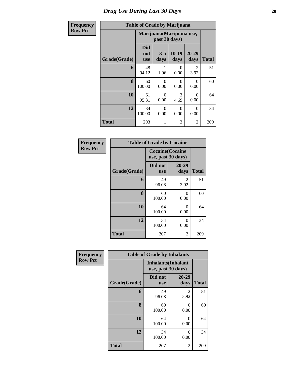#### **Frequency Row Pct**

## **Table of Grade by Marijuana**

| cy |              | Table of Grade by Marijuana     |                                            |                 |                        |              |
|----|--------------|---------------------------------|--------------------------------------------|-----------------|------------------------|--------------|
|    |              |                                 | Marijuana (Marijuana use,<br>past 30 days) |                 |                        |              |
|    | Grade(Grade) | <b>Did</b><br>not<br><b>use</b> | $3 - 5$<br>days                            | $10-19$<br>days | $20 - 29$<br>days      | <b>Total</b> |
|    | 6            | 48<br>94.12                     | 1<br>1.96                                  | 0<br>0.00       | $\mathfrak{D}$<br>3.92 | 51           |
|    | 8            | 60<br>100.00                    | $\theta$<br>0.00                           | 0<br>0.00       | 0<br>0.00              | 60           |
|    | 10           | 61<br>95.31                     | $\theta$<br>0.00                           | 3<br>4.69       | 0<br>0.00              | 64           |
|    | 12           | 34<br>100.00                    | $\theta$<br>0.00                           | 0<br>0.00       | 0<br>0.00              | 34           |
|    | <b>Total</b> | 203                             | 1                                          | 3               | $\overline{2}$         | 209          |

| <b>Frequency</b> | <b>Table of Grade by Cocaine</b> |                    |                         |              |  |  |  |
|------------------|----------------------------------|--------------------|-------------------------|--------------|--|--|--|
| <b>Row Pct</b>   |                                  | use, past 30 days) | <b>Cocaine</b> (Cocaine |              |  |  |  |
|                  | Grade(Grade)                     | Did not<br>use     | 20-29<br>days           | <b>Total</b> |  |  |  |
|                  | 6                                | 49<br>96.08        | $\mathfrak{D}$<br>3.92  | 51           |  |  |  |
|                  | 8                                | 60<br>100.00       | 0<br>0.00               | 60           |  |  |  |
|                  | 10                               | 64<br>100.00       | 0<br>0.00               | 64           |  |  |  |
|                  | 12                               | 34<br>100.00       | 0<br>0.00               | 34           |  |  |  |
|                  | <b>Total</b>                     | 207                | 2                       | 209          |  |  |  |

| Frequency      |              | <b>Table of Grade by Inhalants</b> |                            |              |
|----------------|--------------|------------------------------------|----------------------------|--------------|
| <b>Row Pct</b> |              | use, past 30 days)                 | <b>Inhalants</b> (Inhalant |              |
|                | Grade(Grade) | Did not<br><b>use</b>              | $20 - 29$<br>days          | <b>Total</b> |
|                | 6            | 49<br>96.08                        | 2<br>3.92                  | 51           |
|                | 8            | 60<br>100.00                       | 0<br>0.00                  | 60           |
|                | 10           | 64<br>100.00                       | 0<br>0.00                  | 64           |
|                | 12           | 34<br>100.00                       | 0<br>0.00                  | 34           |
|                | <b>Total</b> | 207                                | 2                          | 209          |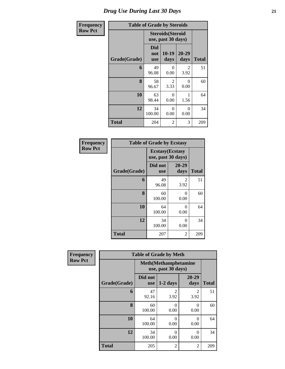| Frequency      | <b>Table of Grade by Steroids</b> |                          |                                                |                  |              |  |  |  |
|----------------|-----------------------------------|--------------------------|------------------------------------------------|------------------|--------------|--|--|--|
| <b>Row Pct</b> |                                   |                          | <b>Steroids</b> (Steroid<br>use, past 30 days) |                  |              |  |  |  |
|                | Grade(Grade)                      | Did<br>not<br><b>use</b> | $10-19$<br>days                                | 20-29<br>days    | <b>Total</b> |  |  |  |
|                | 6                                 | 49<br>96.08              | $\theta$<br>0.00                               | 2<br>3.92        | 51           |  |  |  |
|                | 8                                 | 58<br>96.67              | $\mathfrak{D}$<br>3.33                         | $\Omega$<br>0.00 | 60           |  |  |  |
|                | 10                                | 63<br>98.44              | $\Omega$<br>0.00                               | 1<br>1.56        | 64           |  |  |  |
|                | 12                                | 34<br>100.00             | $\Omega$<br>0.00                               | $\Omega$<br>0.00 | 34           |  |  |  |
|                | <b>Total</b>                      | 204                      | 2                                              | 3                | 209          |  |  |  |

| Frequency      | <b>Table of Grade by Ecstasy</b> |                                               |                   |              |  |  |  |
|----------------|----------------------------------|-----------------------------------------------|-------------------|--------------|--|--|--|
| <b>Row Pct</b> |                                  | <b>Ecstasy</b> (Ecstasy<br>use, past 30 days) |                   |              |  |  |  |
|                | Grade(Grade)                     | Did not<br><b>use</b>                         | $20 - 29$<br>days | <b>Total</b> |  |  |  |
|                | 6                                | 49<br>96.08                                   | 2<br>3.92         | 51           |  |  |  |
|                | 8                                | 60<br>100.00                                  | ∩<br>0.00         | 60           |  |  |  |
|                | 10                               | 64<br>100.00                                  | 0<br>0.00         |              |  |  |  |
|                | 12                               | 34<br>0<br>100.00<br>0.00                     |                   | 34           |  |  |  |
|                | <b>Total</b>                     | 207                                           | 2                 | 209          |  |  |  |

| Frequency      |              | <b>Table of Grade by Meth</b>                      |                        |                        |              |  |  |  |  |
|----------------|--------------|----------------------------------------------------|------------------------|------------------------|--------------|--|--|--|--|
| <b>Row Pct</b> |              | <b>Meth</b> (Methamphetamine<br>use, past 30 days) |                        |                        |              |  |  |  |  |
|                | Grade(Grade) | Did not<br><b>use</b>                              | $1-2$ days             | $20 - 29$<br>days      | <b>Total</b> |  |  |  |  |
|                | 6            | 47<br>92.16                                        | $\mathfrak{D}$<br>3.92 | $\overline{c}$<br>3.92 | 51           |  |  |  |  |
|                | 8            | 60<br>100.00                                       | 0<br>0.00              | $\Omega$<br>0.00       | 60           |  |  |  |  |
|                | 10           | 64<br>100.00                                       | 0<br>0.00              | $\Omega$<br>0.00       | 64           |  |  |  |  |
|                | 12           | 34<br>100.00                                       | 0<br>0.00              | $\Omega$<br>0.00       | 34           |  |  |  |  |
|                | <b>Total</b> | 205                                                | 2                      | $\overline{2}$         | 209          |  |  |  |  |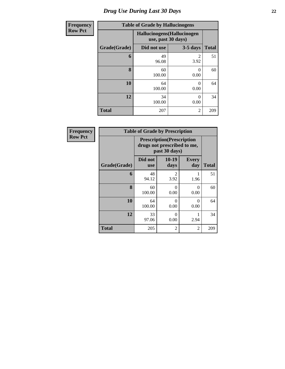| <b>Frequency</b> |              | <b>Table of Grade by Hallucinogens</b> |                             |              |
|------------------|--------------|----------------------------------------|-----------------------------|--------------|
| <b>Row Pct</b>   |              | use, past 30 days)                     | Hallucinogens (Hallucinogen |              |
|                  | Grade(Grade) | Did not use                            | $3-5$ days                  | <b>Total</b> |
|                  | 6            | 49<br>96.08                            | $\mathfrak{D}$<br>3.92      | 51           |
|                  | 8            | 60<br>100.00                           | $\theta$<br>0.00            | 60           |
|                  | 10           | 64<br>100.00                           | $\Omega$<br>0.00            | 64           |
|                  | 12           | 34<br>100.00                           | 0<br>0.00                   | 34           |
|                  | <b>Total</b> | 207                                    | $\overline{2}$              | 209          |

| Frequency      |              | <b>Table of Grade by Prescription</b>                                             |                  |                     |       |  |
|----------------|--------------|-----------------------------------------------------------------------------------|------------------|---------------------|-------|--|
| <b>Row Pct</b> |              | <b>Prescription</b> (Prescription<br>drugs not prescribed to me,<br>past 30 days) |                  |                     |       |  |
|                | Grade(Grade) | Did not<br><b>use</b>                                                             | $10-19$<br>days  | <b>Every</b><br>day | Total |  |
|                | 6            | 48<br>94.12                                                                       | 2<br>3.92        | 1.96                | 51    |  |
|                | 8            | 60<br>100.00                                                                      | $\Omega$<br>0.00 | 0<br>0.00           | 60    |  |
|                | 10           | 64<br>100.00                                                                      | $\Omega$<br>0.00 | 0<br>0.00           | 64    |  |
|                | 12           | 33<br>97.06                                                                       | 0<br>0.00        | 2.94                | 34    |  |
|                | <b>Total</b> | 205                                                                               | 2                | 2                   | 209   |  |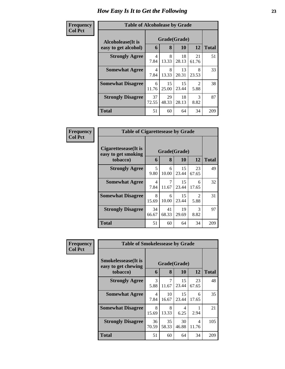### **Frequen Col Pct**

| <b>cy</b> | <b>Table of Alcoholease by Grade</b>      |             |                                           |             |                        |              |  |  |
|-----------|-------------------------------------------|-------------|-------------------------------------------|-------------|------------------------|--------------|--|--|
|           | Alcoholease(It is<br>easy to get alcohol) |             | Grade(Grade)<br>12<br>8<br><b>10</b><br>6 |             |                        |              |  |  |
|           |                                           |             |                                           |             |                        | <b>Total</b> |  |  |
|           | <b>Strongly Agree</b>                     | 4<br>7.84   | 8<br>13.33                                | 18<br>28.13 | 21<br>61.76            | 51           |  |  |
|           | <b>Somewhat Agree</b>                     | 4<br>7.84   | 8<br>13.33                                | 13<br>20.31 | 8<br>23.53             | 33           |  |  |
|           | <b>Somewhat Disagree</b>                  | 6<br>11.76  | 15<br>25.00                               | 15<br>23.44 | $\mathfrak{D}$<br>5.88 | 38           |  |  |
|           | <b>Strongly Disagree</b>                  | 37<br>72.55 | 29<br>48.33                               | 18<br>28.13 | 3<br>8.82              | 87           |  |  |
|           | <b>Total</b>                              | 51          | 60                                        | 64          | 34                     | 209          |  |  |

| Frequency      | <b>Table of Cigarettesease by Grade</b>                 |             |                   |             |                                     |              |
|----------------|---------------------------------------------------------|-------------|-------------------|-------------|-------------------------------------|--------------|
| <b>Col Pct</b> | Cigarettesease(It is<br>easy to get smoking<br>tobacco) | 6           | Grade(Grade)<br>8 | 10          | 12                                  | <b>Total</b> |
|                | <b>Strongly Agree</b>                                   | 5<br>9.80   | 6<br>10.00        | 15<br>23.44 | 23<br>67.65                         | 49           |
|                | <b>Somewhat Agree</b>                                   | 4<br>7.84   | 7<br>11.67        | 15<br>23.44 | 6<br>17.65                          | 32           |
|                | <b>Somewhat Disagree</b>                                | 8<br>15.69  | 6<br>10.00        | 15<br>23.44 | $\mathcal{D}_{\mathcal{L}}$<br>5.88 | 31           |
|                | <b>Strongly Disagree</b>                                | 34<br>66.67 | 41<br>68.33       | 19<br>29.69 | 3<br>8.82                           | 97           |
|                | Total                                                   | 51          | 60                | 64          | 34                                  | 209          |

| <b>Frequency</b> | <b>Table of Smokelessease by Grade</b>                         |             |             |                    |             |              |
|------------------|----------------------------------------------------------------|-------------|-------------|--------------------|-------------|--------------|
| <b>Col Pct</b>   | <b>Smokelessease</b> (It is<br>easy to get chewing<br>tobacco) | 6           | 8           | Grade(Grade)<br>10 | 12          | <b>Total</b> |
|                  | <b>Strongly Agree</b>                                          | 3<br>5.88   | 7<br>11.67  | 15<br>23.44        | 23<br>67.65 | 48           |
|                  | <b>Somewhat Agree</b>                                          | 4<br>7.84   | 10<br>16.67 | 15<br>23.44        | 6<br>17.65  | 35           |
|                  | <b>Somewhat Disagree</b>                                       | 8<br>15.69  | 8<br>13.33  | 4<br>6.25          | 2.94        | 21           |
|                  | <b>Strongly Disagree</b>                                       | 36<br>70.59 | 35<br>58.33 | 30<br>46.88        | 4<br>11.76  | 105          |
|                  | <b>Total</b>                                                   | 51          | 60          | 64                 | 34          | 209          |

ń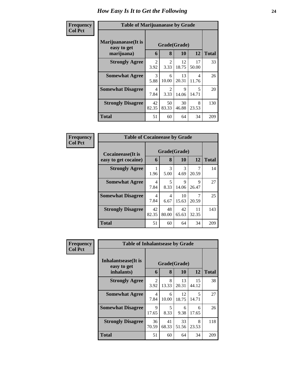| Frequency<br><b>Col Pct</b> | <b>Table of Marijuanaease by Grade</b>           |                        |                        |             |                                   |              |
|-----------------------------|--------------------------------------------------|------------------------|------------------------|-------------|-----------------------------------|--------------|
|                             | Marijuanaease(It is<br>easy to get<br>marijuana) | 6                      | Grade(Grade)<br>8      | <b>10</b>   | 12                                | <b>Total</b> |
|                             | <b>Strongly Agree</b>                            | $\mathfrak{D}$<br>3.92 | $\mathfrak{D}$<br>3.33 | 12<br>18.75 | 17<br>50.00                       | 33           |
|                             | <b>Somewhat Agree</b>                            | 3<br>5.88              | 6<br>10.00             | 13<br>20.31 | 4<br>11.76                        | 26           |
|                             | <b>Somewhat Disagree</b>                         | 4<br>7.84              | $\mathfrak{D}$<br>3.33 | 9<br>14.06  | $\overline{\phantom{1}}$<br>14.71 | 20           |
|                             | <b>Strongly Disagree</b>                         | 42<br>82.35            | 50<br>83.33            | 30<br>46.88 | 8<br>23.53                        | 130          |
|                             | Total                                            | 51                     | 60                     | 64          | 34                                | 209          |

| Frequency      | <b>Table of Cocaineease by Grade</b>              |             |                   |             |             |              |
|----------------|---------------------------------------------------|-------------|-------------------|-------------|-------------|--------------|
| <b>Col Pct</b> | <b>Cocaineease</b> (It is<br>easy to get cocaine) | 6           | Grade(Grade)<br>8 | 10          | 12          | <b>Total</b> |
|                | <b>Strongly Agree</b>                             | 1.96        | 3<br>5.00         | 3<br>4.69   | 20.59       | 14           |
|                | <b>Somewhat Agree</b>                             | 4<br>7.84   | 5<br>8.33         | 9<br>14.06  | 9<br>26.47  | 27           |
|                | <b>Somewhat Disagree</b>                          | 4<br>7.84   | 4<br>6.67         | 10<br>15.63 | 20.59       | 25           |
|                | <b>Strongly Disagree</b>                          | 42<br>82.35 | 48<br>80.00       | 42<br>65.63 | 11<br>32.35 | 143          |
|                | <b>Total</b>                                      | 51          | 60                | 64          | 34          | 209          |

| <b>Frequency</b> | <b>Table of Inhalantsease by Grade</b> |                                  |                                  |             |             |              |
|------------------|----------------------------------------|----------------------------------|----------------------------------|-------------|-------------|--------------|
| <b>Col Pct</b>   | Inhalantsease(It is<br>easy to get     |                                  | Grade(Grade)                     |             |             |              |
|                  | inhalants)                             | 6                                | 8                                | 10          | 12          | <b>Total</b> |
|                  | <b>Strongly Agree</b>                  | 2<br>3.92                        | 8<br>13.33                       | 13<br>20.31 | 15<br>44.12 | 38           |
|                  | <b>Somewhat Agree</b>                  | $\overline{\mathcal{A}}$<br>7.84 | 6<br>10.00                       | 12<br>18.75 | 5<br>14.71  | 27           |
|                  | <b>Somewhat Disagree</b>               | 9<br>17.65                       | $\overline{\phantom{0}}$<br>8.33 | 6<br>9.38   | 6<br>17.65  | 26           |
|                  | <b>Strongly Disagree</b>               | 36<br>70.59                      | 41<br>68.33                      | 33<br>51.56 | 8<br>23.53  | 118          |
|                  | <b>Total</b>                           | 51                               | 60                               | 64          | 34          | 209          |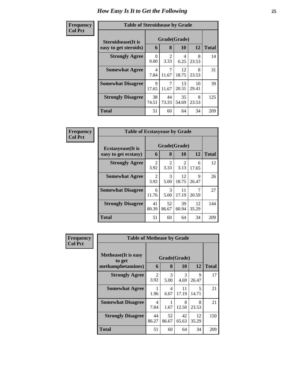| Frequency      | <b>Table of Steroidsease by Grade</b> |             |              |             |             |              |
|----------------|---------------------------------------|-------------|--------------|-------------|-------------|--------------|
| <b>Col Pct</b> | <b>Steroidsease</b> (It is            |             | Grade(Grade) |             |             |              |
|                | easy to get steroids)                 | 6           | 8            | 10          | 12          | <b>Total</b> |
|                | <b>Strongly Agree</b>                 | 0<br>0.00   | 2<br>3.33    | 4<br>6.25   | 8<br>23.53  | 14           |
|                | <b>Somewhat Agree</b>                 | 4<br>7.84   | 7<br>11.67   | 12<br>18.75 | 8<br>23.53  | 31           |
|                | <b>Somewhat Disagree</b>              | 9<br>17.65  | 11.67        | 13<br>20.31 | 10<br>29.41 | 39           |
|                | <b>Strongly Disagree</b>              | 38<br>74.51 | 44<br>73.33  | 35<br>54.69 | 8<br>23.53  | 125          |
|                | <b>Total</b>                          | 51          | 60           | 64          | 34          | 209          |

| Frequency      | <b>Table of Ecstasyease by Grade</b>              |                        |                       |             |             |              |  |  |  |  |  |
|----------------|---------------------------------------------------|------------------------|-----------------------|-------------|-------------|--------------|--|--|--|--|--|
| <b>Col Pct</b> | <b>Ecstasyease</b> (It is<br>easy to get ecstasy) | 6                      | Grade(Grade)<br>8     | 10          | 12          | <b>Total</b> |  |  |  |  |  |
|                | <b>Strongly Agree</b>                             | $\overline{2}$<br>3.92 | 2<br>3.33             | 2<br>3.13   | 6<br>17.65  | 12           |  |  |  |  |  |
|                | <b>Somewhat Agree</b>                             | $\mathfrak{D}$<br>3.92 | $\mathcal{R}$<br>5.00 | 12<br>18.75 | 9<br>26.47  | 26           |  |  |  |  |  |
|                | <b>Somewhat Disagree</b>                          | 6<br>11.76             | 3<br>5.00             | 11<br>17.19 | 20.59       | 27           |  |  |  |  |  |
|                | <b>Strongly Disagree</b>                          | 41<br>80.39            | 52<br>86.67           | 39<br>60.94 | 12<br>35.29 | 144          |  |  |  |  |  |
|                | Total                                             | 51                     | 60                    | 64          | 34          | 209          |  |  |  |  |  |

| Frequency      | <b>Table of Methease by Grade</b>                          |                        |                        |                           |             |              |
|----------------|------------------------------------------------------------|------------------------|------------------------|---------------------------|-------------|--------------|
| <b>Col Pct</b> | <b>Methease</b> (It is easy<br>to get<br>methamphetamines) | 6                      | 8                      | Grade(Grade)<br><b>10</b> | 12          | <b>Total</b> |
|                | <b>Strongly Agree</b>                                      | $\overline{2}$<br>3.92 | 3<br>5.00              | 3<br>4.69                 | 9<br>26.47  | 17           |
|                | <b>Somewhat Agree</b>                                      | 1<br>1.96              | $\overline{4}$<br>6.67 | 11<br>17.19               | 5<br>14.71  | 21           |
|                | <b>Somewhat Disagree</b>                                   | 4<br>7.84              | 1.67                   | 8<br>12.50                | 8<br>23.53  | 21           |
|                | <b>Strongly Disagree</b>                                   | 44<br>86.27            | 52<br>86.67            | 42<br>65.63               | 12<br>35.29 | 150          |
|                | <b>Total</b>                                               | 51                     | 60                     | 64                        | 34          | 209          |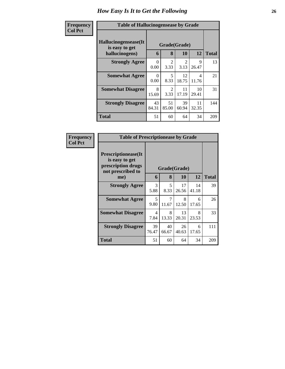| Frequency      | <b>Table of Hallucinogensease by Grade</b>               |                  |                        |                        |             |              |
|----------------|----------------------------------------------------------|------------------|------------------------|------------------------|-------------|--------------|
| <b>Col Pct</b> | Hallucinogensease(It<br>is easy to get<br>hallucinogens) | 6                | Grade(Grade)<br>8      | <b>10</b>              | 12          | <b>Total</b> |
|                | <b>Strongly Agree</b>                                    | $\Omega$<br>0.00 | $\mathfrak{D}$<br>3.33 | $\mathfrak{D}$<br>3.13 | 9<br>26.47  | 13           |
|                | <b>Somewhat Agree</b>                                    | $\Omega$<br>0.00 | 5<br>8.33              | 12<br>18.75            | 4<br>11.76  | 21           |
|                | <b>Somewhat Disagree</b>                                 | 8<br>15.69       | $\mathfrak{D}$<br>3.33 | 11<br>17.19            | 10<br>29.41 | 31           |
|                | <b>Strongly Disagree</b>                                 | 43<br>84.31      | 51<br>85.00            | 39<br>60.94            | 11<br>32.35 | 144          |
|                | <b>Total</b>                                             | 51               | 60                     | 64                     | 34          | 209          |

| Frequency<br><b>Col Pct</b> | <b>Table of Prescriptionease by Grade</b>                                                |              |             |             |             |              |
|-----------------------------|------------------------------------------------------------------------------------------|--------------|-------------|-------------|-------------|--------------|
|                             | <b>Prescriptionease</b> (It<br>is easy to get<br>prescription drugs<br>not prescribed to | Grade(Grade) |             |             |             |              |
|                             | me)                                                                                      | 6            | 8           | 10          | 12          | <b>Total</b> |
|                             | <b>Strongly Agree</b>                                                                    | 3<br>5.88    | 5<br>8.33   | 17<br>26.56 | 14<br>41.18 | 39           |
|                             | <b>Somewhat Agree</b>                                                                    | 5<br>9.80    | 7<br>11.67  | 8<br>12.50  | 6<br>17.65  | 26           |
|                             | <b>Somewhat Disagree</b>                                                                 | 4<br>7.84    | 8<br>13.33  | 13<br>20.31 | 8<br>23.53  | 33           |
|                             | <b>Strongly Disagree</b>                                                                 | 39<br>76.47  | 40<br>66.67 | 26<br>40.63 | 6<br>17.65  | 111          |
|                             | Total                                                                                    | 51           | 60          | 64          | 34          | 209          |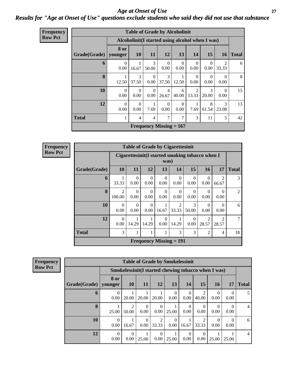*Age at Onset of Use* **27** *Results for "Age at Onset of Use" questions exclude students who said they did not use that substance*

| <b>Frequency</b> |              |                  |                  |                  | <b>Table of Grade by Alcoholinit</b>            |                  |                         |                  |                  |              |
|------------------|--------------|------------------|------------------|------------------|-------------------------------------------------|------------------|-------------------------|------------------|------------------|--------------|
| <b>Row Pct</b>   |              |                  |                  |                  | Alcoholinit(I started using alcohol when I was) |                  |                         |                  |                  |              |
|                  | Grade(Grade) | 8 or<br>younger  | <b>10</b>        | <b>11</b>        | <b>12</b>                                       | 13               | 14                      | 15               | 16 <sup>1</sup>  | <b>Total</b> |
|                  | 6            | $\Omega$<br>0.00 | 16.67            | 3<br>50.00       | $\Omega$<br>0.00                                | $\Omega$<br>0.00 | $\Omega$<br>0.00        | $\Omega$<br>0.00 | 2<br>33.33       | 6            |
|                  | 8            | 12.50            | 3<br>37.50       | $\Omega$<br>0.00 | 3<br>37.50                                      | 12.50            | $\Omega$<br>0.00        | $\Omega$<br>0.00 | $\Omega$<br>0.00 | 8            |
|                  | 10           | $\Omega$<br>0.00 | $\Omega$<br>0.00 | $\Omega$<br>0.00 | $\overline{4}$<br>26.67                         | 6<br>40.00       | $\mathfrak{D}$<br>13.33 | 3<br>20.00       | $\Omega$<br>0.00 | 15           |
|                  | 12           | $\Omega$<br>0.00 | $\Omega$<br>0.00 | 7.69             | $\theta$<br>0.00                                | $\Omega$<br>0.00 | 7.69                    | 8<br>61.54       | 3<br>23.08       | 13           |
|                  | <b>Total</b> |                  | 4                | 4                | 7                                               | 7                | 3                       | 11               | 5                | 42           |
|                  |              |                  |                  |                  | Frequency Missing $= 167$                       |                  |                         |                  |                  |              |

**Frequency Row Pct**

| <b>Table of Grade by Cigarettesinit</b> |                          |                                                         |                                |                  |                                      |                  |                         |                         |                |  |  |
|-----------------------------------------|--------------------------|---------------------------------------------------------|--------------------------------|------------------|--------------------------------------|------------------|-------------------------|-------------------------|----------------|--|--|
|                                         |                          | Cigarettesinit(I started smoking tobacco when I<br>was) |                                |                  |                                      |                  |                         |                         |                |  |  |
| Grade(Grade)                            | 10                       | 15<br>17<br>16<br>11<br>12<br>13<br>14                  |                                |                  |                                      |                  |                         |                         |                |  |  |
| 6                                       | 33.33                    | $\Omega$<br>0.00                                        | $\Omega$<br>0.00               | $\Omega$<br>0.00 | $\Omega$<br>0.00                     | $\Omega$<br>0.00 | $\Omega$<br>0.00        | $\mathfrak{D}$<br>66.67 | 3              |  |  |
| 8                                       | $\overline{2}$<br>100.00 | 0<br>0.00                                               | $\Omega$<br>0.00               | $\Omega$<br>0.00 | 0<br>0.00                            | 0<br>0.00        | $\mathbf{0}$<br>0.00    | 0<br>0.00               | $\mathfrak{D}$ |  |  |
| 10                                      | $\Omega$<br>0.00         | $\Omega$<br>0.00                                        | $\Omega$<br>0.00               | 16.67            | $\mathcal{D}_{\mathcal{L}}$<br>33.33 | 3<br>50.00       | 0<br>0.00               | 0<br>0.00               | 6              |  |  |
| 12                                      | $\Omega$<br>0.00         | 14.29                                                   | 14.29                          | $\Omega$<br>0.00 | 14.29                                | 0<br>0.00        | $\mathfrak{D}$<br>28.57 | $\mathfrak{D}$<br>28.57 | 7              |  |  |
| <b>Total</b>                            | 3                        | 3<br>3<br>2<br>4                                        |                                |                  |                                      |                  |                         |                         |                |  |  |
|                                         |                          |                                                         | <b>Frequency Missing = 191</b> |                  |                                      |                  |                         |                         |                |  |  |

| Frequency      | <b>Table of Grade by Smokelessinit</b> |                  |                  |                                                     |            |                  |                  |            |       |                  |              |
|----------------|----------------------------------------|------------------|------------------|-----------------------------------------------------|------------|------------------|------------------|------------|-------|------------------|--------------|
| <b>Row Pct</b> |                                        |                  |                  | Smokelessinit(I started chewing tobacco when I was) |            |                  |                  |            |       |                  |              |
|                | Grade(Grade)                           | 8 or<br>younger  | <b>10</b>        | 11                                                  | <b>12</b>  | 13               | 14               | 15         | 16    | 17               | <b>Total</b> |
|                | 6                                      | $\theta$<br>0.00 | 20.00            | 20.00                                               | 20.00      | $\Omega$<br>0.00 | $\theta$<br>0.00 | 2<br>40.00 | 0.00  | $\Omega$<br>0.00 |              |
|                | 8                                      | 25.00            | 50.00            | $\theta$<br>0.00                                    | 0<br>0.00  | 25.00            | 0<br>0.00        | 0<br>0.00  | 0.00  | 0<br>0.00        | 4            |
|                | 10                                     | $\Omega$<br>0.00 | 16.67            | $\theta$<br>0.00                                    | 2<br>33.33 | $\Omega$<br>0.00 | 16.67            | 2<br>33.33 | 0.00  | $\Omega$<br>0.00 | 6            |
|                | 12                                     | $\Omega$<br>0.00 | $\theta$<br>0.00 | 25.00                                               | 0.00       | 25.00            | $\left($<br>0.00 | 0<br>0.00  | 25.00 | 25.00            | 4            |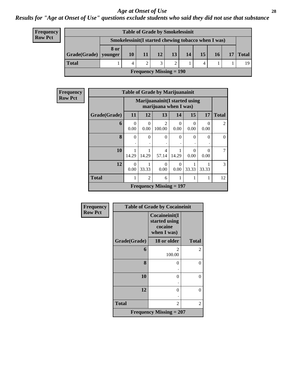*Results for "Age at Onset of Use" questions exclude students who said they did not use that substance*

| <b>Frequency</b> |
|------------------|
| <b>Row Pct</b>   |

| <b>Table of Grade by Smokelessinit</b> |      |                                                     |    |                 |           |    |    |    |  |       |
|----------------------------------------|------|-----------------------------------------------------|----|-----------------|-----------|----|----|----|--|-------|
|                                        |      | Smokelessinit(I started chewing tobacco when I was) |    |                 |           |    |    |    |  |       |
| $Grade(Grade)$ younger                 | 8 or | 10                                                  | 11 | 12 <sub>1</sub> | <b>13</b> | 14 | 15 | 16 |  | Total |
| <b>Total</b>                           |      |                                                     |    |                 |           |    |    |    |  | 19    |
| <b>Frequency Missing = 190</b>         |      |                                                     |    |                 |           |    |    |    |  |       |

| Frequency      | <b>Table of Grade by Marijuanainit</b> |                  |                  |                                                         |           |           |           |              |  |
|----------------|----------------------------------------|------------------|------------------|---------------------------------------------------------|-----------|-----------|-----------|--------------|--|
| <b>Row Pct</b> |                                        |                  |                  | Marijuanainit (I started using<br>marijuana when I was) |           |           |           |              |  |
|                | Grade(Grade)                           | 11               | 12               | 13                                                      | 14        | 15        | 17        | <b>Total</b> |  |
|                | 6                                      | $\Omega$<br>0.00 | $\Omega$<br>0.00 | $\mathfrak{D}$<br>100.00                                | 0<br>0.00 | 0<br>0.00 | 0<br>0.00 | 2            |  |
|                | 8                                      | $\Omega$         | $\Omega$         | $\Omega$                                                | $\Omega$  | $\Omega$  | $\Omega$  | $\Omega$     |  |
|                | 10                                     | 14.29            | 14.29            | $\overline{4}$<br>57.14                                 | 14.29     | 0<br>0.00 | 0<br>0.00 | 7            |  |
|                | 12                                     | $\Omega$<br>0.00 | 33.33            | 0<br>0.00                                               | 0<br>0.00 | 33.33     | 33.33     | 3            |  |
|                | <b>Total</b>                           |                  | $\overline{2}$   | 6                                                       | 1         |           | 1         | 12           |  |
|                |                                        |                  |                  | <b>Frequency Missing = 197</b>                          |           |           |           |              |  |

| Frequency      |                                | <b>Table of Grade by Cocaineinit</b>                     |              |  |  |  |  |
|----------------|--------------------------------|----------------------------------------------------------|--------------|--|--|--|--|
| <b>Row Pct</b> |                                | Cocaineinit(I<br>started using<br>cocaine<br>when I was) |              |  |  |  |  |
|                | Grade(Grade)                   | 18 or older                                              | <b>Total</b> |  |  |  |  |
|                | 6                              | 2<br>100.00                                              | 2            |  |  |  |  |
|                | 8                              | 0                                                        | 0            |  |  |  |  |
|                | 10                             | 0                                                        | $\theta$     |  |  |  |  |
|                | 12                             | 0                                                        | 0            |  |  |  |  |
|                | <b>Total</b>                   | 2                                                        | 2            |  |  |  |  |
|                | <b>Frequency Missing = 207</b> |                                                          |              |  |  |  |  |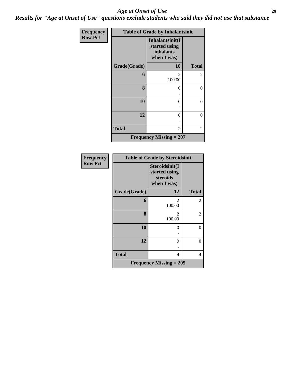*Results for "Age at Onset of Use" questions exclude students who said they did not use that substance*

| Frequency      |              | <b>Table of Grade by Inhalantsinit</b>                       |              |
|----------------|--------------|--------------------------------------------------------------|--------------|
| <b>Row Pct</b> |              | Inhalantsinit(I<br>started using<br>inhalants<br>when I was) |              |
|                | Grade(Grade) | <b>10</b>                                                    | <b>Total</b> |
|                | 6            | 2<br>100.00                                                  | 2            |
|                | 8            | 0                                                            | 0            |
|                | 10           | $\theta$                                                     | 0            |
|                | 12           | 0                                                            | 0            |
|                | <b>Total</b> | 2                                                            | 2            |
|                |              | Frequency Missing $= 207$                                    |              |

| <b>Frequency</b> | <b>Table of Grade by Steroidsinit</b> |                                                            |              |  |  |  |
|------------------|---------------------------------------|------------------------------------------------------------|--------------|--|--|--|
| <b>Row Pct</b>   |                                       | Steroidsinit(I<br>started using<br>steroids<br>when I was) |              |  |  |  |
|                  | Grade(Grade)                          | 12                                                         | <b>Total</b> |  |  |  |
|                  | 6                                     | $\mathfrak{D}$<br>100.00                                   | 2            |  |  |  |
|                  | 8                                     | 2<br>100.00                                                | 2            |  |  |  |
|                  | 10                                    | 0                                                          | 0            |  |  |  |
|                  | 12                                    | 0                                                          | $\theta$     |  |  |  |
|                  | <b>Total</b>                          | 4                                                          | 4            |  |  |  |
|                  |                                       | <b>Frequency Missing = 205</b>                             |              |  |  |  |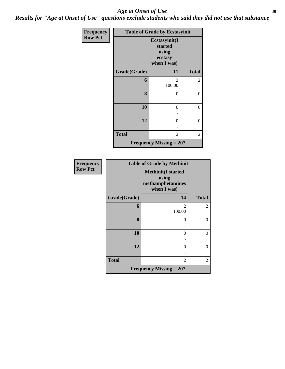*Results for "Age at Onset of Use" questions exclude students who said they did not use that substance*

| Frequency      | <b>Table of Grade by Ecstasyinit</b> |                                                             |                  |  |  |  |  |
|----------------|--------------------------------------|-------------------------------------------------------------|------------------|--|--|--|--|
| <b>Row Pct</b> |                                      | Ecstasyinit(I<br>started<br>using<br>ecstasy<br>when I was) |                  |  |  |  |  |
|                | Grade(Grade)                         | 11                                                          | <b>Total</b>     |  |  |  |  |
|                | 6                                    | 2<br>100.00                                                 | 2                |  |  |  |  |
|                | 8                                    | $\theta$                                                    | $\theta$         |  |  |  |  |
|                | 10                                   | $\theta$                                                    | $\overline{0}$   |  |  |  |  |
|                | 12                                   | 0                                                           | $\boldsymbol{0}$ |  |  |  |  |
|                | <b>Total</b>                         | 2                                                           | 2                |  |  |  |  |
|                |                                      | Frequency Missing $= 207$                                   |                  |  |  |  |  |

| <b>Frequency</b> | <b>Table of Grade by Methinit</b> |                                                                       |              |  |  |  |
|------------------|-----------------------------------|-----------------------------------------------------------------------|--------------|--|--|--|
| <b>Row Pct</b>   |                                   | <b>Methinit(I started</b><br>using<br>methamphetamines<br>when I was) |              |  |  |  |
|                  | Grade(Grade)                      | 14                                                                    | <b>Total</b> |  |  |  |
|                  | 6                                 | $\overline{\mathcal{L}}$<br>100.00                                    | 2            |  |  |  |
|                  | 8                                 | $\theta$                                                              | $\Omega$     |  |  |  |
|                  | 10                                | 0                                                                     | $\theta$     |  |  |  |
|                  | 12                                | 0                                                                     | $\Omega$     |  |  |  |
|                  | <b>Total</b>                      | $\overline{c}$                                                        | 2            |  |  |  |
|                  |                                   | <b>Frequency Missing = 207</b>                                        |              |  |  |  |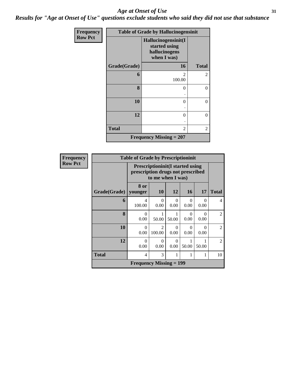*Results for "Age at Onset of Use" questions exclude students who said they did not use that substance*

| Frequency      | <b>Table of Grade by Hallucinogensinit</b> |                                                                      |                |  |  |  |  |
|----------------|--------------------------------------------|----------------------------------------------------------------------|----------------|--|--|--|--|
| <b>Row Pct</b> |                                            | Hallucinogensinit(I<br>started using<br>hallucinogens<br>when I was) |                |  |  |  |  |
|                | Grade(Grade)                               | 16                                                                   | <b>Total</b>   |  |  |  |  |
|                | 6                                          | $\mathfrak{D}$<br>100.00                                             | $\overline{c}$ |  |  |  |  |
|                | 8                                          | 0<br>٠                                                               | $\theta$       |  |  |  |  |
|                | 10                                         | 0                                                                    | $\overline{0}$ |  |  |  |  |
|                | 12                                         | 0                                                                    | $\overline{0}$ |  |  |  |  |
|                | <b>Total</b>                               | 2                                                                    | $\overline{2}$ |  |  |  |  |
|                |                                            | <b>Frequency Missing = 207</b>                                       |                |  |  |  |  |

| <b>Frequency</b> |              | <b>Table of Grade by Prescriptioninit</b>                                                         |                                       |                  |                  |                  |                |  |  |  |
|------------------|--------------|---------------------------------------------------------------------------------------------------|---------------------------------------|------------------|------------------|------------------|----------------|--|--|--|
| <b>Row Pct</b>   |              | <b>Prescriptioninit(I started using</b><br>prescription drugs not prescribed<br>to me when I was) |                                       |                  |                  |                  |                |  |  |  |
|                  | Grade(Grade) | 8 or<br>younger                                                                                   | <b>10</b>                             | 12               | <b>16</b>        | 17               | <b>Total</b>   |  |  |  |
|                  | 6            | 4<br>100.00                                                                                       | $\Omega$<br>0.00                      | $\Omega$<br>0.00 | 0<br>0.00        | 0<br>0.00        | 4              |  |  |  |
|                  | 8            | $\theta$<br>0.00                                                                                  | 1<br>50.00                            | 50.00            | $\Omega$<br>0.00 | $\Omega$<br>0.00 | $\overline{2}$ |  |  |  |
|                  | 10           | $\Omega$<br>0.00                                                                                  | $\mathcal{D}_{\mathcal{L}}$<br>100.00 | $\Omega$<br>0.00 | 0<br>0.00        | $\Omega$<br>0.00 | $\mathfrak{D}$ |  |  |  |
|                  | 12           | $\theta$<br>0.00                                                                                  | $\Omega$<br>0.00                      | $\Omega$<br>0.00 | 50.00            | 50.00            | $\overline{2}$ |  |  |  |
|                  | <b>Total</b> | $\overline{4}$                                                                                    | 3                                     | 1                | 1                | 1                | 10             |  |  |  |
|                  |              | <b>Frequency Missing = 199</b>                                                                    |                                       |                  |                  |                  |                |  |  |  |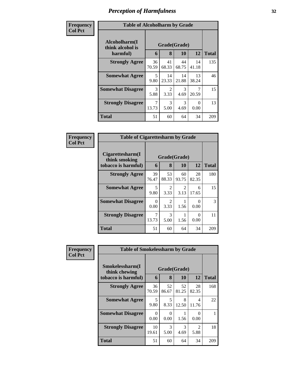| Frequency<br><b>Col Pct</b> | <b>Table of Alcoholharm by Grade</b>          |                                  |                   |                       |             |              |
|-----------------------------|-----------------------------------------------|----------------------------------|-------------------|-----------------------|-------------|--------------|
|                             | Alcoholharm(I<br>think alcohol is<br>harmful) | 6                                | Grade(Grade)<br>8 | <b>10</b>             | 12          | <b>Total</b> |
|                             | <b>Strongly Agree</b>                         | 36<br>70.59                      | 41<br>68.33       | 44<br>68.75           | 14<br>41.18 | 135          |
|                             | <b>Somewhat Agree</b>                         | $\overline{\mathcal{L}}$<br>9.80 | 14<br>23.33       | 14<br>21.88           | 13<br>38.24 | 46           |
|                             | <b>Somewhat Disagree</b>                      | 3<br>5.88                        | 2<br>3.33         | 3<br>4.69             | 7<br>20.59  | 15           |
|                             | <b>Strongly Disagree</b>                      | 7<br>13.73                       | 3<br>5.00         | $\mathcal{R}$<br>4.69 | 0<br>0.00   | 13           |
|                             | Total                                         | 51                               | 60                | 64                    | 34          | 209          |

| Frequency      | <b>Table of Cigarettesharm by Grade</b>                  |             |                        |                        |             |              |
|----------------|----------------------------------------------------------|-------------|------------------------|------------------------|-------------|--------------|
| <b>Col Pct</b> | Cigarettesharm(I<br>think smoking<br>tobacco is harmful) | 6           | 8                      | Grade(Grade)<br>10     | 12          | <b>Total</b> |
|                | <b>Strongly Agree</b>                                    | 39<br>76.47 | 53<br>88.33            | 60<br>93.75            | 28<br>82.35 | 180          |
|                | <b>Somewhat Agree</b>                                    | 5<br>9.80   | $\mathfrak{D}$<br>3.33 | $\mathfrak{D}$<br>3.13 | 6<br>17.65  | 15           |
|                | <b>Somewhat Disagree</b>                                 | 0<br>0.00   | $\mathfrak{D}$<br>3.33 | 1.56                   | 0.00        | 3            |
|                | <b>Strongly Disagree</b>                                 | 7<br>13.73  | 3<br>5.00              | 1.56                   | 0.00        | 11           |
|                | <b>Total</b>                                             | 51          | 60                     | 64                     | 34          | 209          |

| Frequency<br><b>Col Pct</b> | <b>Table of Smokelessharm by Grade</b> |             |              |             |                        |              |  |  |
|-----------------------------|----------------------------------------|-------------|--------------|-------------|------------------------|--------------|--|--|
|                             | Smokelessharm(I<br>think chewing       |             | Grade(Grade) |             |                        |              |  |  |
|                             | tobacco is harmful)                    | 6           | 8            | 10          | 12                     | <b>Total</b> |  |  |
|                             | <b>Strongly Agree</b>                  | 36<br>70.59 | 52<br>86.67  | 52<br>81.25 | 28<br>82.35            | 168          |  |  |
|                             | <b>Somewhat Agree</b>                  | 5<br>9.80   | 5<br>8.33    | 8<br>12.50  | 4<br>11.76             | 22           |  |  |
|                             | <b>Somewhat Disagree</b>               | 0<br>0.00   | 0<br>0.00    | 1.56        | 0.00                   |              |  |  |
|                             | <b>Strongly Disagree</b>               | 10<br>19.61 | 3<br>5.00    | 3<br>4.69   | $\mathfrak{D}$<br>5.88 | 18           |  |  |
|                             | <b>Total</b>                           | 51          | 60           | 64          | 34                     | 209          |  |  |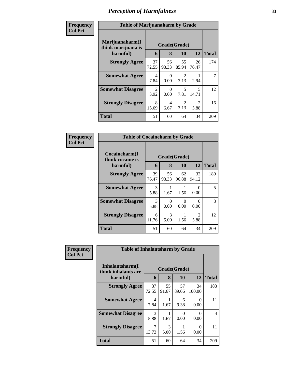| Frequency      | <b>Table of Marijuanaharm by Grade</b>            |                        |                   |                        |                                  |              |
|----------------|---------------------------------------------------|------------------------|-------------------|------------------------|----------------------------------|--------------|
| <b>Col Pct</b> | Marijuanaharm(I<br>think marijuana is<br>harmful) | 6                      | Grade(Grade)<br>8 | 10                     | 12                               | <b>Total</b> |
|                | <b>Strongly Agree</b>                             | 37<br>72.55            | 56<br>93.33       | 55<br>85.94            | 26<br>76.47                      | 174          |
|                | <b>Somewhat Agree</b>                             | $\overline{4}$<br>7.84 | $\Omega$<br>0.00  | $\mathfrak{D}$<br>3.13 | 2.94                             | 7            |
|                | <b>Somewhat Disagree</b>                          | 2<br>3.92              | $\Omega$<br>0.00  | 5<br>7.81              | $\overline{\mathbf{5}}$<br>14.71 | 12           |
|                | <b>Strongly Disagree</b>                          | 8<br>15.69             | 4<br>6.67         | $\mathfrak{D}$<br>3.13 | $\mathfrak{D}$<br>5.88           | 16           |
|                | <b>Total</b>                                      | 51                     | 60                | 64                     | 34                               | 209          |

| Frequency      | <b>Table of Cocaineharm by Grade</b>          |             |                       |                      |                       |               |
|----------------|-----------------------------------------------|-------------|-----------------------|----------------------|-----------------------|---------------|
| <b>Col Pct</b> | Cocaineharm(I<br>think cocaine is<br>harmful) | 6           | Grade(Grade)<br>8     | 10                   | 12                    | <b>Total</b>  |
|                | <b>Strongly Agree</b>                         | 39<br>76.47 | 56<br>93.33           | 62<br>96.88          | 32<br>94.12           | 189           |
|                | <b>Somewhat Agree</b>                         | 3<br>5.88   | 1.67                  | 1.56                 | 0<br>0.00             | 5             |
|                | <b>Somewhat Disagree</b>                      | 3<br>5.88   | 0<br>0.00             | $\mathbf{0}$<br>0.00 | 0.00                  | $\mathcal{R}$ |
|                | <b>Strongly Disagree</b>                      | 6<br>11.76  | $\mathcal{R}$<br>5.00 | 1.56                 | $\mathcal{D}$<br>5.88 | 12            |
|                | <b>Total</b>                                  | 51          | 60                    | 64                   | 34                    | 209           |

| Frequency      | <b>Table of Inhalantsharm by Grade</b>  |                       |              |                           |                  |                |
|----------------|-----------------------------------------|-----------------------|--------------|---------------------------|------------------|----------------|
| <b>Col Pct</b> | Inhalantsharm(I)<br>think inhalants are |                       | Grade(Grade) |                           |                  |                |
|                | harmful)                                | 6                     | 8            | 10                        | 12               | <b>Total</b>   |
|                | <b>Strongly Agree</b>                   | 37<br>72.55           | 55<br>91.67  | 57<br>89.06               | 34<br>100.00     | 183            |
|                | <b>Somewhat Agree</b>                   | 4<br>7.84             | 1.67         | 6<br>9.38                 | 0<br>0.00        | 11             |
|                | <b>Somewhat Disagree</b>                | $\mathcal{R}$<br>5.88 | 1.67         | $\mathbf{\Omega}$<br>0.00 | $\Omega$<br>0.00 | $\overline{4}$ |
|                | <b>Strongly Disagree</b>                | 13.73                 | 3<br>5.00    | 1.56                      | 0<br>0.00        | 11             |
|                | <b>Total</b>                            | 51                    | 60           | 64                        | 34               | 209            |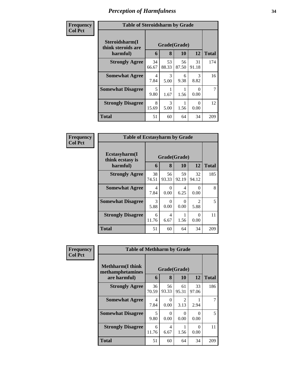| Frequency      | <b>Table of Steroidsharm by Grade</b>            |             |                   |             |                       |              |
|----------------|--------------------------------------------------|-------------|-------------------|-------------|-----------------------|--------------|
| <b>Col Pct</b> | Steroidsharm(I<br>think steroids are<br>harmful) | 6           | Grade(Grade)<br>8 | <b>10</b>   | 12                    | <b>Total</b> |
|                | <b>Strongly Agree</b>                            | 34<br>66.67 | 53<br>88.33       | 56<br>87.50 | 31<br>91.18           | 174          |
|                | <b>Somewhat Agree</b>                            | 4<br>7.84   | 3<br>5.00         | 6<br>9.38   | $\mathcal{R}$<br>8.82 | 16           |
|                | <b>Somewhat Disagree</b>                         | 5<br>9.80   | 1.67              | 1.56        | 0<br>0.00             | 7            |
|                | <b>Strongly Disagree</b>                         | 8<br>15.69  | 3<br>5.00         | 1.56        | 0<br>0.00             | 12           |
|                | <b>Total</b>                                     | 51          | 60                | 64          | 34                    | 209          |

| Frequency      | <b>Table of Ecstasyharm by Grade</b>                |                   |                  |             |                                     |     |  |
|----------------|-----------------------------------------------------|-------------------|------------------|-------------|-------------------------------------|-----|--|
| <b>Col Pct</b> | $E$ cstasyharm $(I$<br>think ecstasy is<br>harmful) | Grade(Grade)<br>6 | <b>Total</b>     |             |                                     |     |  |
|                | <b>Strongly Agree</b>                               | 38<br>74.51       | 56<br>93.33      | 59<br>92.19 | 32<br>94.12                         | 185 |  |
|                | <b>Somewhat Agree</b>                               | 4<br>7.84         | $\Omega$<br>0.00 | 4<br>6.25   | $\mathbf{\Omega}$<br>0.00           | 8   |  |
|                | <b>Somewhat Disagree</b>                            | 3<br>5.88         | 0<br>0.00        | 0<br>0.00   | $\mathcal{D}_{\mathcal{L}}$<br>5.88 | 5   |  |
|                | <b>Strongly Disagree</b>                            | 6<br>11.76        | 4<br>6.67        | 1.56        | 0.00                                | 11  |  |
|                | <b>Total</b>                                        | 51                | 60               | 64          | 34                                  | 209 |  |

| Frequency      | <b>Table of Methharm by Grade</b>            |              |                  |                        |                  |                               |  |
|----------------|----------------------------------------------|--------------|------------------|------------------------|------------------|-------------------------------|--|
| <b>Col Pct</b> | <b>Methharm</b> (I think<br>methamphetamines | Grade(Grade) |                  |                        |                  |                               |  |
|                | are harmful)                                 | 6            | 8                | 10                     | 12               | <b>Total</b><br>186<br>7<br>5 |  |
|                | <b>Strongly Agree</b>                        | 36<br>70.59  | 56<br>93.33      | 61<br>95.31            | 33<br>97.06      |                               |  |
|                | <b>Somewhat Agree</b>                        | 4<br>7.84    | $\Omega$<br>0.00 | $\mathfrak{D}$<br>3.13 | 2.94             |                               |  |
|                | <b>Somewhat Disagree</b>                     | 5<br>9.80    | $\Omega$<br>0.00 | 0<br>0.00              | $\Omega$<br>0.00 |                               |  |
|                | <b>Strongly Disagree</b>                     | 6<br>11.76   | 4<br>6.67        | 1.56                   | $\theta$<br>0.00 | 11                            |  |
|                | <b>Total</b>                                 | 51           | 60               | 64                     | 34               | 209                           |  |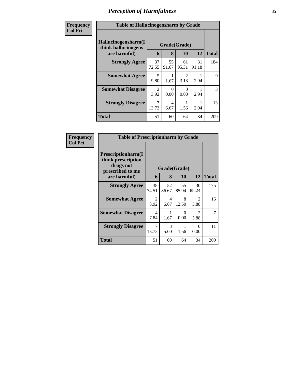| Frequency<br><b>Col Pct</b> | <b>Table of Hallucinogensharm by Grade</b>                                                              |             |                           |                        |             |              |  |  |
|-----------------------------|---------------------------------------------------------------------------------------------------------|-------------|---------------------------|------------------------|-------------|--------------|--|--|
|                             | Hallucinogensharm(I<br>Grade(Grade)<br>think hallucinogens<br>12<br>are harmful)<br>8<br><b>10</b><br>6 |             |                           |                        |             | <b>Total</b> |  |  |
|                             | <b>Strongly Agree</b>                                                                                   | 37<br>72.55 | 55<br>91.67               | 61<br>95.31            | 31<br>91.18 | 184          |  |  |
|                             | <b>Somewhat Agree</b>                                                                                   | 5<br>9.80   | 1.67                      | $\mathfrak{D}$<br>3.13 | 2.94        | 9            |  |  |
|                             | <b>Somewhat Disagree</b>                                                                                | 2<br>3.92   | $\mathbf{\Omega}$<br>0.00 | 0<br>0.00              | 2.94        | 3            |  |  |
|                             | <b>Strongly Disagree</b>                                                                                | 7<br>13.73  | 4<br>6.67                 | 1.56                   | 2.94        | 13           |  |  |
|                             | <b>Total</b>                                                                                            | 51          | 60                        | 64                     | 34          | 209          |  |  |

| Frequency      | <b>Table of Prescriptionharm by Grade</b>                                                         |                        |             |             |                                     |              |  |  |
|----------------|---------------------------------------------------------------------------------------------------|------------------------|-------------|-------------|-------------------------------------|--------------|--|--|
| <b>Col Pct</b> | <b>Prescriptionharm(I)</b><br>think prescription<br>drugs not<br>Grade(Grade)<br>prescribed to me |                        |             |             |                                     |              |  |  |
|                | are harmful)                                                                                      | 6                      | 8           | 10          | 12                                  | <b>Total</b> |  |  |
|                | <b>Strongly Agree</b>                                                                             | 38<br>74.51            | 52<br>86.67 | 55<br>85.94 | 30<br>88.24                         | 175          |  |  |
|                | <b>Somewhat Agree</b>                                                                             | $\mathfrak{D}$<br>3.92 | 4<br>6.67   | 8<br>12.50  | $\mathfrak{D}$<br>5.88              | 16           |  |  |
|                | <b>Somewhat Disagree</b>                                                                          | 4<br>7.84              | 1.67        | 0<br>0.00   | $\mathcal{D}_{\mathcal{L}}$<br>5.88 | 7            |  |  |
|                | <b>Strongly Disagree</b>                                                                          | 7<br>13.73             | 3<br>5.00   | 1.56        | $\mathbf{0}$<br>0.00                | 11           |  |  |
|                | Total                                                                                             | 51                     | 60          | 64          | 34                                  | 209          |  |  |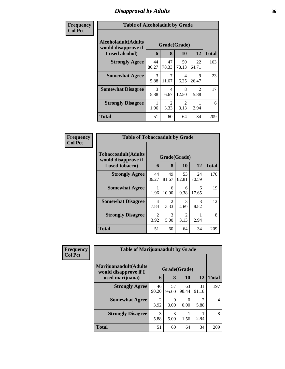# *Disapproval by Adults* **36**

| <b>Frequency</b> | <b>Table of Alcoholadult by Grade</b>              |              |                       |                        |                                     |              |
|------------------|----------------------------------------------------|--------------|-----------------------|------------------------|-------------------------------------|--------------|
| <b>Col Pct</b>   | <b>Alcoholadult</b> (Adults<br>would disapprove if | Grade(Grade) |                       |                        |                                     |              |
|                  | I used alcohol)                                    | 6            | 8                     | <b>10</b>              | 12                                  | <b>Total</b> |
|                  | <b>Strongly Agree</b>                              | 44<br>86.27  | 47<br>78.33           | 50<br>78.13            | 22<br>64.71                         | 163          |
|                  | <b>Somewhat Agree</b>                              | 3<br>5.88    | 11.67                 | 4<br>6.25              | 9<br>26.47                          | 23           |
|                  | <b>Somewhat Disagree</b>                           | 3<br>5.88    | 4<br>6.67             | 8<br>12.50             | $\mathcal{D}_{\mathcal{A}}$<br>5.88 | 17           |
|                  | <b>Strongly Disagree</b>                           | 1<br>1.96    | $\mathcal{D}$<br>3.33 | $\mathfrak{D}$<br>3.13 | 2.94                                | 6            |
|                  | <b>Total</b>                                       | 51           | 60                    | 64                     | 34                                  | 209          |

| Frequency      | <b>Table of Tobaccoadult by Grade</b>                                |                   |                                     |             |             |     |  |
|----------------|----------------------------------------------------------------------|-------------------|-------------------------------------|-------------|-------------|-----|--|
| <b>Col Pct</b> | <b>Tobaccoadult(Adults</b><br>would disapprove if<br>I used tobacco) | Grade(Grade)<br>6 | <b>Total</b>                        |             |             |     |  |
|                | <b>Strongly Agree</b>                                                | 44<br>86.27       | 49<br>81.67                         | 53<br>82.81 | 24<br>70.59 | 170 |  |
|                | <b>Somewhat Agree</b>                                                | 1.96              | 6<br>10.00                          | 6<br>9.38   | 6<br>17.65  | 19  |  |
|                | <b>Somewhat Disagree</b>                                             | 4<br>7.84         | $\mathcal{D}_{\mathcal{L}}$<br>3.33 | 3<br>4.69   | 3<br>8.82   | 12  |  |
|                | <b>Strongly Disagree</b>                                             | 2<br>3.92         | 3<br>5.00                           | 2<br>3.13   | 2.94        | 8   |  |
|                | <b>Total</b>                                                         | 51                | 60                                  | 64          | 34          | 209 |  |

| <b>Frequency</b> | <b>Table of Marijuanaadult by Grade</b>                           |                        |                   |             |             |              |
|------------------|-------------------------------------------------------------------|------------------------|-------------------|-------------|-------------|--------------|
| <b>Col Pct</b>   | Marijuanaadult(Adults<br>would disapprove if I<br>used marijuana) | 6                      | Grade(Grade)<br>8 | <b>10</b>   | <b>12</b>   | <b>Total</b> |
|                  | <b>Strongly Agree</b>                                             | 46<br>90.20            | 57<br>95.00       | 63<br>98.44 | 31<br>91.18 | 197          |
|                  | <b>Somewhat Agree</b>                                             | $\overline{2}$<br>3.92 | $\Omega$<br>0.00  | 0.00        | 2<br>5.88   | 4            |
|                  | <b>Strongly Disagree</b>                                          | 3<br>5.88              | 3<br>5.00         | 1.56        | 2.94        | 8            |
|                  | <b>Total</b>                                                      | 51                     | 60                | 64          | 34          | 209          |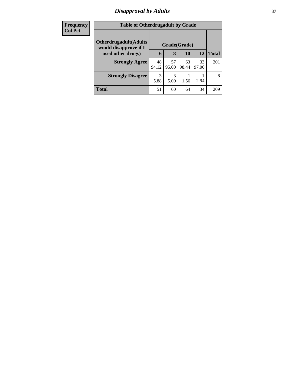# *Disapproval by Adults* **37**

| <b>Frequency</b> | <b>Table of Otherdrugadult by Grade</b>                |             |             |              |             |              |  |
|------------------|--------------------------------------------------------|-------------|-------------|--------------|-------------|--------------|--|
| <b>Col Pct</b>   | <b>Otherdrugadult</b> (Adults<br>would disapprove if I |             |             | Grade(Grade) |             |              |  |
|                  | used other drugs)                                      | 6           | 8           | 10           | 12          | <b>Total</b> |  |
|                  | <b>Strongly Agree</b>                                  | 48<br>94.12 | 57<br>95.00 | 63<br>98.44  | 33<br>97.06 | 201          |  |
|                  | <b>Strongly Disagree</b>                               | 3<br>5.88   | 3<br>5.00   | 1.56         | 2.94        | 8            |  |
|                  | <b>Total</b>                                           | 51          | 60          | 64           | 34          | 209          |  |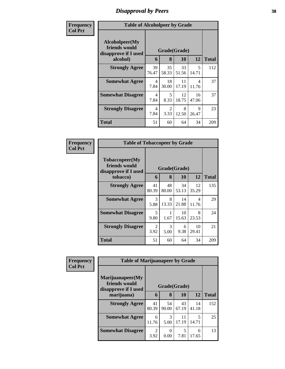## *Disapproval by Peers* **38**

| Frequency      |                                                         | <b>Table of Alcoholpeer by Grade</b> |                        |             |             |              |  |  |  |
|----------------|---------------------------------------------------------|--------------------------------------|------------------------|-------------|-------------|--------------|--|--|--|
| <b>Col Pct</b> | Alcoholpeer(My<br>friends would<br>disapprove if I used |                                      | Grade(Grade)           |             |             |              |  |  |  |
|                | alcohol)                                                | 6                                    | 8                      | 10          | 12          | <b>Total</b> |  |  |  |
|                | <b>Strongly Agree</b>                                   | 39<br>76.47                          | 35<br>58.33            | 33<br>51.56 | 5<br>14.71  | 112          |  |  |  |
|                | <b>Somewhat Agree</b>                                   | 4<br>7.84                            | 18<br>30.00            | 11<br>17.19 | 4<br>11.76  | 37           |  |  |  |
|                | <b>Somewhat Disagree</b>                                | 4<br>7.84                            | 5<br>8.33              | 12<br>18.75 | 16<br>47.06 | 37           |  |  |  |
|                | <b>Strongly Disagree</b>                                | $\overline{\mathcal{A}}$<br>7.84     | $\overline{2}$<br>3.33 | 8<br>12.50  | 9<br>26.47  | 23           |  |  |  |
|                | Total                                                   | 51                                   | 60                     | 64          | 34          | 209          |  |  |  |

| Frequency      | <b>Table of Tobaccopeer by Grade</b>                    |              |             |             |             |              |
|----------------|---------------------------------------------------------|--------------|-------------|-------------|-------------|--------------|
| <b>Col Pct</b> | Tobaccopeer(My<br>friends would<br>disapprove if I used | Grade(Grade) |             |             |             |              |
|                | tobacco)                                                | 6            | 8           | 10          | 12          | <b>Total</b> |
|                | <b>Strongly Agree</b>                                   | 41<br>80.39  | 48<br>80.00 | 34<br>53.13 | 12<br>35.29 | 135          |
|                | <b>Somewhat Agree</b>                                   | 3<br>5.88    | 8<br>13.33  | 14<br>21.88 | 4<br>11.76  | 29           |
|                | <b>Somewhat Disagree</b>                                | 5<br>9.80    | 1.67        | 10<br>15.63 | 8<br>23.53  | 24           |
|                | <b>Strongly Disagree</b>                                | 2<br>3.92    | 3<br>5.00   | 6<br>9.38   | 10<br>29.41 | 21           |
|                | Total                                                   | 51           | 60          | 64          | 34          | 209          |

| Frequency      |                                                           | <b>Table of Marijuanapeer by Grade</b> |             |             |             |              |  |  |  |
|----------------|-----------------------------------------------------------|----------------------------------------|-------------|-------------|-------------|--------------|--|--|--|
| <b>Col Pct</b> | Marijuanapeer(My<br>friends would<br>disapprove if I used | Grade(Grade)                           |             |             |             |              |  |  |  |
|                | marijuana)                                                | 6                                      | 8           | 10          | 12          | <b>Total</b> |  |  |  |
|                | <b>Strongly Agree</b>                                     | 41<br>80.39                            | 54<br>90.00 | 43<br>67.19 | 14<br>41.18 | 152          |  |  |  |
|                | <b>Somewhat Agree</b>                                     | 6<br>11.76                             | 3<br>5.00   | 11<br>17.19 | 5<br>14.71  | 25           |  |  |  |
|                | <b>Somewhat Disagree</b>                                  | 2<br>3.92                              | 0<br>0.00   | 5<br>7.81   | 6<br>17.65  | 13           |  |  |  |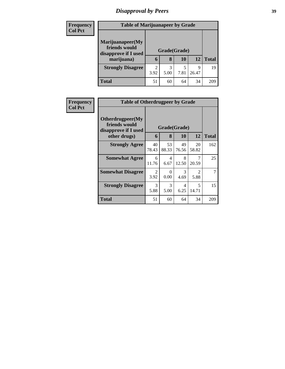# *Disapproval by Peers* **39**

| <b>Frequency</b> | <b>Table of Marijuanapeer by Grade</b>                    |                        |                   |           |            |              |
|------------------|-----------------------------------------------------------|------------------------|-------------------|-----------|------------|--------------|
| <b>Col Pct</b>   | Marijuanapeer(My<br>friends would<br>disapprove if I used |                        | Grade(Grade)<br>8 | 10        | 12         |              |
|                  | marijuana)                                                | 6                      |                   |           |            | <b>Total</b> |
|                  | <b>Strongly Disagree</b>                                  | $\overline{c}$<br>3.92 | 3<br>5.00         | 5<br>7.81 | Q<br>26.47 | 19           |
|                  | <b>Total</b>                                              | 51                     | 60                | 64        | 34         | 209          |

| Frequency      | <b>Table of Otherdrugpeer by Grade</b>                                    |             |                   |             |                                     |              |
|----------------|---------------------------------------------------------------------------|-------------|-------------------|-------------|-------------------------------------|--------------|
| <b>Col Pct</b> | Otherdrugpeer(My<br>friends would<br>disapprove if I used<br>other drugs) | 6           | Grade(Grade)<br>8 | 10          | 12                                  | <b>Total</b> |
|                | <b>Strongly Agree</b>                                                     | 40<br>78.43 | 53<br>88.33       | 49<br>76.56 | 20<br>58.82                         | 162          |
|                | <b>Somewhat Agree</b>                                                     | 6<br>11.76  | 4<br>6.67         | 8<br>12.50  | 7<br>20.59                          | 25           |
|                | <b>Somewhat Disagree</b>                                                  | 2<br>3.92   | 0<br>0.00         | 3<br>4.69   | $\mathcal{D}_{\mathcal{L}}$<br>5.88 | 7            |
|                | <b>Strongly Disagree</b>                                                  | 3<br>5.88   | 3<br>5.00         | 4<br>6.25   | $\overline{\mathcal{L}}$<br>14.71   | 15           |
|                | Total                                                                     | 51          | 60                | 64          | 34                                  | 209          |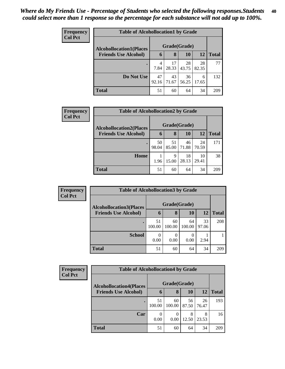| <b>Frequency</b><br><b>Col Pct</b> | <b>Table of Alcohollocation1 by Grade</b> |              |             |             |             |              |  |  |
|------------------------------------|-------------------------------------------|--------------|-------------|-------------|-------------|--------------|--|--|
|                                    | <b>Alcohollocation1(Places</b>            | Grade(Grade) |             |             |             |              |  |  |
|                                    | <b>Friends Use Alcohol)</b>               | 6            | 8           | 10          | 12          | <b>Total</b> |  |  |
|                                    |                                           | 4<br>7.84    | 17<br>28.33 | 28<br>43.75 | 28<br>82.35 | 77           |  |  |
|                                    | Do Not Use                                | 47<br>92.16  | 43<br>71.67 | 36<br>56.25 | 6<br>17.65  | 132          |  |  |
|                                    | <b>Total</b>                              | 51           | 60          | 64          | 34          | 209          |  |  |

| Frequency      | <b>Table of Alcohollocation2 by Grade</b> |              |             |             |             |              |  |
|----------------|-------------------------------------------|--------------|-------------|-------------|-------------|--------------|--|
| <b>Col Pct</b> | <b>Alcohollocation2(Places</b>            | Grade(Grade) |             |             |             |              |  |
|                | <b>Friends Use Alcohol)</b>               | 6            | 8           | <b>10</b>   | <b>12</b>   | <b>Total</b> |  |
|                |                                           | 50<br>98.04  | 51<br>85.00 | 46<br>71.88 | 24<br>70.59 | 171          |  |
|                | Home                                      | 1.96         | 9<br>15.00  | 18<br>28.13 | 10<br>29.41 | 38           |  |
|                | <b>Total</b>                              | 51           | 60          | 64          | 34          | 209          |  |

| <b>Frequency</b> | <b>Table of Alcohollocation3 by Grade</b> |              |              |              |             |              |  |  |
|------------------|-------------------------------------------|--------------|--------------|--------------|-------------|--------------|--|--|
| <b>Col Pct</b>   | <b>Alcohollocation3(Places</b>            |              | Grade(Grade) |              |             |              |  |  |
|                  | <b>Friends Use Alcohol)</b>               | 6            | 8            | 10           | 12          | <b>Total</b> |  |  |
|                  | $\bullet$                                 | 51<br>100.00 | 60<br>100.00 | 64<br>100.00 | 33<br>97.06 | 208          |  |  |
|                  | <b>School</b>                             | 0.00         | 0<br>0.00    | 0.00         | 2.94        |              |  |  |
|                  | <b>Total</b>                              | 51           | 60           | 64           | 34          | 209          |  |  |

| <b>Frequency</b><br><b>Col Pct</b> | <b>Table of Alcohollocation4 by Grade</b> |              |                          |             |             |              |  |  |
|------------------------------------|-------------------------------------------|--------------|--------------------------|-------------|-------------|--------------|--|--|
|                                    | <b>Alcohollocation4(Places</b>            | Grade(Grade) |                          |             |             |              |  |  |
|                                    | <b>Friends Use Alcohol)</b>               | 6            | 8                        | <b>10</b>   | 12          | <b>Total</b> |  |  |
|                                    |                                           | 51<br>100.00 | 60<br>100.00             | 56<br>87.50 | 26<br>76.47 | 193          |  |  |
|                                    | Car                                       | 0.00         | $\left( \right)$<br>0.00 | 8<br>12.50  | 8<br>23.53  | 16           |  |  |
|                                    | <b>Total</b>                              | 51           | 60                       | 64          | 34          | 209          |  |  |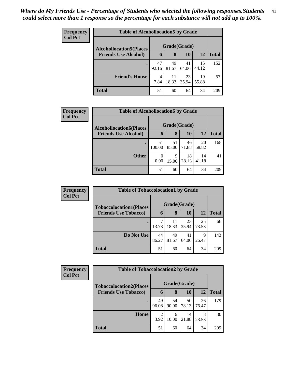| <b>Frequency</b> | <b>Table of Alcohollocation5 by Grade</b> |             |              |             |             |              |  |  |
|------------------|-------------------------------------------|-------------|--------------|-------------|-------------|--------------|--|--|
| <b>Col Pct</b>   | <b>Alcohollocation5(Places</b>            |             | Grade(Grade) |             |             |              |  |  |
|                  | <b>Friends Use Alcohol)</b>               | 6           | 8            | 10          | 12          | <b>Total</b> |  |  |
|                  |                                           | 47<br>92.16 | 49<br>81.67  | 41<br>64.06 | 15<br>44.12 | 152          |  |  |
|                  | <b>Friend's House</b>                     | 4<br>7.84   | 11<br>18.33  | 23<br>35.94 | 19<br>55.88 | 57           |  |  |
|                  | <b>Total</b>                              | 51          | 60           | 64          | 34          | 209          |  |  |

| <b>Frequency</b> | <b>Table of Alcohollocation6 by Grade</b> |                  |             |             |             |              |  |  |
|------------------|-------------------------------------------|------------------|-------------|-------------|-------------|--------------|--|--|
| <b>Col Pct</b>   | <b>Alcohollocation6(Places</b>            | Grade(Grade)     |             |             |             |              |  |  |
|                  | <b>Friends Use Alcohol)</b>               | 6                | 8           | <b>10</b>   | 12          | <b>Total</b> |  |  |
|                  |                                           | 51<br>100.00     | 51<br>85.00 | 46<br>71.88 | 20<br>58.82 | 168          |  |  |
|                  | <b>Other</b>                              | $\theta$<br>0.00 | 9<br>15.00  | 18<br>28.13 | 14<br>41.18 | 41           |  |  |
|                  | <b>Total</b>                              | 51               | 60          | 64          | 34          | 209          |  |  |

| <b>Frequency</b> | <b>Table of Tobaccolocation1 by Grade</b> |              |       |           |           |              |  |  |
|------------------|-------------------------------------------|--------------|-------|-----------|-----------|--------------|--|--|
| <b>Col Pct</b>   | <b>Tobaccolocation1(Places</b>            | Grade(Grade) |       |           |           |              |  |  |
|                  | <b>Friends Use Tobacco)</b>               | 6            | 8     | <b>10</b> | <b>12</b> | <b>Total</b> |  |  |
|                  |                                           |              | 11    | 23        | 25        | 66           |  |  |
|                  |                                           | 13.73        | 18.33 | 35.94     | 73.53     |              |  |  |
|                  | Do Not Use                                | 44           | 49    | 41        | 9         | 143          |  |  |
|                  |                                           | 86.27        | 81.67 | 64.06     | 26.47     |              |  |  |
|                  | <b>Total</b>                              | 51           | 60    | 64        | 34        | 209          |  |  |

| <b>Frequency</b> |                                | <b>Table of Tobaccolocation2 by Grade</b> |             |             |             |              |  |  |  |
|------------------|--------------------------------|-------------------------------------------|-------------|-------------|-------------|--------------|--|--|--|
| <b>Col Pct</b>   | <b>Tobaccolocation2(Places</b> | Grade(Grade)                              |             |             |             |              |  |  |  |
|                  | <b>Friends Use Tobacco)</b>    | 6                                         | 8           | 10          | 12          | <b>Total</b> |  |  |  |
|                  |                                | 49<br>96.08                               | 54<br>90.00 | 50<br>78.13 | 26<br>76.47 | 179          |  |  |  |
|                  | Home                           | 2<br>3.92                                 | 6<br>10.00  | 14<br>21.88 | 8<br>23.53  | 30           |  |  |  |
|                  | <b>Total</b>                   | 51                                        | 60          | 64          | 34          | 209          |  |  |  |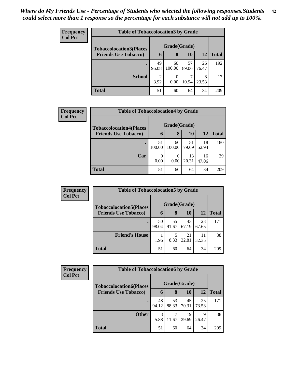| <b>Frequency</b> | <b>Table of Tobaccolocation 3 by Grade</b> |             |              |             |             |              |  |  |
|------------------|--------------------------------------------|-------------|--------------|-------------|-------------|--------------|--|--|
| <b>Col Pct</b>   | <b>Tobaccolocation3(Places</b>             |             | Grade(Grade) |             |             |              |  |  |
|                  | <b>Friends Use Tobacco)</b>                | 6           | 8            | 10          | 12          | <b>Total</b> |  |  |
|                  |                                            | 49<br>96.08 | 60<br>100.00 | 57<br>89.06 | 26<br>76.47 | 192          |  |  |
|                  | <b>School</b>                              | 2<br>3.92   | 0.00         | 10.94       | 8<br>23.53  | 17           |  |  |
|                  | Total                                      | 51          | 60           | 64          | 34          | 209          |  |  |

| <b>Frequency</b> | <b>Table of Tobaccolocation4 by Grade</b> |        |              |       |           |              |
|------------------|-------------------------------------------|--------|--------------|-------|-----------|--------------|
| <b>Col Pct</b>   | <b>Tobaccolocation4(Places</b>            |        | Grade(Grade) |       |           |              |
|                  | <b>Friends Use Tobacco)</b>               | 6      | 8            | 10    | <b>12</b> | <b>Total</b> |
|                  |                                           | 51     | 60           | 51    | 18        | 180          |
|                  |                                           | 100.00 | 100.00       | 79.69 | 52.94     |              |
|                  | Car                                       | 0      | 0            | 13    | 16        | 29           |
|                  |                                           | 0.00   | 0.00         | 20.31 | 47.06     |              |
|                  | <b>Total</b>                              | 51     | 60           | 64    | 34        | 209          |

| Frequency      |                                | <b>Table of Tobaccolocation5 by Grade</b> |             |             |             |              |  |  |  |
|----------------|--------------------------------|-------------------------------------------|-------------|-------------|-------------|--------------|--|--|--|
| <b>Col Pct</b> | <b>Tobaccolocation5(Places</b> | Grade(Grade)                              |             |             |             |              |  |  |  |
|                | <b>Friends Use Tobacco)</b>    | 6                                         | 8           | 10          | 12          | <b>Total</b> |  |  |  |
|                |                                | 50<br>98.04                               | 55<br>91.67 | 43<br>67.19 | 23<br>67.65 | 171          |  |  |  |
|                | <b>Friend's House</b>          | 1.96                                      | 5<br>8.33   | 21<br>32.81 | 32.35       | 38           |  |  |  |
|                | <b>Total</b>                   | 51                                        | 60          | 64          | 34          | 209          |  |  |  |

| <b>Frequency</b> |                                | <b>Table of Tobaccolocation6 by Grade</b> |             |             |             |              |  |  |  |  |
|------------------|--------------------------------|-------------------------------------------|-------------|-------------|-------------|--------------|--|--|--|--|
| <b>Col Pct</b>   | <b>Tobaccolocation6(Places</b> | Grade(Grade)                              |             |             |             |              |  |  |  |  |
|                  | <b>Friends Use Tobacco)</b>    | 6                                         | 8           | 10          | 12          | <b>Total</b> |  |  |  |  |
|                  |                                | 48<br>94.12                               | 53<br>88.33 | 45<br>70.31 | 25<br>73.53 | 171          |  |  |  |  |
|                  | <b>Other</b>                   | 3<br>5.88                                 | 7<br>11.67  | 19<br>29.69 | q<br>26.47  | 38           |  |  |  |  |
|                  | <b>Total</b>                   | 51                                        | 60          | 64          | 34          | 209          |  |  |  |  |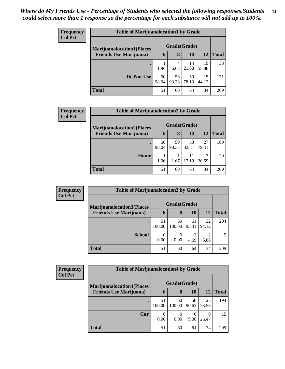| <b>Frequency</b> | <b>Table of Marijuanalocation1 by Grade</b> |              |             |             |             |              |  |  |
|------------------|---------------------------------------------|--------------|-------------|-------------|-------------|--------------|--|--|
| <b>Col Pct</b>   | <b>Marijuanalocation1(Places</b>            | Grade(Grade) |             |             |             |              |  |  |
|                  | <b>Friends Use Marijuana</b> )              | 6            | 8           | 10          | 12          | <b>Total</b> |  |  |
|                  |                                             | 1.96         | 4<br>6.67   | 14<br>21.88 | 19<br>55.88 | 38           |  |  |
|                  | Do Not Use                                  | 50<br>98.04  | 56<br>93.33 | 50<br>78.13 | 15<br>44.12 | 171          |  |  |
|                  | Total                                       | 51           | 60          | 64          | 34          | 209          |  |  |

| Frequency      |                                  | <b>Table of Marijuanalocation2 by Grade</b> |       |       |       |              |  |  |
|----------------|----------------------------------|---------------------------------------------|-------|-------|-------|--------------|--|--|
| <b>Col Pct</b> | <b>Marijuanalocation2(Places</b> | Grade(Grade)                                |       |       |       |              |  |  |
|                | <b>Friends Use Marijuana</b> )   | 6                                           | 8     | 10    | 12    | <b>Total</b> |  |  |
|                | ٠                                | 50                                          | 59    | 53    | 27    | 189          |  |  |
|                |                                  | 98.04                                       | 98.33 | 82.81 | 79.41 |              |  |  |
|                | Home                             |                                             |       | 11    | ┑     | 20           |  |  |
|                |                                  | 1.96                                        | 1.67  | 17.19 | 20.59 |              |  |  |
|                | <b>Total</b>                     | 51                                          | 60    | 64    | 34    | 209          |  |  |

| Frequency      |                                   | <b>Table of Marijuanalocation3 by Grade</b> |              |             |                        |              |  |  |  |  |
|----------------|-----------------------------------|---------------------------------------------|--------------|-------------|------------------------|--------------|--|--|--|--|
| <b>Col Pct</b> | <b>Marijuanalocation3(Places)</b> | Grade(Grade)                                |              |             |                        |              |  |  |  |  |
|                | <b>Friends Use Marijuana</b> )    | 6                                           | 8            | 10          | 12                     | <b>Total</b> |  |  |  |  |
|                |                                   | 51<br>100.00                                | 60<br>100.00 | 61<br>95.31 | 32<br>94.12            | 204          |  |  |  |  |
|                | <b>School</b>                     | 0<br>0.00                                   | 0.00         | 4.69        | $\overline{2}$<br>5.88 | 5            |  |  |  |  |
|                | Total                             | 51                                          | 60           | 64          | 34                     | 209          |  |  |  |  |

| Frequency<br><b>Col Pct</b> | <b>Table of Marijuanalocation4 by Grade</b> |              |              |             |             |              |  |  |  |
|-----------------------------|---------------------------------------------|--------------|--------------|-------------|-------------|--------------|--|--|--|
|                             | <b>Marijuanalocation4(Places</b>            | Grade(Grade) |              |             |             |              |  |  |  |
|                             | <b>Friends Use Marijuana</b> )              | $\mathbf b$  | 8            | 10          | 12          | <b>Total</b> |  |  |  |
|                             |                                             | 51<br>100.00 | 60<br>100.00 | 58<br>90.63 | 25<br>73.53 | 194          |  |  |  |
|                             | Car                                         | 0<br>0.00    | 0.00         | h<br>9.38   | 9<br>26.47  | 15           |  |  |  |
|                             | <b>Total</b>                                | 51           | 60           | 64          | 34          | 209          |  |  |  |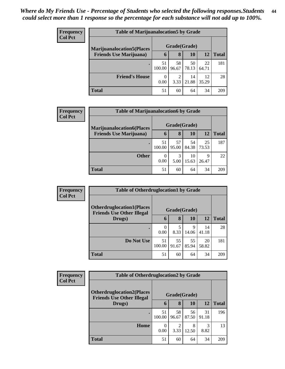| <b>Frequency</b> | <b>Table of Marijuanalocation5 by Grade</b> |              |             |             |             |              |  |  |  |
|------------------|---------------------------------------------|--------------|-------------|-------------|-------------|--------------|--|--|--|
| <b>Col Pct</b>   | <b>Marijuanalocation5</b> (Places           | Grade(Grade) |             |             |             |              |  |  |  |
|                  | <b>Friends Use Marijuana</b> )              | 6            | 8           | 10          | 12          | <b>Total</b> |  |  |  |
|                  | $\bullet$                                   | 51<br>100.00 | 58<br>96.67 | 50<br>78.13 | 22<br>64.71 | 181          |  |  |  |
|                  | <b>Friend's House</b>                       | 0<br>0.00    | 2<br>3.33   | 14<br>21.88 | 12<br>35.29 | 28           |  |  |  |
|                  | <b>Total</b>                                | 51           | 60          | 64          | 34          | 209          |  |  |  |

| Frequency      |                                   | <b>Table of Marijuanalocation6 by Grade</b> |             |             |             |              |  |  |  |  |
|----------------|-----------------------------------|---------------------------------------------|-------------|-------------|-------------|--------------|--|--|--|--|
| <b>Col Pct</b> | <b>Marijuanalocation6(Places)</b> | Grade(Grade)                                |             |             |             |              |  |  |  |  |
|                | <b>Friends Use Marijuana</b> )    | 6                                           | 8           | 10          | 12          | <b>Total</b> |  |  |  |  |
|                |                                   | 51<br>100.00                                | 57<br>95.00 | 54<br>84.38 | 25<br>73.53 | 187          |  |  |  |  |
|                | <b>Other</b>                      | 0<br>0.00                                   | 3<br>5.00   | 10<br>15.63 | 9<br>26.47  | 22           |  |  |  |  |
|                | <b>Total</b>                      | 51                                          | 60          | 64          | 34          | 209          |  |  |  |  |

| <b>Frequency</b> | <b>Table of Otherdruglocation1 by Grade</b>                          |              |             |             |             |              |  |
|------------------|----------------------------------------------------------------------|--------------|-------------|-------------|-------------|--------------|--|
| <b>Col Pct</b>   | <b>Otherdruglocation1(Places</b><br><b>Friends Use Other Illegal</b> | Grade(Grade) |             |             |             |              |  |
|                  | Drugs)                                                               | h            | 8           | 10          | 12          | <b>Total</b> |  |
|                  |                                                                      | 0<br>0.00    | 8.33        | 9<br>14.06  | 14<br>41.18 | 28           |  |
|                  | Do Not Use                                                           | 51<br>100.00 | 55<br>91.67 | 55<br>85.94 | 20<br>58.82 | 181          |  |
|                  | <b>Total</b>                                                         | 51           | 60          | 64          | 34          | 209          |  |

| <b>Frequency</b> |                                                                       | <b>Table of Otherdruglocation2 by Grade</b> |             |             |             |              |
|------------------|-----------------------------------------------------------------------|---------------------------------------------|-------------|-------------|-------------|--------------|
| <b>Col Pct</b>   | <b>Otherdruglocation2(Places)</b><br><b>Friends Use Other Illegal</b> | Grade(Grade)                                |             |             |             |              |
|                  | Drugs)                                                                | 6                                           | 8           | 10          | <b>12</b>   | <b>Total</b> |
|                  |                                                                       | 51<br>100.00                                | 58<br>96.67 | 56<br>87.50 | 31<br>91.18 | 196          |
|                  | Home                                                                  | $\Omega$<br>0.00                            | 2<br>3.33   | 8<br>12.50  | 3<br>8.82   | 13           |
|                  | <b>Total</b>                                                          | 51                                          | 60          | 64          | 34          | 209          |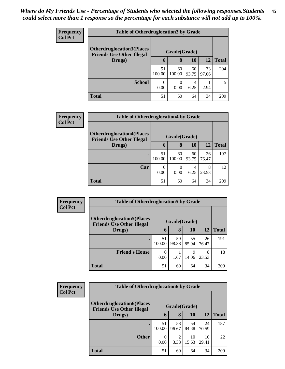| <b>Frequency</b> | <b>Table of Otherdruglocation 3 by Grade</b>                         |                  |              |             |             |              |  |
|------------------|----------------------------------------------------------------------|------------------|--------------|-------------|-------------|--------------|--|
| <b>Col Pct</b>   | <b>Otherdruglocation3(Places</b><br><b>Friends Use Other Illegal</b> | Grade(Grade)     |              |             |             |              |  |
|                  | Drugs)                                                               | 6                | 8            | 10          | 12          | <b>Total</b> |  |
|                  |                                                                      | 51<br>100.00     | 60<br>100.00 | 60<br>93.75 | 33<br>97.06 | 204          |  |
|                  | <b>School</b>                                                        | $\theta$<br>0.00 | 0<br>0.00    | 4<br>6.25   | 2.94        | 5            |  |
|                  | <b>Total</b>                                                         | 51               | 60           | 64          | 34          | 209          |  |

| <b>Frequency</b> | <b>Table of Otherdruglocation4 by Grade</b>                           |                  |                  |             |             |              |  |
|------------------|-----------------------------------------------------------------------|------------------|------------------|-------------|-------------|--------------|--|
| <b>Col Pct</b>   | <b>Otherdruglocation4(Places)</b><br><b>Friends Use Other Illegal</b> | Grade(Grade)     |                  |             |             |              |  |
|                  | Drugs)                                                                | 6                | 8                | 10          | 12          | <b>Total</b> |  |
|                  |                                                                       | 51<br>100.00     | 60<br>100.00     | 60<br>93.75 | 26<br>76.47 | 197          |  |
|                  | Car                                                                   | $\Omega$<br>0.00 | $\theta$<br>0.00 | 4<br>6.25   | 8<br>23.53  | 12           |  |
|                  | <b>Total</b>                                                          | 51               | 60               | 64          | 34          | 209          |  |

| Frequency<br><b>Col Pct</b> | <b>Table of Otherdruglocation5 by Grade</b>                          |                  |             |             |             |              |  |
|-----------------------------|----------------------------------------------------------------------|------------------|-------------|-------------|-------------|--------------|--|
|                             | <b>Otherdruglocation5(Places</b><br><b>Friends Use Other Illegal</b> | Grade(Grade)     |             |             |             |              |  |
|                             | Drugs)                                                               | 6                | 8           | 10          | 12          | <b>Total</b> |  |
|                             |                                                                      | 51<br>100.00     | 59<br>98.33 | 55<br>85.94 | 26<br>76.47 | 191          |  |
|                             | <b>Friend's House</b>                                                | $\Omega$<br>0.00 | 1.67        | 9<br>14.06  | 8<br>23.53  | 18           |  |
|                             | <b>Total</b>                                                         | 51               | 60          | 64          | 34          | 209          |  |

| <b>Frequency</b> |                                                                      | <b>Table of Otherdruglocation6 by Grade</b> |             |             |             |              |  |
|------------------|----------------------------------------------------------------------|---------------------------------------------|-------------|-------------|-------------|--------------|--|
| <b>Col Pct</b>   | <b>Otherdruglocation6(Places</b><br><b>Friends Use Other Illegal</b> | Grade(Grade)                                |             |             |             |              |  |
|                  | Drugs)                                                               | 6                                           | 8           | <b>10</b>   | <b>12</b>   | <b>Total</b> |  |
|                  |                                                                      | 51<br>100.00                                | 58<br>96.67 | 54<br>84.38 | 24<br>70.59 | 187          |  |
|                  | <b>Other</b>                                                         | $\Omega$<br>0.00                            | 2<br>3.33   | 10<br>15.63 | 10<br>29.41 | 22           |  |
|                  | <b>Total</b>                                                         | 51                                          | 60          | 64          | 34          | 209          |  |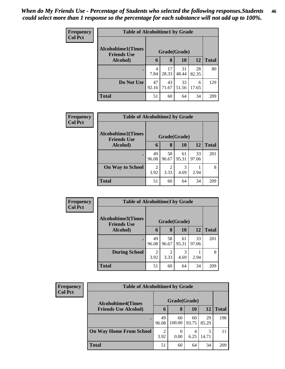| <b>Frequency</b> | <b>Table of Alcoholtime1 by Grade</b>                           |             |             |             |             |              |  |
|------------------|-----------------------------------------------------------------|-------------|-------------|-------------|-------------|--------------|--|
| <b>Col Pct</b>   | <b>Alcoholtime1(Times</b><br>Grade(Grade)<br><b>Friends Use</b> |             |             |             |             |              |  |
|                  | Alcohol)                                                        | 6           | 8           | 10          | 12          | <b>Total</b> |  |
|                  |                                                                 | 4<br>7.84   | 17<br>28.33 | 31<br>48.44 | 28<br>82.35 | 80           |  |
|                  | Do Not Use                                                      | 47<br>92.16 | 43<br>71.67 | 33<br>51.56 | 6<br>17.65  | 129          |  |
|                  | <b>Total</b>                                                    | 51          | 60          | 64          | 34          | 209          |  |

| Frequency      | <b>Table of Alcoholtime2 by Grade</b>           |              |             |             |             |              |  |  |
|----------------|-------------------------------------------------|--------------|-------------|-------------|-------------|--------------|--|--|
| <b>Col Pct</b> | <b>Alcoholtime2(Times</b><br><b>Friends Use</b> | Grade(Grade) |             |             |             |              |  |  |
|                | Alcohol)                                        | 6            | 8           | 10          | <b>12</b>   | <b>Total</b> |  |  |
|                |                                                 | 49<br>96.08  | 58<br>96.67 | 61<br>95.31 | 33<br>97.06 | 201          |  |  |
|                | <b>On Way to School</b>                         | 2<br>3.92    | 2<br>3.33   | 3<br>4.69   | 2.94        | 8            |  |  |
|                | <b>Total</b>                                    | 51           | 60          | 64          | 34          | 209          |  |  |

| Frequency<br><b>Col Pct</b> | <b>Table of Alcoholtime3 by Grade</b>           |              |                        |             |             |              |  |
|-----------------------------|-------------------------------------------------|--------------|------------------------|-------------|-------------|--------------|--|
|                             | <b>Alcoholtime3(Times</b><br><b>Friends Use</b> | Grade(Grade) |                        |             |             |              |  |
|                             | Alcohol)                                        | 6            | 8                      | 10          | 12          | <b>Total</b> |  |
|                             |                                                 | 49<br>96.08  | 58<br>96.67            | 61<br>95.31 | 33<br>97.06 | 201          |  |
|                             | <b>During School</b>                            | 2<br>3.92    | $\overline{2}$<br>3.33 | 3<br>4.69   | 2.94        | 8            |  |
|                             | <b>Total</b>                                    | 51           | 60                     | 64          | 34          | 209          |  |

| <b>Frequency</b> |
|------------------|
| <b>Col Pct</b>   |

| <b>Table of Alcoholtime4 by Grade</b>     |             |              |             |             |              |  |  |  |
|-------------------------------------------|-------------|--------------|-------------|-------------|--------------|--|--|--|
| Grade(Grade)<br><b>Alcoholtime4(Times</b> |             |              |             |             |              |  |  |  |
| <b>Friends Use Alcohol)</b>               | 6           | 8            | 10          | 12          | <b>Total</b> |  |  |  |
|                                           | 49<br>96.08 | 60<br>100.00 | 60<br>93.75 | 29<br>85.29 | 198          |  |  |  |
| <b>On Way Home From School</b>            | 2<br>3.92   | 0.00         | 6.25        | 5<br>14.71  | 11           |  |  |  |
| <b>Total</b>                              | 51          | 60           | 64          | 34          | 209          |  |  |  |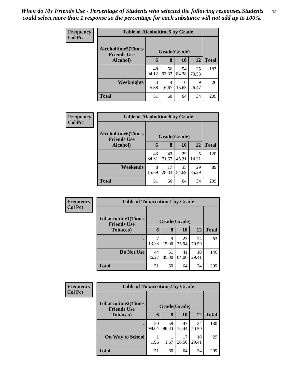| Frequency      | <b>Table of Alcoholtime5 by Grade</b>           |              |             |             |             |              |  |  |
|----------------|-------------------------------------------------|--------------|-------------|-------------|-------------|--------------|--|--|
| <b>Col Pct</b> | <b>Alcoholtime5(Times</b><br><b>Friends Use</b> | Grade(Grade) |             |             |             |              |  |  |
|                | Alcohol)                                        | 6            | 8           | 10          | 12          | <b>Total</b> |  |  |
|                |                                                 | 48<br>94.12  | 56<br>93.33 | 54<br>84.38 | 25<br>73.53 | 183          |  |  |
|                | Weeknights                                      | 3<br>5.88    | 4<br>6.67   | 10<br>15.63 | 9<br>26.47  | 26           |  |  |
|                | <b>Total</b>                                    | 51           | 60          | 64          | 34          | 209          |  |  |

| <b>Frequency</b><br><b>Col Pct</b> | <b>Table of Alcoholtime6 by Grade</b>           |              |             |             |             |              |  |  |  |
|------------------------------------|-------------------------------------------------|--------------|-------------|-------------|-------------|--------------|--|--|--|
|                                    | <b>Alcoholtime6(Times</b><br><b>Friends Use</b> | Grade(Grade) |             |             |             |              |  |  |  |
|                                    | Alcohol)                                        | 6            | 8           | 10          | 12          | <b>Total</b> |  |  |  |
|                                    |                                                 | 43<br>84.31  | 43<br>71.67 | 29<br>45.31 | 5<br>14.71  | 120          |  |  |  |
|                                    | Weekends                                        | 8<br>15.69   | 17<br>28.33 | 35<br>54.69 | 29<br>85.29 | 89           |  |  |  |
|                                    | <b>Total</b>                                    | 51           | 60          | 64          | 34          | 209          |  |  |  |

| Frequency<br><b>Col Pct</b> | <b>Table of Tobaccotime1 by Grade</b>           |              |             |             |             |              |  |  |  |
|-----------------------------|-------------------------------------------------|--------------|-------------|-------------|-------------|--------------|--|--|--|
|                             | <b>Tobaccotime1(Times</b><br><b>Friends Use</b> | Grade(Grade) |             |             |             |              |  |  |  |
|                             | <b>Tobacco</b> )                                | 6            | 8           | 10          | 12          | <b>Total</b> |  |  |  |
|                             |                                                 | 7<br>13.73   | 9<br>15.00  | 23<br>35.94 | 24<br>70.59 | 63           |  |  |  |
|                             | Do Not Use                                      | 44<br>86.27  | 51<br>85.00 | 41<br>64.06 | 10<br>29.41 | 146          |  |  |  |
|                             | <b>Total</b>                                    | 51           | 60          | 64          | 34          | 209          |  |  |  |

| Frequency      | <b>Table of Tobaccotime2 by Grade</b>           |              |             |             |             |              |  |  |  |
|----------------|-------------------------------------------------|--------------|-------------|-------------|-------------|--------------|--|--|--|
| <b>Col Pct</b> | <b>Tobaccotime2(Times</b><br><b>Friends Use</b> | Grade(Grade) |             |             |             |              |  |  |  |
|                | <b>Tobacco</b> )                                | 6            | 8           | 10          | 12          | <b>Total</b> |  |  |  |
|                |                                                 | 50<br>98.04  | 59<br>98.33 | 47<br>73.44 | 24<br>70.59 | 180          |  |  |  |
|                | <b>On Way to School</b>                         | 1.96         | 1.67        | 17<br>26.56 | 10<br>29.41 | 29           |  |  |  |
|                | <b>Total</b>                                    | 51           | 60          | 64          | 34          | 209          |  |  |  |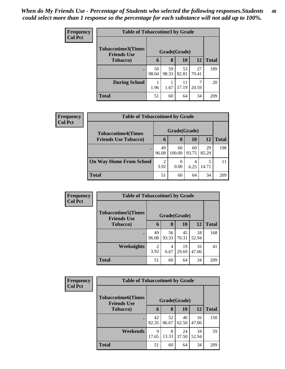| <b>Frequency</b> | <b>Table of Tobaccotime3 by Grade</b>           |              |             |             |             |              |  |  |
|------------------|-------------------------------------------------|--------------|-------------|-------------|-------------|--------------|--|--|
| <b>Col Pct</b>   | <b>Tobaccotime3(Times</b><br><b>Friends Use</b> | Grade(Grade) |             |             |             |              |  |  |
|                  | <b>Tobacco</b> )                                | 6            | 8           | 10          | 12          | <b>Total</b> |  |  |
|                  |                                                 | 50<br>98.04  | 59<br>98.33 | 53<br>82.81 | 27<br>79.41 | 189          |  |  |
|                  | <b>During School</b>                            | 1.96         | 1.67        | 11<br>17.19 | 20.59       | 20           |  |  |
|                  | <b>Total</b>                                    | 51           | 60          | 64          | 34          | 209          |  |  |

| Frequency      |                                |                        |              |             | <b>Table of Tobaccotime4 by Grade</b> |              |  |  |  |  |  |  |
|----------------|--------------------------------|------------------------|--------------|-------------|---------------------------------------|--------------|--|--|--|--|--|--|
| <b>Col Pct</b> | <b>Tobaccotime4(Times</b>      |                        | Grade(Grade) |             |                                       |              |  |  |  |  |  |  |
|                | <b>Friends Use Tobacco)</b>    | 6                      | 8            | 10          | 12                                    | <b>Total</b> |  |  |  |  |  |  |
|                |                                | 49<br>96.08            | 60<br>100.00 | 60<br>93.75 | 29<br>85.29                           | 198          |  |  |  |  |  |  |
|                | <b>On Way Home From School</b> | $\overline{2}$<br>3.92 | 0.00         | 4<br>6.25   | 5<br>14.71                            |              |  |  |  |  |  |  |
|                | <b>Total</b>                   | 51                     | 60           | 64          | 34                                    | 209          |  |  |  |  |  |  |

| Frequency      | <b>Table of Tobaccotime5 by Grade</b>            |              |             |             |             |              |  |  |
|----------------|--------------------------------------------------|--------------|-------------|-------------|-------------|--------------|--|--|
| <b>Col Pct</b> | <b>Tobaccotime5</b> (Times<br><b>Friends Use</b> | Grade(Grade) |             |             |             |              |  |  |
|                | <b>Tobacco</b> )                                 | 6            | 8           | 10          | 12          | <b>Total</b> |  |  |
|                |                                                  | 49<br>96.08  | 56<br>93.33 | 45<br>70.31 | 18<br>52.94 | 168          |  |  |
|                | Weeknights                                       | 2<br>3.92    | 4<br>6.67   | 19<br>29.69 | 16<br>47.06 | 41           |  |  |
|                | <b>Total</b>                                     | 51           | 60          | 64          | 34          | 209          |  |  |

| Frequency      | <b>Table of Tobaccotime6 by Grade</b>           |              |             |             |             |              |  |  |
|----------------|-------------------------------------------------|--------------|-------------|-------------|-------------|--------------|--|--|
| <b>Col Pct</b> | <b>Tobaccotime6(Times</b><br><b>Friends Use</b> | Grade(Grade) |             |             |             |              |  |  |
|                | Tobacco)                                        | 6            | 8           | 10          | 12          | <b>Total</b> |  |  |
|                |                                                 | 42<br>82.35  | 52<br>86.67 | 40<br>62.50 | 16<br>47.06 | 150          |  |  |
|                | Weekends                                        | 9<br>17.65   | 8<br>13.33  | 24<br>37.50 | 18<br>52.94 | 59           |  |  |
|                | <b>Total</b>                                    | 51           | 60          | 64          | 34          | 209          |  |  |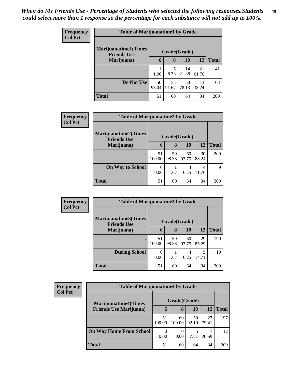| <b>Frequency</b> | <b>Table of Marijuanatime1 by Grade</b>           |              |             |             |             |              |  |
|------------------|---------------------------------------------------|--------------|-------------|-------------|-------------|--------------|--|
| <b>Col Pct</b>   | <b>Marijuanatime1(Times</b><br><b>Friends Use</b> | Grade(Grade) |             |             |             |              |  |
|                  | Marijuana)                                        | 6            | 8           | 10          | 12          | <b>Total</b> |  |
|                  |                                                   | 1.96         | 5<br>8.33   | 14<br>21.88 | 21<br>61.76 | 41           |  |
|                  | Do Not Use                                        | 50<br>98.04  | 55<br>91.67 | 50<br>78.13 | 13<br>38.24 | 168          |  |
|                  | <b>Total</b>                                      | 51           | 60          | 64          | 34          | 209          |  |

| Frequency | <b>Table of Marijuanatime2 by Grade</b>           |                |             |             |             |              |  |  |
|-----------|---------------------------------------------------|----------------|-------------|-------------|-------------|--------------|--|--|
| Col Pct   | <b>Marijuanatime2(Times</b><br><b>Friends Use</b> | Grade(Grade)   |             |             |             |              |  |  |
|           | Marijuana)                                        | 6              | 8           | 10          | 12          | <b>Total</b> |  |  |
|           |                                                   | 51<br>100.00   | 59<br>98.33 | 60<br>93.75 | 30<br>88.24 | 200          |  |  |
|           | <b>On Way to School</b>                           | $_{0}$<br>0.00 | 1.67        | 6.25        | 4<br>11.76  | 9            |  |  |
|           | <b>Total</b>                                      | 51             | 60          | 64          | 34          | 209          |  |  |

| <b>Frequency</b><br><b>Col Pct</b> | <b>Table of Marijuanatime3 by Grade</b>    |              |             |             |             |              |  |
|------------------------------------|--------------------------------------------|--------------|-------------|-------------|-------------|--------------|--|
|                                    | Marijuanatime3(Times<br><b>Friends Use</b> | Grade(Grade) |             |             |             |              |  |
|                                    | Marijuana)                                 | 6            | 8           | 10          | 12          | <b>Total</b> |  |
|                                    |                                            | 51<br>100.00 | 59<br>98.33 | 60<br>93.75 | 29<br>85.29 | 199          |  |
|                                    | <b>During School</b>                       | 0.00         | 1.67        | 6.25        | 5<br>14.71  | 10           |  |
|                                    | <b>Total</b>                               | 51           | 60          | 64          | 34          | 209          |  |

| <b>Frequency</b><br><b>Col Pct</b> | <b>Table of Marijuanatime4 by Grade</b> |                  |              |             |             |              |
|------------------------------------|-----------------------------------------|------------------|--------------|-------------|-------------|--------------|
|                                    | <b>Marijuanatime4</b> (Times            | Grade(Grade)     |              |             |             |              |
|                                    | <b>Friends Use Marijuana</b> )          | $\mathbf b$      | 8            | 10          | 12          | <b>Total</b> |
|                                    |                                         | 51<br>100.00     | 60<br>100.00 | 59<br>92.19 | 27<br>79.41 | 197          |
|                                    | <b>On Way Home From School</b>          | $\theta$<br>0.00 | 0<br>0.00    | 7.81        | 20.59       | 12           |
|                                    | <b>Total</b>                            | 51               | 60           | 64          | 34          | 209          |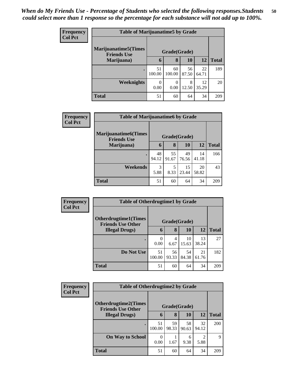| <b>Frequency</b> | <b>Table of Marijuanatime5 by Grade</b>            |              |              |             |             |              |  |
|------------------|----------------------------------------------------|--------------|--------------|-------------|-------------|--------------|--|
| <b>Col Pct</b>   | <b>Marijuanatime5</b> (Times<br><b>Friends Use</b> | Grade(Grade) |              |             |             |              |  |
|                  | Marijuana)                                         | 6            | 8            | 10          | 12          | <b>Total</b> |  |
|                  |                                                    | 51<br>100.00 | 60<br>100.00 | 56<br>87.50 | 22<br>64.71 | 189          |  |
|                  | <b>Weeknights</b>                                  | 0.00         | 0<br>0.00    | 8<br>12.50  | 12<br>35.29 | 20           |  |
|                  | <b>Total</b>                                       | 51           | 60           | 64          | 34          | 209          |  |

| Frequency      | <b>Table of Marijuanatime6 by Grade</b>           |              |             |             |             |              |  |  |
|----------------|---------------------------------------------------|--------------|-------------|-------------|-------------|--------------|--|--|
| <b>Col Pct</b> | <b>Marijuanatime6(Times</b><br><b>Friends Use</b> | Grade(Grade) |             |             |             |              |  |  |
|                | Marijuana)                                        | 6            | 8           | <b>10</b>   | 12          | <b>Total</b> |  |  |
|                |                                                   | 48<br>94.12  | 55<br>91.67 | 49<br>76.56 | 14<br>41.18 | 166          |  |  |
|                | Weekends                                          | 3<br>5.88    | 5<br>8.33   | 15<br>23.44 | 20<br>58.82 | 43           |  |  |
|                | <b>Total</b>                                      | 51           | 60          | 64          | 34          | 209          |  |  |

| Frequency      | <b>Table of Otherdrugtime1 by Grade</b>                 |              |             |             |             |              |  |  |
|----------------|---------------------------------------------------------|--------------|-------------|-------------|-------------|--------------|--|--|
| <b>Col Pct</b> | <b>Otherdrugtime1(Times</b><br><b>Friends Use Other</b> | Grade(Grade) |             |             |             |              |  |  |
|                | <b>Illegal Drugs</b> )                                  | 6            | 8           | 10          | <b>12</b>   | <b>Total</b> |  |  |
|                |                                                         | 0.00         | 4<br>6.67   | 10<br>15.63 | 13<br>38.24 | 27           |  |  |
|                | Do Not Use                                              | 51<br>100.00 | 56<br>93.33 | 54<br>84.38 | 21<br>61.76 | 182          |  |  |
|                | <b>Total</b>                                            | 51           | 60          | 64          | 34          | 209          |  |  |

| <b>Frequency</b> | <b>Table of Otherdrugtime2 by Grade</b>                 |              |             |             |             |              |  |  |
|------------------|---------------------------------------------------------|--------------|-------------|-------------|-------------|--------------|--|--|
| <b>Col Pct</b>   | <b>Otherdrugtime2(Times</b><br><b>Friends Use Other</b> | Grade(Grade) |             |             |             |              |  |  |
|                  | <b>Illegal Drugs</b> )                                  | 6            | 8           | 10          | <b>12</b>   | <b>Total</b> |  |  |
|                  |                                                         | 51<br>100.00 | 59<br>98.33 | 58<br>90.63 | 32<br>94.12 | 200          |  |  |
|                  | <b>On Way to School</b>                                 | 0.00         | 1.67        | 6<br>9.38   | 5.88        | 9            |  |  |
|                  | <b>Total</b>                                            | 51           | 60          | 64          | 34          | 209          |  |  |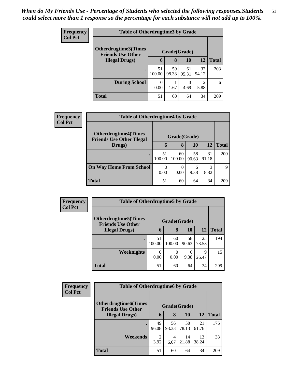| <b>Frequency</b> | <b>Table of Otherdrugtime3 by Grade</b>                 |              |             |             |                        |              |  |  |
|------------------|---------------------------------------------------------|--------------|-------------|-------------|------------------------|--------------|--|--|
| <b>Col Pct</b>   | <b>Otherdrugtime3(Times</b><br><b>Friends Use Other</b> | Grade(Grade) |             |             |                        |              |  |  |
|                  | <b>Illegal Drugs</b> )                                  | 6            | 8           | 10          | <b>12</b>              | <b>Total</b> |  |  |
|                  |                                                         | 51<br>100.00 | 59<br>98.33 | 61<br>95.31 | 32<br>94.12            | 203          |  |  |
|                  | <b>During School</b>                                    | 0.00         | 1.67        | 3<br>4.69   | $\mathfrak{D}$<br>5.88 | 6            |  |  |
|                  | <b>Total</b>                                            | 51           | 60          | 64          | 34                     | 209          |  |  |

| Frequency      | <b>Table of Otherdrugtime4 by Grade</b>                         |              |              |             |             |              |  |
|----------------|-----------------------------------------------------------------|--------------|--------------|-------------|-------------|--------------|--|
| <b>Col Pct</b> | <b>Otherdrugtime4(Times</b><br><b>Friends Use Other Illegal</b> | Grade(Grade) |              |             |             |              |  |
|                | Drugs)                                                          | $\mathbf b$  | 8            | <b>10</b>   | 12          | <b>Total</b> |  |
|                |                                                                 | 51<br>100.00 | 60<br>100.00 | 58<br>90.63 | 31<br>91.18 | 200          |  |
|                | <b>On Way Home From School</b>                                  | 0<br>0.00    | 0<br>0.00    | 6<br>9.38   | 3<br>8.82   | 9            |  |
|                | <b>Total</b>                                                    | 51           | 60           | 64          | 34          | 209          |  |

| <b>Frequency</b> | <b>Table of Otherdrugtime5 by Grade</b>                  |                  |              |             |             |              |  |  |
|------------------|----------------------------------------------------------|------------------|--------------|-------------|-------------|--------------|--|--|
| <b>Col Pct</b>   | <b>Otherdrugtime5</b> (Times<br><b>Friends Use Other</b> | Grade(Grade)     |              |             |             |              |  |  |
|                  | <b>Illegal Drugs</b> )                                   | 6                | 8            | 10          | 12          | <b>Total</b> |  |  |
|                  |                                                          | 51<br>100.00     | 60<br>100.00 | 58<br>90.63 | 25<br>73.53 | 194          |  |  |
|                  | Weeknights                                               | $\Omega$<br>0.00 | 0<br>0.00    | 6<br>9.38   | 9<br>26.47  | 15           |  |  |
|                  | <b>Total</b>                                             | 51               | 60           | 64          | 34          | 209          |  |  |

| <b>Frequency</b> | <b>Table of Otherdrugtime6 by Grade</b>                  |                        |             |             |             |              |
|------------------|----------------------------------------------------------|------------------------|-------------|-------------|-------------|--------------|
| <b>Col Pct</b>   | <b>Otherdrugtime6</b> (Times<br><b>Friends Use Other</b> | Grade(Grade)           |             |             |             |              |
|                  | <b>Illegal Drugs)</b>                                    | 6                      | 8           | 10          | 12          | <b>Total</b> |
|                  | ٠                                                        | 49<br>96.08            | 56<br>93.33 | 50<br>78.13 | 21<br>61.76 | 176          |
|                  | Weekends                                                 | $\overline{2}$<br>3.92 | 4<br>6.67   | 14<br>21.88 | 13<br>38.24 | 33           |
|                  | <b>Total</b>                                             | 51                     | 60          | 64          | 34          | 209          |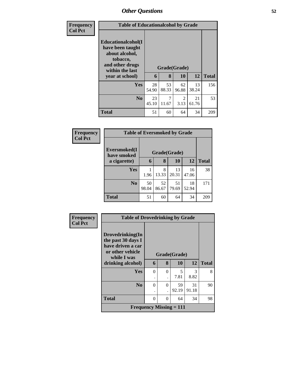| <b>Frequency</b> |                                                                                                                               | <b>Table of Educationalcohol by Grade</b> |             |                           |             |              |  |  |  |
|------------------|-------------------------------------------------------------------------------------------------------------------------------|-------------------------------------------|-------------|---------------------------|-------------|--------------|--|--|--|
| <b>Col Pct</b>   | Educationalcohol(I<br>have been taught<br>about alcohol,<br>tobacco,<br>and other drugs<br>within the last<br>year at school) | 6                                         | 8           | Grade(Grade)<br><b>10</b> | 12          | <b>Total</b> |  |  |  |
|                  | Yes                                                                                                                           | 28<br>54.90                               | 53<br>88.33 | 62<br>96.88               | 13<br>38.24 | 156          |  |  |  |
|                  | N <sub>0</sub>                                                                                                                | 23<br>45.10                               | 7<br>11.67  | 2<br>3.13                 | 21<br>61.76 | 53           |  |  |  |
|                  | <b>Total</b>                                                                                                                  | 51                                        | 60          | 64                        | 34          | 209          |  |  |  |

| Frequency      |                                             | <b>Table of Eversmoked by Grade</b> |             |             |             |              |  |  |  |
|----------------|---------------------------------------------|-------------------------------------|-------------|-------------|-------------|--------------|--|--|--|
| <b>Col Pct</b> | Eversmoked(I<br>Grade(Grade)<br>have smoked |                                     |             |             |             |              |  |  |  |
|                | a cigarette)                                | 6                                   | 8           | 10          | 12          | <b>Total</b> |  |  |  |
|                | Yes                                         | 1.96                                | 8<br>13.33  | 13<br>20.31 | 16<br>47.06 | 38           |  |  |  |
|                | N <sub>0</sub>                              | 50<br>98.04                         | 52<br>86.67 | 51<br>79.69 | 18<br>52.94 | 171          |  |  |  |
|                | <b>Total</b>                                | 51                                  | 60          | 64          | 34          | 209          |  |  |  |

| Frequency      | <b>Table of Drovedrinking by Grade</b>                                                         |          |          |              |             |              |
|----------------|------------------------------------------------------------------------------------------------|----------|----------|--------------|-------------|--------------|
| <b>Col Pct</b> | Drovedrinking(In<br>the past 30 days I<br>have driven a car<br>or other vehicle<br>while I was |          |          | Grade(Grade) |             |              |
|                | drinking alcohol)                                                                              | 6        | 8        | 10           | 12          | <b>Total</b> |
|                | Yes                                                                                            | $\Omega$ | $\Omega$ | 5<br>7.81    | 3<br>8.82   | 8            |
|                | $\bf N_0$                                                                                      | $\Omega$ | $\theta$ | 59<br>92.19  | 31<br>91.18 | 90           |
|                | <b>Total</b>                                                                                   | 0        | $\Omega$ | 64           | 34          | 98           |
|                | <b>Frequency Missing <math>= 111</math></b>                                                    |          |          |              |             |              |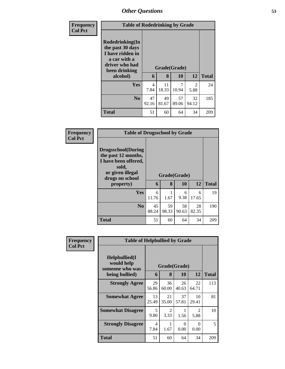| <b>Frequency</b> | <b>Table of Rodedrinking by Grade</b>                                                                                  |                        |                   |             |                        |              |  |  |
|------------------|------------------------------------------------------------------------------------------------------------------------|------------------------|-------------------|-------------|------------------------|--------------|--|--|
| <b>Col Pct</b>   | Rodedrinking(In<br>the past 30 days<br>I have ridden in<br>a car with a<br>driver who had<br>been drinking<br>alcohol) | 6                      | Grade(Grade)<br>8 | 10          | 12                     | <b>Total</b> |  |  |
|                  | <b>Yes</b>                                                                                                             | $\overline{4}$<br>7.84 | 11<br>18.33       | 7<br>10.94  | $\mathfrak{D}$<br>5.88 | 24           |  |  |
|                  | N <sub>0</sub>                                                                                                         | 47<br>92.16            | 49<br>81.67       | 57<br>89.06 | 32<br>94.12            | 185          |  |  |
|                  | <b>Total</b>                                                                                                           | 51                     | 60                | 64          | 34                     | 209          |  |  |

| <b>Frequency</b> | <b>Table of Drugsschool by Grade</b>                                                                                                   |             |             |                           |             |              |
|------------------|----------------------------------------------------------------------------------------------------------------------------------------|-------------|-------------|---------------------------|-------------|--------------|
| <b>Col Pct</b>   | <b>Drugsschool</b> (During<br>the past 12 months,<br>I have been offered,<br>sold,<br>or given illegal<br>drugs on school<br>property) | 6           | 8           | Grade(Grade)<br><b>10</b> | 12          | <b>Total</b> |
|                  | Yes                                                                                                                                    | 6<br>11.76  | 1.67        | 6<br>9.38                 | 6<br>17.65  | 19           |
|                  | N <sub>0</sub>                                                                                                                         | 45<br>88.24 | 59<br>98.33 | 58<br>90.63               | 28<br>82.35 | 190          |
|                  | <b>Total</b>                                                                                                                           | 51          | 60          | 64                        | 34          | 209          |

| <b>Frequency</b> |                                                                   | <b>Table of Helpbullied by Grade</b> |                        |                   |                        |     |  |
|------------------|-------------------------------------------------------------------|--------------------------------------|------------------------|-------------------|------------------------|-----|--|
| <b>Col Pct</b>   | Helpbullied(I)<br>would help<br>someone who was<br>being bullied) | Grade(Grade)<br>6                    | <b>Total</b>           |                   |                        |     |  |
|                  | <b>Strongly Agree</b>                                             | 29<br>56.86                          | 8<br>36<br>60.00       | 10<br>26<br>40.63 | 12<br>22<br>64.71      | 113 |  |
|                  | <b>Somewhat Agree</b>                                             | 13<br>25.49                          | 21<br>35.00            | 37<br>57.81       | 10<br>29.41            | 81  |  |
|                  | <b>Somewhat Disagree</b>                                          | 5<br>9.80                            | $\mathfrak{D}$<br>3.33 | 1<br>1.56         | $\mathfrak{D}$<br>5.88 | 10  |  |
|                  | <b>Strongly Disagree</b>                                          | 4<br>7.84                            | 1.67                   | 0<br>0.00         | 0<br>0.00              | 5   |  |
|                  | Total                                                             | 51                                   | 60                     | 64                | 34                     | 209 |  |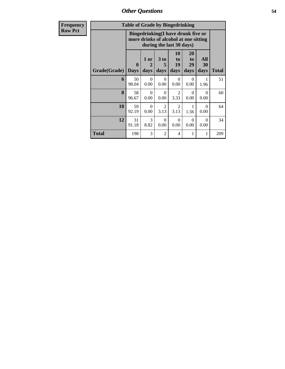*Other Questions* **54**

| <b>Frequency</b> | <b>Table of Grade by Bingedrinking</b>                                                                  |                  |                                |                   |                        |                        |                   |              |
|------------------|---------------------------------------------------------------------------------------------------------|------------------|--------------------------------|-------------------|------------------------|------------------------|-------------------|--------------|
| <b>Row Pct</b>   | Bingedrinking(I have drunk five or<br>more drinks of alcohol at one sitting<br>during the last 30 days) |                  |                                |                   |                        |                        |                   |              |
|                  | Grade(Grade)                                                                                            | 0<br><b>Days</b> | 1 or<br>$\overline{2}$<br>days | 3 to<br>5<br>days | 10<br>to<br>19<br>days | 20<br>to<br>29<br>days | All<br>30<br>days | <b>Total</b> |
|                  | 6                                                                                                       | 50<br>98.04      | $\Omega$<br>0.00               | $\Omega$<br>0.00  | $\Omega$<br>0.00       | $\Omega$<br>0.00       | 1<br>1.96         | 51           |
|                  | 8                                                                                                       | 58<br>96.67      | $\Omega$<br>0.00               | $\Omega$<br>0.00  | $\overline{2}$<br>3.33 | $\Omega$<br>0.00       | $\Omega$<br>0.00  | 60           |
|                  | 10                                                                                                      | 59<br>92.19      | $\Omega$<br>0.00               | 2<br>3.13         | $\overline{2}$<br>3.13 | 1<br>1.56              | $\Omega$<br>0.00  | 64           |
|                  | 12                                                                                                      | 31<br>91.18      | 3<br>8.82                      | $\Omega$<br>0.00  | $\Omega$<br>0.00       | $\Omega$<br>0.00       | $\Omega$<br>0.00  | 34           |
|                  | Total                                                                                                   | 198              | 3                              | $\overline{2}$    | 4                      | 1                      | 1                 | 209          |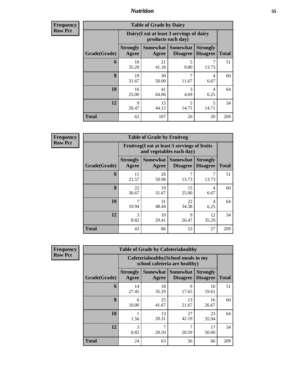**Frequency Row Pct**

| <b>Table of Grade by Dairy</b> |                          |                                                                 |                                    |                                    |              |  |  |
|--------------------------------|--------------------------|-----------------------------------------------------------------|------------------------------------|------------------------------------|--------------|--|--|
|                                |                          | Dairy (I eat at least 3 servings of dairy<br>products each day) |                                    |                                    |              |  |  |
| Grade(Grade)                   | <b>Strongly</b><br>Agree | <b>Somewhat</b><br>Agree                                        | <b>Somewhat</b><br><b>Disagree</b> | <b>Strongly</b><br><b>Disagree</b> | <b>Total</b> |  |  |
| 6                              | 18<br>35.29              | 21<br>41.18                                                     | 5<br>9.80                          | 13.73                              | 51           |  |  |
| 8                              | 19<br>31.67              | 30<br>50.00                                                     | 7<br>11.67                         | 4<br>6.67                          | 60           |  |  |
| 10                             | 16<br>25.00              | 41<br>64.06                                                     | 3<br>4.69                          | 4<br>6.25                          | 64           |  |  |
| 12                             | 9<br>26.47               | 15<br>44.12                                                     | 5<br>14.71                         | 5<br>14.71                         | 34           |  |  |
| <b>Total</b>                   | 62                       | 107                                                             | 20                                 | 20                                 | 209          |  |  |

**Frequency Row Pct**

| <b>Table of Grade by Fruitveg</b> |                          |                                                                          |                                        |                                    |              |  |  |
|-----------------------------------|--------------------------|--------------------------------------------------------------------------|----------------------------------------|------------------------------------|--------------|--|--|
|                                   |                          | Fruitveg(I eat at least 5 servings of fruits<br>and vegetables each day) |                                        |                                    |              |  |  |
| Grade(Grade)                      | <b>Strongly</b><br>Agree | Agree                                                                    | <b>Somewhat   Somewhat</b><br>Disagree | <b>Strongly</b><br><b>Disagree</b> | <b>Total</b> |  |  |
| 6                                 | 11<br>21.57              | 26<br>50.98                                                              | 7<br>13.73                             | 13.73                              | 51           |  |  |
| 8                                 | 22<br>36.67              | 19<br>31.67                                                              | 15<br>25.00                            | 4<br>6.67                          | 60           |  |  |
| 10                                | 7<br>10.94               | 31<br>48.44                                                              | 22<br>34.38                            | 4<br>6.25                          | 64           |  |  |
| 12                                | 3<br>8.82                | 10<br>29.41                                                              | 9<br>26.47                             | 12<br>35.29                        | 34           |  |  |
| <b>Total</b>                      | 43                       | 86                                                                       | 53                                     | 27                                 | 209          |  |  |

**Frequency Row Pct**

| <b>Table of Grade by Cafeteriahealthy</b> |                          |                                                                       |                                    |                                    |              |  |  |
|-------------------------------------------|--------------------------|-----------------------------------------------------------------------|------------------------------------|------------------------------------|--------------|--|--|
|                                           |                          | Cafeteriahealthy (School meals in my<br>school cafeteria are healthy) |                                    |                                    |              |  |  |
| Grade(Grade)                              | <b>Strongly</b><br>Agree | <b>Somewhat</b><br>Agree                                              | <b>Somewhat</b><br><b>Disagree</b> | <b>Strongly</b><br><b>Disagree</b> | <b>Total</b> |  |  |
| 6                                         | 14<br>27.45              | 18<br>35.29                                                           | 9<br>17.65                         | 10<br>19.61                        | 51           |  |  |
| 8                                         | 6<br>10.00               | 25<br>41.67                                                           | 13<br>21.67                        | 16<br>26.67                        | 60           |  |  |
| 10                                        | 1.56                     | 13<br>20.31                                                           | 27<br>42.19                        | 23<br>35.94                        | 64           |  |  |
| 12                                        | 3<br>8.82                | 20.59                                                                 | 7<br>20.59                         | 17<br>50.00                        | 34           |  |  |
| <b>Total</b>                              | 24                       | 63                                                                    | 56                                 | 66                                 | 209          |  |  |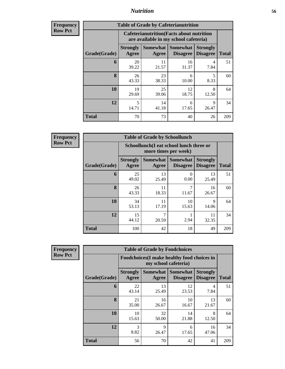| <b>Frequency</b><br>Row Pct |
|-----------------------------|
|                             |

| <b>Table of Grade by Cafeterianutrition</b> |                                   |                                                                                           |                                    |                                    |              |  |
|---------------------------------------------|-----------------------------------|-------------------------------------------------------------------------------------------|------------------------------------|------------------------------------|--------------|--|
|                                             |                                   | <b>Cafeterianutrition</b> (Facts about nutrition<br>are available in my school cafeteria) |                                    |                                    |              |  |
| Grade(Grade)                                | <b>Strongly</b><br>Agree          | Somewhat  <br>Agree                                                                       | <b>Somewhat</b><br><b>Disagree</b> | <b>Strongly</b><br><b>Disagree</b> | <b>Total</b> |  |
| 6                                           | 20<br>39.22                       | 11<br>21.57                                                                               | 16<br>31.37                        | 4<br>7.84                          | 51           |  |
| 8                                           | 26<br>43.33                       | 23<br>38.33                                                                               | 6<br>10.00                         | 5<br>8.33                          | 60           |  |
| 10                                          | 19<br>29.69                       | 25<br>39.06                                                                               | 12<br>18.75                        | 8<br>12.50                         | 64           |  |
| 12                                          | $\overline{\phantom{0}}$<br>14.71 | 14<br>41.18                                                                               | 6<br>17.65                         | 9<br>26.47                         | 34           |  |
| <b>Total</b>                                | 70                                | 73                                                                                        | 40                                 | 26                                 | 209          |  |

**Frequency Row Pct**

| <b>Table of Grade by Schoollunch</b> |                                                                 |                     |                                    |                                    |              |  |  |
|--------------------------------------|-----------------------------------------------------------------|---------------------|------------------------------------|------------------------------------|--------------|--|--|
|                                      | Schoollunch(I eat school lunch three or<br>more times per week) |                     |                                    |                                    |              |  |  |
| Grade(Grade)                         | <b>Strongly</b><br>Agree                                        | Somewhat  <br>Agree | <b>Somewhat</b><br><b>Disagree</b> | <b>Strongly</b><br><b>Disagree</b> | <b>Total</b> |  |  |
| 6                                    | 25<br>49.02                                                     | 13<br>25.49         | 0<br>0.00                          | 13<br>25.49                        | 51           |  |  |
| 8                                    | 26<br>43.33                                                     | 11<br>18.33         | 7<br>11.67                         | 16<br>26.67                        | 60           |  |  |
| 10                                   | 34<br>53.13                                                     | 11<br>17.19         | 10<br>15.63                        | 9<br>14.06                         | 64           |  |  |
| 12                                   | 15<br>44.12                                                     | 7<br>20.59          | 2.94                               | 11<br>32.35                        | 34           |  |  |
| <b>Total</b>                         | 100                                                             | 42                  | 18                                 | 49                                 | 209          |  |  |

**Frequency Row Pct**

| <b>Table of Grade by Foodchoices</b> |                          |                                                                    |                             |                                    |              |  |  |
|--------------------------------------|--------------------------|--------------------------------------------------------------------|-----------------------------|------------------------------------|--------------|--|--|
|                                      |                          | Foodchoices(I make healthy food choices in<br>my school cafeteria) |                             |                                    |              |  |  |
| Grade(Grade)                         | <b>Strongly</b><br>Agree | Somewhat<br>Agree                                                  | Somewhat<br><b>Disagree</b> | <b>Strongly</b><br><b>Disagree</b> | <b>Total</b> |  |  |
| 6                                    | 22<br>43.14              | 13<br>25.49                                                        | 12<br>23.53                 | 4<br>7.84                          | 51           |  |  |
| 8                                    | 21<br>35.00              | 16<br>26.67                                                        | 10<br>16.67                 | 13<br>21.67                        | 60           |  |  |
| 10                                   | 10<br>15.63              | 32<br>50.00                                                        | 14<br>21.88                 | 8<br>12.50                         | 64           |  |  |
| 12                                   | 3<br>8.82                | 9<br>26.47                                                         | 6<br>17.65                  | 16<br>47.06                        | 34           |  |  |
| <b>Total</b>                         | 56                       | 70                                                                 | 42                          | 41                                 | 209          |  |  |

٦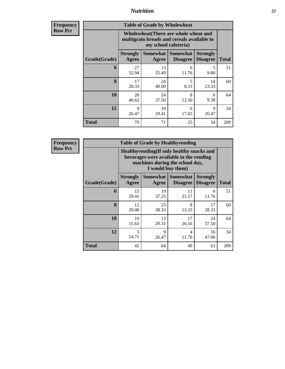| <b>Frequency</b><br>Row Pct |
|-----------------------------|

| <b>Table of Grade by Wholewheat</b> |                                                                                                             |                     |                                    |                                    |              |  |  |
|-------------------------------------|-------------------------------------------------------------------------------------------------------------|---------------------|------------------------------------|------------------------------------|--------------|--|--|
|                                     | Wholewheat (There are whole wheat and<br>multigrain breads and cereals available in<br>my school cafeteria) |                     |                                    |                                    |              |  |  |
| Grade(Grade)                        | <b>Strongly</b><br>Agree                                                                                    | Somewhat  <br>Agree | <b>Somewhat</b><br><b>Disagree</b> | <b>Strongly</b><br><b>Disagree</b> | <b>Total</b> |  |  |
| 6                                   | 27<br>52.94                                                                                                 | 13<br>25.49         | 6<br>11.76                         | 5<br>9.80                          | 51           |  |  |
| 8                                   | 17<br>28.33                                                                                                 | 24<br>40.00         | 5<br>8.33                          | 14<br>23.33                        | 60           |  |  |
| 10                                  | 26<br>40.63                                                                                                 | 24<br>37.50         | 8<br>12.50                         | 6<br>9.38                          | 64           |  |  |
| 12                                  | 9<br>26.47                                                                                                  | 10<br>29.41         | 6<br>17.65                         | 9<br>26.47                         | 34           |  |  |
| <b>Total</b>                        | 79                                                                                                          | 71                  | 25                                 | 34                                 | 209          |  |  |

**Frequency Row Pct**

| <b>Table of Grade by Healthyvending</b> |                                                                                                                                               |                     |                                    |                                    |              |  |  |
|-----------------------------------------|-----------------------------------------------------------------------------------------------------------------------------------------------|---------------------|------------------------------------|------------------------------------|--------------|--|--|
|                                         | Healthyvending (If only healthy snacks and<br>beverages were available in the vending<br>machines during the school day,<br>I would buy them) |                     |                                    |                                    |              |  |  |
| Grade(Grade)                            | <b>Strongly</b><br>Agree                                                                                                                      | Somewhat  <br>Agree | <b>Somewhat</b><br><b>Disagree</b> | <b>Strongly</b><br><b>Disagree</b> | <b>Total</b> |  |  |
| 6                                       | 15<br>29.41                                                                                                                                   | 19<br>37.25         | 11<br>21.57                        | 6<br>11.76                         | 51           |  |  |
| 8                                       | 12<br>20.00                                                                                                                                   | 23<br>38.33         | 8<br>13.33                         | 17<br>28.33                        | 60           |  |  |
| 10                                      | 10<br>15.63                                                                                                                                   | 13<br>20.31         | 17<br>26.56                        | 24<br>37.50                        | 64           |  |  |
| 12                                      | 5<br>14.71                                                                                                                                    | 9<br>26.47          | 4<br>11.76                         | 16<br>47.06                        | 34           |  |  |
| Total                                   | 42                                                                                                                                            | 64                  | 40                                 | 63                                 | 209          |  |  |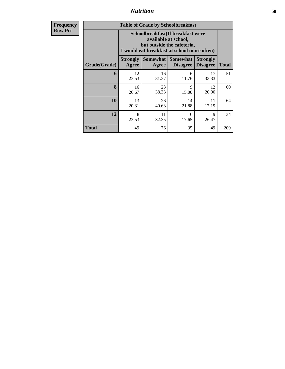**Frequency Row Pct**

| <b>Table of Grade by Schoolbreakfast</b> |                                                                                                                                        |                     |                                    |                                    |              |  |  |  |
|------------------------------------------|----------------------------------------------------------------------------------------------------------------------------------------|---------------------|------------------------------------|------------------------------------|--------------|--|--|--|
|                                          | Schoolbreakfast(If breakfast were<br>available at school,<br>but outside the cafeteria,<br>I would eat breakfast at school more often) |                     |                                    |                                    |              |  |  |  |
| Grade(Grade)                             | <b>Strongly</b><br>Agree                                                                                                               | Somewhat  <br>Agree | <b>Somewhat</b><br><b>Disagree</b> | <b>Strongly</b><br><b>Disagree</b> | <b>Total</b> |  |  |  |
| 6                                        | 12<br>23.53                                                                                                                            | 16<br>31.37         | 6<br>11.76                         | 17<br>33.33                        | 51           |  |  |  |
| 8                                        | 16<br>26.67                                                                                                                            | 23<br>38.33         | 9<br>15.00                         | 12<br>20.00                        | 60           |  |  |  |
| 10                                       | 13<br>20.31                                                                                                                            | 26<br>40.63         | 14<br>21.88                        | 11<br>17.19                        | 64           |  |  |  |
| 12                                       | 11<br>8<br>9<br>6<br>32.35<br>17.65<br>23.53<br>26.47                                                                                  |                     |                                    |                                    |              |  |  |  |
| Total                                    | 49                                                                                                                                     | 76                  | 35                                 | 49                                 | 209          |  |  |  |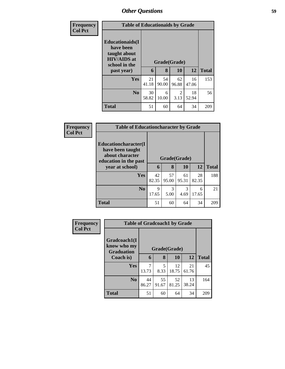| <b>Frequency</b> |                                                                                                           | <b>Table of Educationaids by Grade</b> |                   |             |             |              |  |  |  |
|------------------|-----------------------------------------------------------------------------------------------------------|----------------------------------------|-------------------|-------------|-------------|--------------|--|--|--|
| <b>Col Pct</b>   | <b>Educationaids</b> (I<br>have been<br>taught about<br><b>HIV/AIDS</b> at<br>school in the<br>past year) | 6                                      | Grade(Grade)<br>8 | 10          | 12          | <b>Total</b> |  |  |  |
|                  | <b>Yes</b>                                                                                                | 21<br>41.18                            | 54<br>90.00       | 62<br>96.88 | 16<br>47.06 | 153          |  |  |  |
|                  | N <sub>0</sub>                                                                                            | 30<br>58.82                            | 6<br>10.00        | 2<br>3.13   | 18<br>52.94 | 56           |  |  |  |
|                  | <b>Total</b>                                                                                              | 51                                     | 60                | 64          | 34          | 209          |  |  |  |

| Frequency      | <b>Table of Educationcharacter by Grade</b>                                                                     |             |                                           |             |             |              |  |
|----------------|-----------------------------------------------------------------------------------------------------------------|-------------|-------------------------------------------|-------------|-------------|--------------|--|
| <b>Col Pct</b> | <b>Educationcharacter</b> (I<br>have been taught<br>about character<br>education in the past<br>year at school) |             | Grade(Grade)<br><b>12</b><br>8<br>10<br>6 |             |             |              |  |
|                |                                                                                                                 |             |                                           |             |             | <b>Total</b> |  |
|                | <b>Yes</b>                                                                                                      | 42<br>82.35 | 57<br>95.00                               | 61<br>95.31 | 28<br>82.35 | 188          |  |
|                | N <sub>o</sub>                                                                                                  | 9<br>17.65  | 3<br>5.00                                 | 3<br>4.69   | 6<br>17.65  | 21           |  |
|                | <b>Total</b>                                                                                                    | 51          | 60                                        | 64          | 34          | 209          |  |

| Frequency      |                                                  | <b>Table of Gradcoach1 by Grade</b> |              |             |             |              |  |  |
|----------------|--------------------------------------------------|-------------------------------------|--------------|-------------|-------------|--------------|--|--|
| <b>Col Pct</b> | Gradcoach1(I<br>know who my<br><b>Graduation</b> |                                     | Grade(Grade) |             |             |              |  |  |
|                | Coach is)                                        | 6                                   | 8            | 10          | <b>12</b>   | <b>Total</b> |  |  |
|                | Yes                                              | 13.73                               | 5<br>8.33    | 12<br>18.75 | 21<br>61.76 | 45           |  |  |
|                | N <sub>0</sub>                                   | 44<br>86.27                         | 55<br>91.67  | 52<br>81.25 | 13<br>38.24 | 164          |  |  |
|                | <b>Total</b>                                     | 51                                  | 60           | 64          | 34          | 209          |  |  |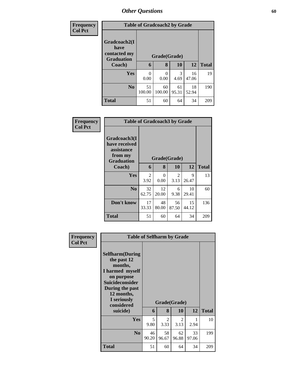| <b>Frequency</b> |                                                           | <b>Table of Gradcoach2 by Grade</b> |              |             |             |              |  |  |  |
|------------------|-----------------------------------------------------------|-------------------------------------|--------------|-------------|-------------|--------------|--|--|--|
| <b>Col Pct</b>   | Gradcoach2(I<br>have<br>contacted my<br><b>Graduation</b> | Grade(Grade)                        |              |             |             |              |  |  |  |
|                  | Coach)                                                    | 6                                   | 8            | 10          | 12          | <b>Total</b> |  |  |  |
|                  | <b>Yes</b>                                                | 0<br>0.00                           | 0<br>0.00    | 3<br>4.69   | 16<br>47.06 | 19           |  |  |  |
|                  | No                                                        | 51<br>100.00                        | 60<br>100.00 | 61<br>95.31 | 18<br>52.94 | 190          |  |  |  |
|                  | <b>Total</b>                                              | 51                                  | 60           | 64          | 34          | 209          |  |  |  |

| Frequency<br><b>Col Pct</b> |                                                                             | <b>Table of Gradcoach3 by Grade</b> |                  |                        |             |              |  |  |  |
|-----------------------------|-----------------------------------------------------------------------------|-------------------------------------|------------------|------------------------|-------------|--------------|--|--|--|
|                             | Gradcoach3(I<br>have received<br>assistance<br>from my<br><b>Graduation</b> |                                     | Grade(Grade)     |                        |             |              |  |  |  |
|                             | Coach)                                                                      | 6                                   | 8                | 10                     | 12          | <b>Total</b> |  |  |  |
|                             | Yes                                                                         | 2<br>3.92                           | $\Omega$<br>0.00 | $\mathfrak{D}$<br>3.13 | 9<br>26.47  | 13           |  |  |  |
|                             | N <sub>0</sub>                                                              | 32<br>62.75                         | 12<br>20.00      | 6<br>9.38              | 10<br>29.41 | 60           |  |  |  |
|                             | Don't know                                                                  | 17<br>33.33                         | 48<br>80.00      | 56<br>87.50            | 15<br>44.12 | 136          |  |  |  |
|                             | <b>Total</b>                                                                | 51                                  | 60               | 64                     | 34          | 209          |  |  |  |

| <b>Frequency</b> | <b>Table of Selfharm by Grade</b>                                                                                                                                                      |             |                   |                             |             |              |
|------------------|----------------------------------------------------------------------------------------------------------------------------------------------------------------------------------------|-------------|-------------------|-----------------------------|-------------|--------------|
| <b>Col Pct</b>   | <b>Selfharm</b> (During<br>the past 12<br>months,<br>I harmed myself<br>on purpose<br><b>Suicideconsider</b><br>During the past<br>12 months,<br>I seriously<br>considered<br>suicide) | 6           | Grade(Grade)<br>8 | <b>10</b>                   | 12          | <b>Total</b> |
|                  | <b>Yes</b>                                                                                                                                                                             | 5           | $\mathfrak{D}$    | $\mathcal{D}_{\mathcal{L}}$ | 1           | 10           |
|                  |                                                                                                                                                                                        | 9.80        | 3.33              | 3.13                        | 2.94        |              |
|                  | N <sub>0</sub>                                                                                                                                                                         | 46<br>90.20 | 58<br>96.67       | 62<br>96.88                 | 33<br>97.06 | 199          |
|                  | <b>Total</b>                                                                                                                                                                           | 51          | 60                | 64                          | 34          | 209          |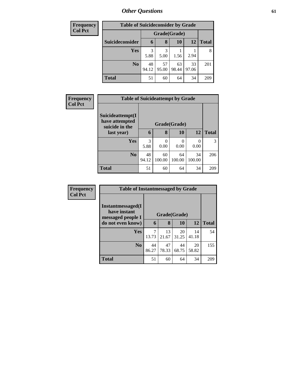| Frequency      | <b>Table of Suicideconsider by Grade</b> |              |             |             |             |              |  |  |
|----------------|------------------------------------------|--------------|-------------|-------------|-------------|--------------|--|--|
| <b>Col Pct</b> |                                          | Grade(Grade) |             |             |             |              |  |  |
|                | Suicideconsider                          | 6            | 8           | 10          | 12          | <b>Total</b> |  |  |
|                | <b>Yes</b>                               | 3<br>5.88    | 3<br>5.00   | 1.56        | 2.94        | 8            |  |  |
|                | N <sub>0</sub>                           | 48<br>94.12  | 57<br>95.00 | 63<br>98.44 | 33<br>97.06 | 201          |  |  |
|                | <b>Total</b>                             | 51           | 60          | 64          | 34          | 209          |  |  |

| <b>Frequency</b> | <b>Table of Suicideattempt by Grade</b>              |             |                  |              |              |              |
|------------------|------------------------------------------------------|-------------|------------------|--------------|--------------|--------------|
| <b>Col Pct</b>   | Suicideattempt(I<br>have attempted<br>suicide in the |             | Grade(Grade)     |              |              |              |
|                  | last year)                                           | 6           | 8                | 10           | 12           | <b>Total</b> |
|                  | Yes                                                  | 3<br>5.88   | $\Omega$<br>0.00 | 0.00         | 0.00         | 3            |
|                  | N <sub>0</sub>                                       | 48<br>94.12 | 60<br>100.00     | 64<br>100.00 | 34<br>100.00 | 206          |
|                  | <b>Total</b>                                         | 51          | 60               | 64           | 34           | 209          |

| Frequency      | <b>Table of Instantmessaged by Grade</b>               |             |              |             |             |              |
|----------------|--------------------------------------------------------|-------------|--------------|-------------|-------------|--------------|
| <b>Col Pct</b> | Instantmessaged(I<br>have instant<br>messaged people I |             | Grade(Grade) |             |             |              |
|                | do not even know)                                      | 6           | 8            | 10          | 12          | <b>Total</b> |
|                | <b>Yes</b>                                             | 7<br>13.73  | 13<br>21.67  | 20<br>31.25 | 14<br>41.18 | 54           |
|                | N <sub>0</sub>                                         | 44<br>86.27 | 47<br>78.33  | 44<br>68.75 | 20<br>58.82 | 155          |
|                | <b>Total</b>                                           | 51          | 60           | 64          | 34          | 209          |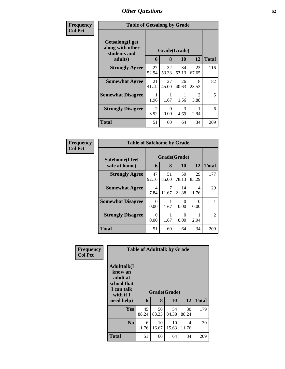| <b>Frequency</b> | <b>Table of Getsalong by Grade</b>                  |                        |                  |             |                        |              |
|------------------|-----------------------------------------------------|------------------------|------------------|-------------|------------------------|--------------|
| <b>Col Pct</b>   | Getsalong(I get<br>along with other<br>students and |                        | Grade(Grade)     |             |                        |              |
|                  | adults)                                             | 6                      | 8                | <b>10</b>   | 12                     | <b>Total</b> |
|                  | <b>Strongly Agree</b>                               | 27<br>52.94            | 32<br>53.33      | 34<br>53.13 | 23<br>67.65            | 116          |
|                  | <b>Somewhat Agree</b>                               | 21<br>41.18            | 27<br>45.00      | 26<br>40.63 | 8<br>23.53             | 82           |
|                  | <b>Somewhat Disagree</b>                            | 1.96                   | 1.67             | 1.56        | $\mathfrak{D}$<br>5.88 | 5            |
|                  | <b>Strongly Disagree</b>                            | $\mathfrak{D}$<br>3.92 | $\Omega$<br>0.00 | 3<br>4.69   | 2.94                   | 6            |
|                  | <b>Total</b>                                        | 51                     | 60               | 64          | 34                     | 209          |

| Frequency      | <b>Table of Safehome by Grade</b> |                  |             |                    |             |                |  |
|----------------|-----------------------------------|------------------|-------------|--------------------|-------------|----------------|--|
| <b>Col Pct</b> | Safehome(I feel<br>safe at home)  | 6                | 8           | Grade(Grade)<br>10 | 12          | <b>Total</b>   |  |
|                | <b>Strongly Agree</b>             | 47<br>92.16      | 51<br>85.00 | 50<br>78.13        | 29<br>85.29 | 177            |  |
|                | <b>Somewhat Agree</b>             | 4<br>7.84        | 11.67       | 14<br>21.88        | 4<br>11.76  | 29             |  |
|                | <b>Somewhat Disagree</b>          | 0<br>0.00        | 1.67        | 0<br>0.00          | 0.00        |                |  |
|                | <b>Strongly Disagree</b>          | $\Omega$<br>0.00 | 1.67        | 0<br>0.00          | 2.94        | $\mathfrak{D}$ |  |
|                | <b>Total</b>                      | 51               | 60          | 64                 | 34          | 209            |  |

| Frequency      | <b>Table of Adulttalk by Grade</b>                                                                  |             |             |                    |             |              |  |  |
|----------------|-----------------------------------------------------------------------------------------------------|-------------|-------------|--------------------|-------------|--------------|--|--|
| <b>Col Pct</b> | <b>Adulttalk(I</b><br>know an<br>adult at<br>school that<br>I can talk<br>with if $I$<br>need help) | 6           | 8           | Grade(Grade)<br>10 | 12          | <b>Total</b> |  |  |
|                |                                                                                                     |             |             |                    |             |              |  |  |
|                | <b>Yes</b>                                                                                          | 45<br>88.24 | 50<br>83.33 | 54<br>84.38        | 30<br>88.24 | 179          |  |  |
|                | N <sub>0</sub>                                                                                      | 6<br>11.76  | 10<br>16.67 | 10<br>15.63        | 4<br>11.76  | 30           |  |  |
|                | <b>Total</b>                                                                                        | 51          | 60          | 64                 | 34          | 209          |  |  |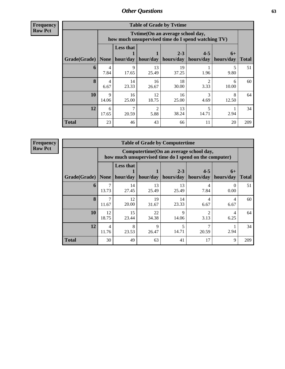**Frequency Row Pct**

| <b>Table of Grade by Tvtime</b> |            |                                                                                        |             |                      |                      |                   |              |  |  |
|---------------------------------|------------|----------------------------------------------------------------------------------------|-------------|----------------------|----------------------|-------------------|--------------|--|--|
|                                 |            | Tvtime(On an average school day,<br>how much unsupervised time do I spend watching TV) |             |                      |                      |                   |              |  |  |
| Grade(Grade)                    | None $ $   | <b>Less that</b><br>hour/day                                                           | hour/day    | $2 - 3$<br>hours/day | $4 - 5$<br>hours/day | $6+$<br>hours/day | <b>Total</b> |  |  |
| 6                               | 4<br>7.84  | 9<br>17.65                                                                             | 13<br>25.49 | 19<br>37.25          | 1.96                 | 5<br>9.80         | 51           |  |  |
| 8                               | 4<br>6.67  | 14<br>23.33                                                                            | 16<br>26.67 | 18<br>30.00          | 2<br>3.33            | 6<br>10.00        | 60           |  |  |
| 10                              | 9<br>14.06 | 16<br>25.00                                                                            | 12<br>18.75 | 16<br>25.00          | 3<br>4.69            | 8<br>12.50        | 64           |  |  |
| 12                              | 6<br>17.65 | 7<br>20.59                                                                             | 2<br>5.88   | 13<br>38.24          | 5<br>14.71           | 2.94              | 34           |  |  |
| <b>Total</b>                    | 23         | 46                                                                                     | 43          | 66                   | 11                   | 20                | 209          |  |  |

**Frequency Row Pct**

|              | <b>Table of Grade by Computertime</b> |                  |                      |                                                                                                  |                      |                   |              |  |  |  |
|--------------|---------------------------------------|------------------|----------------------|--------------------------------------------------------------------------------------------------|----------------------|-------------------|--------------|--|--|--|
|              |                                       |                  |                      | Computertime(On an average school day,<br>how much unsupervised time do I spend on the computer) |                      |                   |              |  |  |  |
| Grade(Grade) | <b>None</b>                           | <b>Less that</b> | hour/day   hour/day  | $2 - 3$<br>hours/day                                                                             | $4 - 5$<br>hours/day | $6+$<br>hours/day | <b>Total</b> |  |  |  |
| 6            | 13.73                                 | 14<br>27.45      | 13<br>25.49          | 13<br>25.49                                                                                      | Δ<br>7.84            | 0<br>0.00         | 51           |  |  |  |
| $\mathbf{8}$ | ⇁<br>11.67                            | 12<br>20.00      | 19<br>31.67          | 14<br>23.33                                                                                      | 4<br>6.67            | 4<br>6.67         | 60           |  |  |  |
| 10           | 12<br>18.75                           | 15<br>23.44      | 22<br>34.38          | $\mathbf Q$<br>14.06                                                                             | っ<br>3.13            | 4<br>6.25         | 64           |  |  |  |
| 12           | $\overline{4}$<br>11.76               | 8<br>23.53       | $\mathbf Q$<br>26.47 | 14.71                                                                                            | 20.59                | 2.94              | 34           |  |  |  |
| <b>Total</b> | 30                                    | 49               | 63                   | 41                                                                                               | 17                   | 9                 | 209          |  |  |  |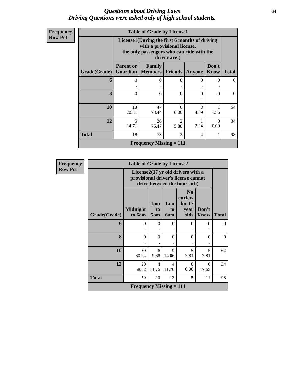### *Questions about Driving Laws* **64** *Driving Questions were asked only of high school students.*

| Frequency      |  |
|----------------|--|
| <b>Row Pct</b> |  |

|                      | <b>Table of Grade by License1</b> |                                                                                                                                           |                        |           |                      |              |  |  |  |  |
|----------------------|-----------------------------------|-------------------------------------------------------------------------------------------------------------------------------------------|------------------------|-----------|----------------------|--------------|--|--|--|--|
|                      |                                   | License1(During the first 6 months of driving<br>with a provisional license,<br>the only passengers who can ride with the<br>driver are:) |                        |           |                      |              |  |  |  |  |
| <b>Grade</b> (Grade) | <b>Parent or</b>                  | Family<br><b>Guardian</b>   Members                                                                                                       | <b>Friends</b>         | Anyone    | Don't<br><b>Know</b> | <b>Total</b> |  |  |  |  |
| 6                    | 0                                 | $\Omega$                                                                                                                                  | 0                      | 0         | 0                    | $^{\circ}$   |  |  |  |  |
| 8                    | 0                                 | 0                                                                                                                                         | 0                      | $\Omega$  | 0                    | 0            |  |  |  |  |
| 10                   | 13<br>20.31                       | 47<br>73.44                                                                                                                               | $\Omega$<br>0.00       | 3<br>4.69 | 1.56                 | 64           |  |  |  |  |
| 12                   | $\overline{\phantom{0}}$<br>14.71 | 26<br>76.47                                                                                                                               | $\mathfrak{D}$<br>5.88 | 2.94      | $\Omega$<br>0.00     | 34           |  |  |  |  |
| <b>Total</b>         | 18                                | $\overline{2}$<br>73<br>4                                                                                                                 |                        |           |                      |              |  |  |  |  |
|                      |                                   | <b>Frequency Missing = 111</b>                                                                                                            |                        |           |                      |              |  |  |  |  |

| <b>Frequency</b> | <b>Table of Grade by License2</b> |                                             |                                                                                                          |                  |                                                      |                      |              |  |  |  |
|------------------|-----------------------------------|---------------------------------------------|----------------------------------------------------------------------------------------------------------|------------------|------------------------------------------------------|----------------------|--------------|--|--|--|
| <b>Row Pct</b>   |                                   |                                             | License2(17 yr old drivers with a<br>provisional driver's license cannot<br>drive between the hours of:) |                  |                                                      |                      |              |  |  |  |
|                  | Grade(Grade)                      | <b>Midnight</b><br>to 6am                   | 1am<br>t <sub>0</sub><br>5am                                                                             | 1am<br>to<br>6am | N <sub>0</sub><br>curfew<br>for $17$<br>year<br>olds | Don't<br><b>Know</b> | <b>Total</b> |  |  |  |
|                  | 6                                 | $\Omega$                                    | $\Omega$                                                                                                 | $\theta$         | $\theta$                                             | 0                    | $\theta$     |  |  |  |
|                  | 8                                 | $\theta$                                    | $\Omega$                                                                                                 | 0                | $\theta$                                             | $\Omega$             | $\theta$     |  |  |  |
|                  | 10                                | 39<br>60.94                                 | 6<br>9.38                                                                                                | 9<br>14.06       | 5<br>7.81                                            | 5<br>7.81            | 64           |  |  |  |
|                  | 12                                | 20<br>58.82                                 | $\overline{4}$<br>11.76                                                                                  | 4<br>11.76       | $\theta$<br>0.00                                     | 6<br>17.65           | 34           |  |  |  |
|                  | <b>Total</b>                      | 59                                          | 10                                                                                                       | 13               | 5                                                    | 11                   | 98           |  |  |  |
|                  |                                   | <b>Frequency Missing <math>= 111</math></b> |                                                                                                          |                  |                                                      |                      |              |  |  |  |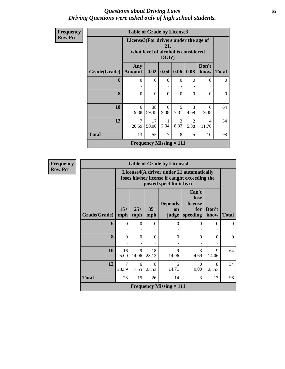### *Questions about Driving Laws* **65** *Driving Questions were asked only of high school students.*

| Frequency      | <b>Table of Grade by License3</b> |                                  |                                                                                                 |           |           |           |               |              |  |  |
|----------------|-----------------------------------|----------------------------------|-------------------------------------------------------------------------------------------------|-----------|-----------|-----------|---------------|--------------|--|--|
| <b>Row Pct</b> |                                   |                                  | License3(For drivers under the age of<br>21,<br>what level of alcohol is considered<br>$DUI$ ?) |           |           |           |               |              |  |  |
|                | Grade(Grade)                      | Any<br><b>Amount</b>             | 0.02                                                                                            | 0.04      | 0.06      | 0.08      | Don't<br>know | <b>Total</b> |  |  |
|                | 6                                 | $\Omega$<br>$\ddot{\phantom{0}}$ | $\theta$                                                                                        | $\Omega$  | $\Omega$  | $\Omega$  | $\Omega$      | $\Omega$     |  |  |
|                | 8                                 | $\Omega$                         | $\theta$                                                                                        | $\Omega$  | $\Omega$  | $\theta$  | $\Omega$      | $\Omega$     |  |  |
|                | 10                                | 6<br>9.38                        | 38<br>59.38                                                                                     | 6<br>9.38 | 5<br>7.81 | 3<br>4.69 | 6<br>9.38     | 64           |  |  |
|                | 12                                | $\tau$<br>20.59                  | 17<br>50.00                                                                                     | 2.94      | 3<br>8.82 | 2<br>5.88 | 4<br>11.76    | 34           |  |  |
|                | <b>Total</b>                      | 13                               | 55                                                                                              | 7         | 8         | 5         | 10            | 98           |  |  |
|                |                                   |                                  | <b>Frequency Missing <math>= 111</math></b>                                                     |           |           |           |               |              |  |  |

| <b>Frequency</b> |              |                         |              |              | <b>Table of Grade by License4</b> |                                                                                           |                      |              |
|------------------|--------------|-------------------------|--------------|--------------|-----------------------------------|-------------------------------------------------------------------------------------------|----------------------|--------------|
| <b>Row Pct</b>   |              |                         |              |              | posted speet limit by:)           | License4(A driver under 21 automatically<br>loses his/her license if caught exceeding the |                      |              |
|                  | Grade(Grade) | $15+$<br>mph            | $25+$<br>mph | $35+$<br>mph | <b>Depends</b><br>on<br>judge     | Can't<br>lose<br>license<br>for<br>speeding                                               | Don't<br>know        | <b>Total</b> |
|                  | 6            | $\theta$                | $\Omega$     | $\theta$     | $\Omega$                          | $\theta$                                                                                  | $\Omega$             | $\Omega$     |
|                  | 8            | $\theta$                | $\theta$     | $\Omega$     | $\Omega$                          | $\theta$                                                                                  | $\theta$             | $\theta$     |
|                  | 10           | 16<br>25.00             | 9<br>14.06   | 18<br>28.13  | $\mathbf Q$<br>14.06              | $\mathcal{E}$<br>4.69                                                                     | $\mathbf Q$<br>14.06 | 64           |
|                  | 12           | $\overline{7}$<br>20.59 | 6<br>17.65   | 8<br>23.53   | 5<br>14.71                        | $\Omega$<br>0.00                                                                          | 8<br>23.53           | 34           |
|                  | <b>Total</b> | 23                      | 15           | 26           | 14                                | 3                                                                                         | 17                   | 98           |
|                  |              |                         |              |              | <b>Frequency Missing = 111</b>    |                                                                                           |                      |              |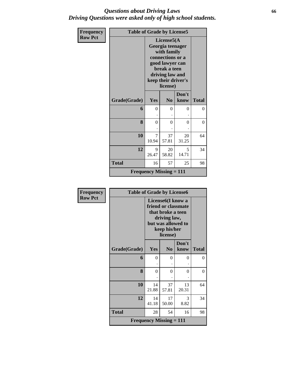### *Questions about Driving Laws* **66** *Driving Questions were asked only of high school students.*

| Frequency      | <b>Table of Grade by License5</b> |                                |                                                                                                                                                            |               |              |  |  |  |
|----------------|-----------------------------------|--------------------------------|------------------------------------------------------------------------------------------------------------------------------------------------------------|---------------|--------------|--|--|--|
| <b>Row Pct</b> |                                   |                                | License5(A<br>Georgia teenager<br>with family<br>connections or a<br>good lawyer can<br>break a teen<br>driving law and<br>keep their driver's<br>license) |               |              |  |  |  |
|                | Grade(Grade)                      | Yes                            | N <sub>0</sub>                                                                                                                                             | Don't<br>know | <b>Total</b> |  |  |  |
|                | 6                                 | 0                              | $\Omega$                                                                                                                                                   | 0             | $\Omega$     |  |  |  |
|                | 8                                 | $\overline{0}$                 | $\Omega$                                                                                                                                                   | 0             | $\theta$     |  |  |  |
|                | 10                                | 7<br>10.94                     | 37<br>57.81                                                                                                                                                | 20<br>31.25   | 64           |  |  |  |
|                | 12                                | 9<br>26.47                     | 20<br>58.82                                                                                                                                                | 5<br>14.71    | 34           |  |  |  |
|                | <b>Total</b>                      | 16                             | 57                                                                                                                                                         | 25            | 98           |  |  |  |
|                |                                   | <b>Frequency Missing = 111</b> |                                                                                                                                                            |               |              |  |  |  |

| <b>Frequency</b> | <b>Table of Grade by License6</b> |                                |                                                                                                                                              |               |              |  |  |
|------------------|-----------------------------------|--------------------------------|----------------------------------------------------------------------------------------------------------------------------------------------|---------------|--------------|--|--|
| <b>Row Pct</b>   |                                   |                                | License <sub>6</sub> (I know a<br>friend or classmate<br>that broke a teen<br>driving law,<br>but was allowed to<br>keep his/her<br>license) |               |              |  |  |
|                  | Grade(Grade)                      | Yes                            | N <sub>0</sub>                                                                                                                               | Don't<br>know | <b>Total</b> |  |  |
|                  | 6                                 | $\theta$                       | $\theta$                                                                                                                                     | 0             | $\Omega$     |  |  |
|                  | 8                                 | $\theta$                       | 0                                                                                                                                            | 0             | $\Omega$     |  |  |
|                  | 10                                | 14<br>21.88                    | 37<br>57.81                                                                                                                                  | 13<br>20.31   | 64           |  |  |
|                  | 12                                | 14<br>41.18                    | 17<br>50.00                                                                                                                                  | 3<br>8.82     | 34           |  |  |
|                  | <b>Total</b>                      | 28                             | 54                                                                                                                                           | 16            | 98           |  |  |
|                  |                                   | <b>Frequency Missing = 111</b> |                                                                                                                                              |               |              |  |  |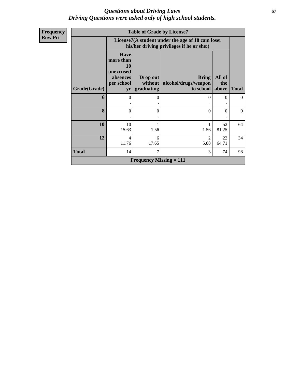### *Questions about Driving Laws* **67** *Driving Questions were asked only of high school students.*

| <b>Frequency</b> |              |                                                                              | <b>Table of Grade by License7</b> |                                                                                               |                        |                |
|------------------|--------------|------------------------------------------------------------------------------|-----------------------------------|-----------------------------------------------------------------------------------------------|------------------------|----------------|
| <b>Row Pct</b>   |              |                                                                              |                                   | License7(A student under the age of 18 cam loser<br>his/her driving privileges if he or she:) |                        |                |
|                  | Grade(Grade) | <b>Have</b><br>more than<br><b>10</b><br>unexcused<br>absences<br>per school | Drop out<br>without<br>graduating | <b>Bring</b><br>alcohol/drugs/weapon<br>to school                                             | All of<br>the<br>above | <b>Total</b>   |
|                  |              | yr                                                                           |                                   |                                                                                               |                        |                |
|                  | 6            | $\theta$                                                                     | $\Omega$                          | $\Omega$                                                                                      | $\mathbf{0}$           | $\overline{0}$ |
|                  | 8            | $\Omega$                                                                     | $\theta$                          | $\Omega$                                                                                      | $\theta$               | $\theta$       |
|                  | 10           | 10<br>15.63                                                                  | 1.56                              | 1<br>1.56                                                                                     | 52<br>81.25            | 64             |
|                  | 12           | $\overline{4}$<br>11.76                                                      | 6<br>17.65                        | $\overline{2}$<br>5.88                                                                        | 22<br>64.71            | 34             |
|                  | <b>Total</b> | 14                                                                           | 7                                 | 3                                                                                             | 74                     | 98             |
|                  |              |                                                                              | <b>Frequency Missing = 111</b>    |                                                                                               |                        |                |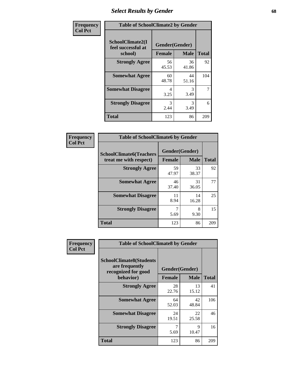## *Select Results by Gender* **68**

| Frequency      | <b>Table of SchoolClimate2 by Gender</b>          |                                 |             |              |  |  |  |  |
|----------------|---------------------------------------------------|---------------------------------|-------------|--------------|--|--|--|--|
| <b>Col Pct</b> | SchoolClimate2(I<br>feel successful at<br>school) | Gender(Gender)<br><b>Female</b> | <b>Male</b> | <b>Total</b> |  |  |  |  |
|                | <b>Strongly Agree</b>                             | 56<br>45.53                     | 36<br>41.86 | 92           |  |  |  |  |
|                | <b>Somewhat Agree</b>                             | 60<br>48.78                     | 44<br>51.16 | 104          |  |  |  |  |
|                | <b>Somewhat Disagree</b>                          | 4<br>3.25                       | 3<br>3.49   | 7            |  |  |  |  |
|                | <b>Strongly Disagree</b>                          | 3<br>2.44                       | 3<br>3.49   | 6            |  |  |  |  |
|                | <b>Total</b>                                      | 123                             | 86          | 209          |  |  |  |  |

| Frequency      | <b>Table of SchoolClimate6 by Gender</b>                 |                                 |             |              |
|----------------|----------------------------------------------------------|---------------------------------|-------------|--------------|
| <b>Col Pct</b> | <b>SchoolClimate6(Teachers</b><br>treat me with respect) | Gender(Gender)<br><b>Female</b> | <b>Male</b> | <b>Total</b> |
|                | <b>Strongly Agree</b>                                    | 59<br>47.97                     | 33<br>38.37 | 92           |
|                | <b>Somewhat Agree</b>                                    | 46<br>37.40                     | 31<br>36.05 | 77           |
|                | <b>Somewhat Disagree</b>                                 | 11<br>8.94                      | 14<br>16.28 | 25           |
|                | <b>Strongly Disagree</b>                                 | 7<br>5.69                       | 8<br>9.30   | 15           |
|                | Total                                                    | 123                             | 86          | 209          |

| <b>Frequency</b> | <b>Table of SchoolClimate8 by Gender</b>                                             |               |                               |              |
|------------------|--------------------------------------------------------------------------------------|---------------|-------------------------------|--------------|
| <b>Col Pct</b>   | <b>SchoolClimate8(Students</b><br>are frequently<br>recognized for good<br>behavior) | <b>Female</b> | Gender(Gender)<br><b>Male</b> | <b>Total</b> |
|                  | <b>Strongly Agree</b>                                                                | 28<br>22.76   | 13<br>15.12                   | 41           |
|                  | <b>Somewhat Agree</b>                                                                | 64<br>52.03   | 42<br>48.84                   | 106          |
|                  | <b>Somewhat Disagree</b>                                                             | 24<br>19.51   | 22<br>25.58                   | 46           |
|                  | <b>Strongly Disagree</b>                                                             | 7<br>5.69     | 9<br>10.47                    | 16           |
|                  | Total                                                                                | 123           | 86                            | 209          |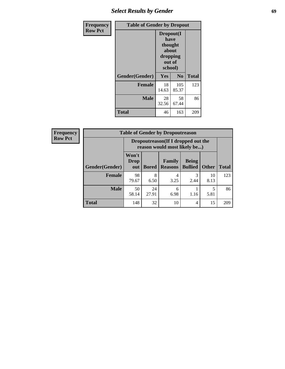## *Select Results by Gender* **69**

| <b>Frequency</b> | <b>Table of Gender by Dropout</b> |                                                                        |                |              |
|------------------|-----------------------------------|------------------------------------------------------------------------|----------------|--------------|
| <b>Row Pct</b>   |                                   | Dropout(I<br>have<br>thought<br>about<br>dropping<br>out of<br>school) |                |              |
|                  | Gender(Gender)                    | Yes                                                                    | N <sub>0</sub> | <b>Total</b> |
|                  | <b>Female</b>                     | 18<br>14.63                                                            | 105<br>85.37   | 123          |
|                  | <b>Male</b>                       | 28<br>32.56                                                            | 58<br>67.44    | 86           |
|                  | <b>Total</b>                      | 46                                                                     | 163            | 209          |

| <b>Frequency</b> | <b>Table of Gender by Dropoutreason</b> |                                                                     |              |                                 |                                |              |              |
|------------------|-----------------------------------------|---------------------------------------------------------------------|--------------|---------------------------------|--------------------------------|--------------|--------------|
| <b>Row Pct</b>   |                                         | Dropoutreason (If I dropped out the<br>reason would most likely be) |              |                                 |                                |              |              |
|                  | Gender(Gender)                          | Won't<br><b>Drop</b><br>out                                         | <b>Bored</b> | <b>Family</b><br><b>Reasons</b> | <b>Being</b><br><b>Bullied</b> | <b>Other</b> | <b>Total</b> |
|                  | <b>Female</b>                           | 98<br>79.67                                                         | 8<br>6.50    | 4<br>3.25                       | 2.44                           | 10<br>8.13   | 123          |
|                  | <b>Male</b>                             | 50<br>58.14                                                         | 24<br>27.91  | 6<br>6.98                       | 1.16                           | 5<br>5.81    | 86           |
|                  | <b>Total</b>                            | 148                                                                 | 32           | 10                              | $\overline{4}$                 | 15           | 209          |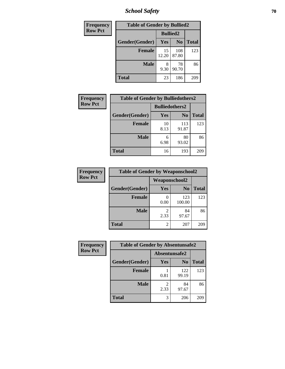*School Safety* **70**

| Frequency      | <b>Table of Gender by Bullied2</b> |                 |                |              |
|----------------|------------------------------------|-----------------|----------------|--------------|
| <b>Row Pct</b> |                                    | <b>Bullied2</b> |                |              |
|                | Gender(Gender)                     | Yes             | N <sub>0</sub> | <b>Total</b> |
|                | <b>Female</b>                      | 15<br>12.20     | 108<br>87.80   | 123          |
|                | <b>Male</b>                        | 8<br>9.30       | 78<br>90.70    | 86           |
|                | <b>Total</b>                       | 23              | 186            | 209          |

| Frequency      | <b>Table of Gender by Bulliedothers2</b> |                       |                |              |
|----------------|------------------------------------------|-----------------------|----------------|--------------|
| <b>Row Pct</b> |                                          | <b>Bulliedothers2</b> |                |              |
|                | Gender(Gender)                           | <b>Yes</b>            | N <sub>0</sub> | <b>Total</b> |
|                | <b>Female</b>                            | 10<br>8.13            | 113<br>91.87   | 123          |
|                | <b>Male</b>                              | 6<br>6.98             | 80<br>93.02    | 86           |
|                | <b>Total</b>                             | 16                    | 193            | 209          |

| Frequency      | <b>Table of Gender by Weaponschool2</b> |                        |                |              |  |
|----------------|-----------------------------------------|------------------------|----------------|--------------|--|
| <b>Row Pct</b> |                                         | <b>Weaponschool2</b>   |                |              |  |
|                | Gender(Gender)                          | Yes                    | N <sub>0</sub> | <b>Total</b> |  |
|                | <b>Female</b>                           | 0.00                   | 123<br>100.00  | 123          |  |
|                | <b>Male</b>                             | $\mathfrak{D}$<br>2.33 | 84<br>97.67    | 86           |  |
|                | <b>Total</b>                            | 2                      | 207            | 209          |  |

| <b>Frequency</b> | <b>Table of Gender by Absentunsafe2</b> |               |                |              |  |
|------------------|-----------------------------------------|---------------|----------------|--------------|--|
| <b>Row Pct</b>   |                                         | Absentunsafe2 |                |              |  |
|                  | Gender(Gender)                          | Yes           | N <sub>0</sub> | <b>Total</b> |  |
|                  | <b>Female</b>                           | 0.81          | 122<br>99.19   | 123          |  |
|                  | <b>Male</b>                             | 2.33          | 84<br>97.67    | 86           |  |
|                  | <b>Total</b>                            | 3             | 206            | 209          |  |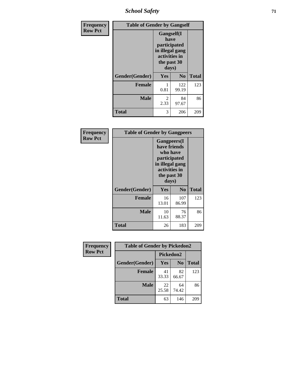*School Safety* **71**

| Frequency      | <b>Table of Gender by Gangself</b> |                                                                                                        |                |              |
|----------------|------------------------------------|--------------------------------------------------------------------------------------------------------|----------------|--------------|
| <b>Row Pct</b> |                                    | <b>Gangself</b> (I<br>have<br>participated<br>in illegal gang<br>activities in<br>the past 30<br>days) |                |              |
|                | Gender(Gender)                     | Yes                                                                                                    | N <sub>0</sub> | <b>Total</b> |
|                | <b>Female</b>                      | 1<br>0.81                                                                                              | 122<br>99.19   | 123          |
|                | <b>Male</b>                        | 2<br>2.33                                                                                              | 84<br>97.67    | 86           |
|                | <b>Total</b>                       | 3                                                                                                      | 206            | 209          |

| Frequency      | <b>Table of Gender by Gangpeers</b> |                                                                                                                             |                |              |
|----------------|-------------------------------------|-----------------------------------------------------------------------------------------------------------------------------|----------------|--------------|
| <b>Row Pct</b> |                                     | <b>Gangpeers</b> (I<br>have friends<br>who have<br>participated<br>in illegal gang<br>activities in<br>the past 30<br>days) |                |              |
|                | Gender(Gender)                      | Yes                                                                                                                         | N <sub>0</sub> | <b>Total</b> |
|                | <b>Female</b>                       | 16<br>13.01                                                                                                                 | 107<br>86.99   | 123          |
|                | <b>Male</b>                         | 10<br>11.63                                                                                                                 | 76<br>88.37    | 86           |
|                | <b>Total</b>                        | 26                                                                                                                          | 183            | 209          |

| <b>Frequency</b> | <b>Table of Gender by Pickedon2</b> |             |                |              |
|------------------|-------------------------------------|-------------|----------------|--------------|
| <b>Row Pct</b>   |                                     | Pickedon2   |                |              |
|                  | Gender(Gender)                      | Yes         | N <sub>0</sub> | <b>Total</b> |
|                  | <b>Female</b>                       | 41<br>33.33 | 82<br>66.67    | 123          |
|                  | <b>Male</b>                         | 22<br>25.58 | 64<br>74.42    | 86           |
|                  | <b>Total</b>                        | 63          | 146            | 209          |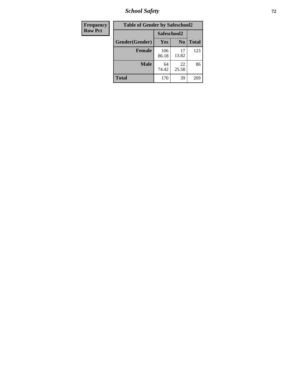*School Safety* **72**

| Frequency      | <b>Table of Gender by Safeschool2</b> |              |                |              |
|----------------|---------------------------------------|--------------|----------------|--------------|
| <b>Row Pct</b> |                                       | Safeschool2  |                |              |
|                | Gender(Gender)                        | Yes          | N <sub>0</sub> | <b>Total</b> |
|                | <b>Female</b>                         | 106<br>86.18 | 17<br>13.82    | 123          |
|                | <b>Male</b>                           | 64<br>74.42  | 22<br>25.58    | 86           |
|                | <b>Total</b>                          | 170          | 39             | 209          |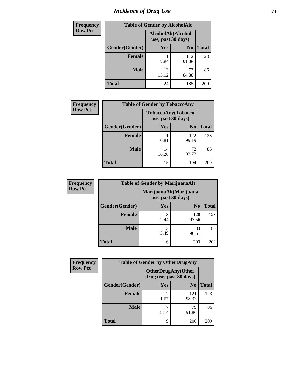# *Incidence of Drug Use* 73

| <b>Frequency</b> | <b>Table of Gender by AlcoholAlt</b> |             |                                          |              |  |
|------------------|--------------------------------------|-------------|------------------------------------------|--------------|--|
| <b>Row Pct</b>   |                                      |             | AlcoholAlt(Alcohol<br>use, past 30 days) |              |  |
|                  | Gender(Gender)                       | <b>Yes</b>  | N <sub>0</sub>                           | <b>Total</b> |  |
|                  | <b>Female</b>                        | 11<br>8.94  | 112<br>91.06                             | 123          |  |
|                  | <b>Male</b>                          | 13<br>15.12 | 73<br>84.88                              | 86           |  |
|                  | <b>Total</b>                         | 24          | 185                                      | 209          |  |

| <b>Frequency</b> | <b>Table of Gender by TobaccoAny</b> |                    |                    |              |
|------------------|--------------------------------------|--------------------|--------------------|--------------|
| <b>Row Pct</b>   |                                      | use, past 30 days) | TobaccoAny(Tobacco |              |
|                  | Gender(Gender)                       | Yes                | N <sub>0</sub>     | <b>Total</b> |
|                  | <b>Female</b>                        | 0.81               | 122<br>99.19       | 123          |
|                  | Male                                 | 14<br>16.28        | 72<br>83.72        | 86           |
|                  | <b>Total</b>                         | 15                 | 194                | 209          |

| <b>Frequency</b> | <b>Table of Gender by MarijuanaAlt</b> |                    |                        |              |
|------------------|----------------------------------------|--------------------|------------------------|--------------|
| <b>Row Pct</b>   |                                        | use, past 30 days) | MarijuanaAlt(Marijuana |              |
|                  | Gender(Gender)                         | <b>Yes</b>         | N <sub>0</sub>         | <b>Total</b> |
|                  | Female                                 | 3<br>2.44          | 120<br>97.56           | 123          |
|                  | <b>Male</b>                            | 3<br>3.49          | 83<br>96.51            | 86           |
|                  | <b>Total</b>                           | 6                  | 203                    | 209          |

| <b>Frequency</b> | <b>Table of Gender by OtherDrugAny</b> |                                                      |                |              |  |
|------------------|----------------------------------------|------------------------------------------------------|----------------|--------------|--|
| <b>Row Pct</b>   |                                        | <b>OtherDrugAny(Other</b><br>drug use, past 30 days) |                |              |  |
|                  | Gender(Gender)                         | <b>Yes</b>                                           | N <sub>0</sub> | <b>Total</b> |  |
|                  | <b>Female</b>                          | $\mathfrak{D}$<br>1.63                               | 121<br>98.37   | 123          |  |
|                  | <b>Male</b>                            | 8.14                                                 | 79<br>91.86    | 86           |  |
|                  | <b>Total</b>                           | 9                                                    | 200            | 209          |  |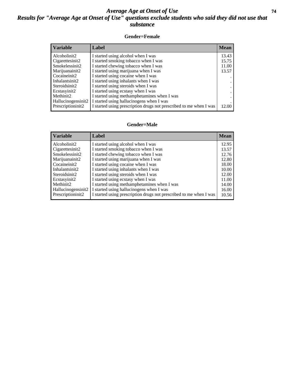## *Average Age at Onset of Use* **74** *Results for "Average Age at Onset of Use" questions exclude students who said they did not use that substance*

## **Gender=Female**

| <b>Variable</b>                 | Label                                                              | <b>Mean</b> |
|---------------------------------|--------------------------------------------------------------------|-------------|
| Alcoholinit2                    | I started using alcohol when I was                                 | 13.43       |
| Cigarettesinit2                 | I started smoking tobacco when I was                               | 15.75       |
| Smokelessinit2                  | I started chewing tobacco when I was                               | 11.00       |
| Marijuanainit2                  | I started using marijuana when I was                               | 13.57       |
| Cocaineinit2                    | I started using cocaine when I was                                 |             |
| Inhalantsinit2                  | I started using inhalants when I was                               |             |
| Steroidsinit2                   | I started using steroids when I was                                |             |
| Ecstasyinit2                    | I started using ecstasy when I was                                 |             |
| Methinit2                       | I started using methamphetamines when I was                        |             |
| Hallucinogensinit2              | I started using hallucinogens when I was                           |             |
| Prescription in it <sub>2</sub> | I started using prescription drugs not prescribed to me when I was | 12.00       |

### **Gender=Male**

| <b>Variable</b>                 | Label                                                              | <b>Mean</b> |
|---------------------------------|--------------------------------------------------------------------|-------------|
| Alcoholinit2                    | I started using alcohol when I was                                 | 12.95       |
| Cigarettesinit2                 | I started smoking tobacco when I was                               | 13.57       |
| Smokelessinit2                  | I started chewing tobacco when I was                               | 12.76       |
| Marijuanainit2                  | I started using marijuana when I was                               | 12.80       |
| Cocaineinit2                    | I started using cocaine when I was                                 | 18.00       |
| Inhalantsinit2                  | I started using inhalants when I was                               | 10.00       |
| Steroidsinit2                   | I started using steroids when I was                                | 12.00       |
| Ecstasyinit2                    | I started using ecstasy when I was                                 | 11.00       |
| Methinit2                       | I started using methamphetamines when I was                        | 14.00       |
| Hallucinogensinit2              | I started using hallucinogens when I was                           | 16.00       |
| Prescription in it <sub>2</sub> | I started using prescription drugs not prescribed to me when I was | 10.56       |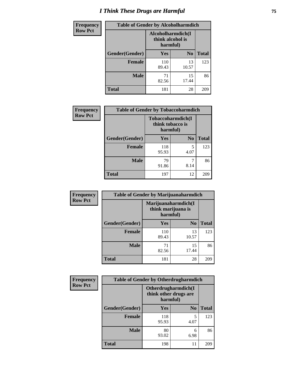# *I Think These Drugs are Harmful* **75**

| <b>Frequency</b> | <b>Table of Gender by Alcoholharmdich</b> |                                                   |                |              |
|------------------|-------------------------------------------|---------------------------------------------------|----------------|--------------|
| <b>Row Pct</b>   |                                           | Alcoholharmdich(I<br>think alcohol is<br>harmful) |                |              |
|                  | Gender(Gender)                            | Yes                                               | N <sub>0</sub> | <b>Total</b> |
|                  | <b>Female</b>                             | 110<br>89.43                                      | 13<br>10.57    | 123          |
|                  | <b>Male</b>                               | 71<br>82.56                                       | 15<br>17.44    | 86           |
|                  | Total                                     | 181                                               | 28             | 209          |

| Frequency      | <b>Table of Gender by Tobaccoharmdich</b> |                  |                               |              |
|----------------|-------------------------------------------|------------------|-------------------------------|--------------|
| <b>Row Pct</b> |                                           | think tobacco is | Tobaccoharmdich(I<br>harmful) |              |
|                | Gender(Gender)                            | Yes              | N <sub>0</sub>                | <b>Total</b> |
|                | <b>Female</b>                             | 118<br>95.93     | 5<br>4.07                     | 123          |
|                | <b>Male</b>                               | 79<br>91.86      | 8.14                          | 86           |
|                | <b>Total</b>                              | 197              | 12                            | 209          |

| Frequency      | <b>Table of Gender by Marijuanaharmdich</b> |                                                       |                |              |  |
|----------------|---------------------------------------------|-------------------------------------------------------|----------------|--------------|--|
| <b>Row Pct</b> |                                             | Marijuanaharmdich(I<br>think marijuana is<br>harmful) |                |              |  |
|                | Gender(Gender)                              | <b>Yes</b>                                            | N <sub>0</sub> | <b>Total</b> |  |
|                | <b>Female</b>                               | 110<br>89.43                                          | 13<br>10.57    | 123          |  |
|                | <b>Male</b>                                 | 71<br>82.56                                           | 15<br>17.44    | 86           |  |
|                | <b>Total</b>                                | 181                                                   | 28             | 209          |  |

| Frequency      | <b>Table of Gender by Otherdrugharmdich</b> |                                                          |                |              |  |
|----------------|---------------------------------------------|----------------------------------------------------------|----------------|--------------|--|
| <b>Row Pct</b> |                                             | Otherdrugharmdich(I<br>think other drugs are<br>harmful) |                |              |  |
|                | Gender(Gender)                              | <b>Yes</b>                                               | N <sub>0</sub> | <b>Total</b> |  |
|                | <b>Female</b>                               | 118<br>95.93                                             | 5<br>4.07      | 123          |  |
|                | <b>Male</b>                                 | 80<br>93.02                                              | 6<br>6.98      | 86           |  |
|                | <b>Total</b>                                | 198                                                      | 11             | 209          |  |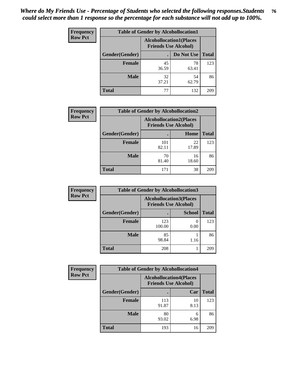| <b>Frequency</b> | <b>Table of Gender by Alcohollocation1</b> |             |                                                               |              |
|------------------|--------------------------------------------|-------------|---------------------------------------------------------------|--------------|
| <b>Row Pct</b>   |                                            |             | <b>Alcohollocation1(Places</b><br><b>Friends Use Alcohol)</b> |              |
|                  | <b>Gender</b> (Gender)                     |             | Do Not Use                                                    | <b>Total</b> |
|                  | <b>Female</b>                              | 45<br>36.59 | 78<br>63.41                                                   | 123          |
|                  | <b>Male</b>                                | 32<br>37.21 | 54<br>62.79                                                   | 86           |
|                  | <b>Total</b>                               | 77          | 132                                                           | 209          |

| <b>Frequency</b> | <b>Table of Gender by Alcohollocation2</b> |                                                               |             |              |
|------------------|--------------------------------------------|---------------------------------------------------------------|-------------|--------------|
| <b>Row Pct</b>   |                                            | <b>Alcohollocation2(Places</b><br><b>Friends Use Alcohol)</b> |             |              |
|                  | Gender(Gender)                             |                                                               | Home        | <b>Total</b> |
|                  | <b>Female</b>                              | 101<br>82.11                                                  | 22<br>17.89 | 123          |
|                  | <b>Male</b>                                | 70<br>81.40                                                   | 16<br>18.60 | 86           |
|                  | <b>Total</b>                               | 171                                                           | 38          | 209          |

| Frequency      | <b>Table of Gender by Alcohollocation3</b> |                                                               |               |              |
|----------------|--------------------------------------------|---------------------------------------------------------------|---------------|--------------|
| <b>Row Pct</b> |                                            | <b>Alcohollocation3(Places</b><br><b>Friends Use Alcohol)</b> |               |              |
|                | Gender(Gender)                             |                                                               | <b>School</b> | <b>Total</b> |
|                | <b>Female</b>                              | 123<br>100.00                                                 | 0.00          | 123          |
|                | <b>Male</b>                                | 85<br>98.84                                                   | 1.16          | 86           |
|                | <b>Total</b>                               | 208                                                           |               | 209          |

| <b>Frequency</b> | <b>Table of Gender by Alcohollocation4</b> |                                                               |            |              |
|------------------|--------------------------------------------|---------------------------------------------------------------|------------|--------------|
| <b>Row Pct</b>   |                                            | <b>Alcohollocation4(Places</b><br><b>Friends Use Alcohol)</b> |            |              |
|                  | Gender(Gender)                             |                                                               | Car        | <b>Total</b> |
|                  | <b>Female</b>                              | 113<br>91.87                                                  | 10<br>8.13 | 123          |
|                  | <b>Male</b>                                | 80<br>93.02                                                   | 6<br>6.98  | 86           |
|                  | <b>Total</b>                               | 193                                                           | 16         | 209          |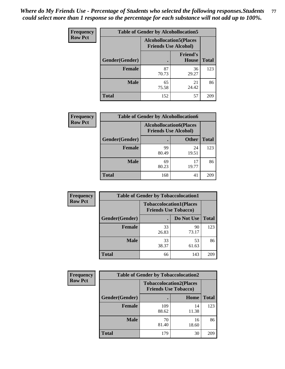| <b>Frequency</b> | <b>Table of Gender by Alcohollocation5</b> |                                 |                                 |              |
|------------------|--------------------------------------------|---------------------------------|---------------------------------|--------------|
| <b>Row Pct</b>   |                                            | <b>Alcohollocation5</b> (Places | <b>Friends Use Alcohol)</b>     |              |
|                  | Gender(Gender)                             |                                 | <b>Friend's</b><br><b>House</b> | <b>Total</b> |
|                  | <b>Female</b>                              | 87<br>70.73                     | 36<br>29.27                     | 123          |
|                  | <b>Male</b>                                | 65<br>75.58                     | 21<br>24.42                     | 86           |
|                  | <b>Total</b>                               | 152                             | 57                              | 209          |

| <b>Frequency</b> | <b>Table of Gender by Alcohollocation6</b> |                                                               |              |              |
|------------------|--------------------------------------------|---------------------------------------------------------------|--------------|--------------|
| <b>Row Pct</b>   |                                            | <b>Alcohollocation6(Places</b><br><b>Friends Use Alcohol)</b> |              |              |
|                  | Gender(Gender)                             |                                                               | <b>Other</b> | <b>Total</b> |
|                  | <b>Female</b>                              | 99<br>80.49                                                   | 24<br>19.51  | 123          |
|                  | <b>Male</b>                                | 69<br>80.23                                                   | 17<br>19.77  | 86           |
|                  | <b>Total</b>                               | 168                                                           | 41           | 209          |

| Frequency      | <b>Table of Gender by Tobaccolocation1</b>                    |             |             |              |  |
|----------------|---------------------------------------------------------------|-------------|-------------|--------------|--|
| <b>Row Pct</b> | <b>Tobaccolocation1(Places</b><br><b>Friends Use Tobacco)</b> |             |             |              |  |
|                | Gender(Gender)                                                |             | Do Not Use  | <b>Total</b> |  |
|                | Female                                                        | 33<br>26.83 | 90<br>73.17 | 123          |  |
|                | <b>Male</b>                                                   | 33<br>38.37 | 53<br>61.63 | 86           |  |
|                | <b>Total</b>                                                  | 66          | 143         | 209          |  |

| <b>Frequency</b> | <b>Table of Gender by Tobaccolocation2</b> |                             |                                |              |
|------------------|--------------------------------------------|-----------------------------|--------------------------------|--------------|
| <b>Row Pct</b>   |                                            | <b>Friends Use Tobacco)</b> | <b>Tobaccolocation2(Places</b> |              |
|                  | Gender(Gender)                             |                             | <b>Home</b>                    | <b>Total</b> |
|                  | Female                                     | 109<br>88.62                | 14<br>11.38                    | 123          |
|                  | <b>Male</b>                                | 70<br>81.40                 | 16<br>18.60                    | 86           |
|                  | <b>Total</b>                               | 179                         | 30                             | 209          |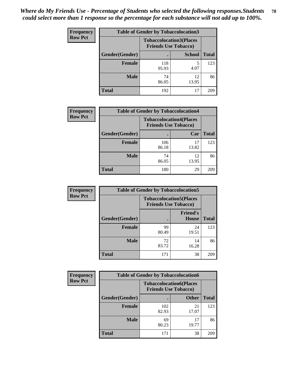| <b>Frequency</b> |                | <b>Table of Gender by Tobaccolocation3</b> |                                |              |
|------------------|----------------|--------------------------------------------|--------------------------------|--------------|
| <b>Row Pct</b>   |                | <b>Friends Use Tobacco)</b>                | <b>Tobaccolocation3(Places</b> |              |
|                  | Gender(Gender) |                                            | <b>School</b>                  | <b>Total</b> |
|                  | <b>Female</b>  | 118<br>95.93                               | 4.07                           | 123          |
|                  | <b>Male</b>    | 74<br>86.05                                | 12<br>13.95                    | 86           |
|                  | <b>Total</b>   | 192                                        | 17                             | 209          |

| <b>Frequency</b> | <b>Table of Gender by Tobaccolocation4</b> |              |                                                               |              |
|------------------|--------------------------------------------|--------------|---------------------------------------------------------------|--------------|
| <b>Row Pct</b>   |                                            |              | <b>Tobaccolocation4(Places</b><br><b>Friends Use Tobacco)</b> |              |
|                  | Gender(Gender)                             |              | Car                                                           | <b>Total</b> |
|                  | <b>Female</b>                              | 106<br>86.18 | 17<br>13.82                                                   | 123          |
|                  | <b>Male</b>                                | 74<br>86.05  | 12<br>13.95                                                   | 86           |
|                  | <b>Total</b>                               | 180          | 29                                                            | 209          |

| <b>Frequency</b> | <b>Table of Gender by Tobaccolocation5</b> |                                                               |                          |              |
|------------------|--------------------------------------------|---------------------------------------------------------------|--------------------------|--------------|
| <b>Row Pct</b>   |                                            | <b>Tobaccolocation5(Places</b><br><b>Friends Use Tobacco)</b> |                          |              |
|                  | Gender(Gender)                             |                                                               | <b>Friend's</b><br>House | <b>Total</b> |
|                  | <b>Female</b>                              | 99<br>80.49                                                   | 24<br>19.51              | 123          |
|                  | <b>Male</b>                                | 72<br>83.72                                                   | 14<br>16.28              | 86           |
|                  | <b>Total</b>                               | 171                                                           | 38                       | 209          |

| <b>Frequency</b> | <b>Table of Gender by Tobaccolocation6</b> |              |                                                               |              |
|------------------|--------------------------------------------|--------------|---------------------------------------------------------------|--------------|
| <b>Row Pct</b>   |                                            |              | <b>Tobaccolocation6(Places</b><br><b>Friends Use Tobacco)</b> |              |
|                  | Gender(Gender)                             |              | <b>Other</b>                                                  | <b>Total</b> |
|                  | Female                                     | 102<br>82.93 | 21<br>17.07                                                   | 123          |
|                  | <b>Male</b>                                | 69<br>80.23  | 17<br>19.77                                                   | 86           |
|                  | <b>Total</b>                               | 171          | 38                                                            | 209          |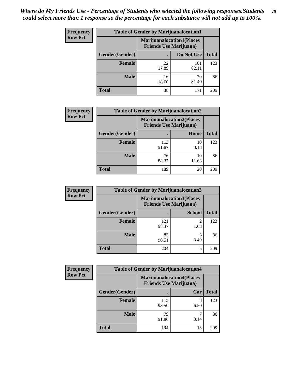| <b>Frequency</b> | <b>Table of Gender by Marijuanalocation1</b> |                                                                    |              |              |
|------------------|----------------------------------------------|--------------------------------------------------------------------|--------------|--------------|
| <b>Row Pct</b>   |                                              | <b>Marijuanalocation1(Places</b><br><b>Friends Use Marijuana</b> ) |              |              |
|                  | Gender(Gender)                               |                                                                    | Do Not Use   | <b>Total</b> |
|                  | <b>Female</b>                                | 22<br>17.89                                                        | 101<br>82.11 | 123          |
|                  | <b>Male</b>                                  | 16<br>18.60                                                        | 70<br>81.40  | 86           |
|                  | Total                                        | 38                                                                 | 171          | 209          |

| <b>Frequency</b> | <b>Table of Gender by Marijuanalocation2</b> |                                |                                  |              |
|------------------|----------------------------------------------|--------------------------------|----------------------------------|--------------|
| <b>Row Pct</b>   |                                              | <b>Friends Use Marijuana</b> ) | <b>Marijuanalocation2(Places</b> |              |
|                  | Gender(Gender)                               |                                | Home                             | <b>Total</b> |
|                  | <b>Female</b>                                | 113<br>91.87                   | 10<br>8.13                       | 123          |
|                  | <b>Male</b>                                  | 76<br>88.37                    | 10<br>11.63                      | 86           |
|                  | <b>Total</b>                                 | 189                            | 20                               | 209          |

| Frequency      | <b>Table of Gender by Marijuanalocation3</b> |              |                                                                    |              |
|----------------|----------------------------------------------|--------------|--------------------------------------------------------------------|--------------|
| <b>Row Pct</b> |                                              |              | <b>Marijuanalocation3(Places</b><br><b>Friends Use Marijuana</b> ) |              |
|                | Gender(Gender)                               |              | <b>School</b>                                                      | <b>Total</b> |
|                | Female                                       | 121<br>98.37 | $\overline{2}$<br>1.63                                             | 123          |
|                | <b>Male</b>                                  | 83<br>96.51  | 3<br>3.49                                                          | 86           |
|                | <b>Total</b>                                 | 204          | 5                                                                  | 209          |

| <b>Frequency</b> | <b>Table of Gender by Marijuanalocation4</b> |                                |                                  |              |
|------------------|----------------------------------------------|--------------------------------|----------------------------------|--------------|
| <b>Row Pct</b>   |                                              | <b>Friends Use Marijuana</b> ) | <b>Marijuanalocation4(Places</b> |              |
|                  | Gender(Gender)                               |                                | Car                              | <b>Total</b> |
|                  | Female                                       | 115<br>93.50                   | 8<br>6.50                        | 123          |
|                  | <b>Male</b>                                  | 79<br>91.86                    | 8.14                             | 86           |
|                  | <b>Total</b>                                 | 194                            | 15                               | 209          |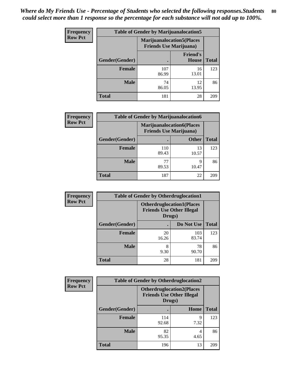| <b>Frequency</b> | <b>Table of Gender by Marijuanalocation5</b> |                                                                     |                                 |              |
|------------------|----------------------------------------------|---------------------------------------------------------------------|---------------------------------|--------------|
| <b>Row Pct</b>   |                                              | <b>Marijuanalocation5</b> (Places<br><b>Friends Use Marijuana</b> ) |                                 |              |
|                  | Gender(Gender)                               |                                                                     | <b>Friend's</b><br><b>House</b> | <b>Total</b> |
|                  | <b>Female</b>                                | 107<br>86.99                                                        | 16<br>13.01                     | 123          |
|                  | <b>Male</b>                                  | 74<br>86.05                                                         | 12<br>13.95                     | 86           |
|                  | <b>Total</b>                                 | 181                                                                 | 28                              | 209          |

| <b>Frequency</b> | <b>Table of Gender by Marijuanalocation6</b> |              |                                                                    |              |
|------------------|----------------------------------------------|--------------|--------------------------------------------------------------------|--------------|
| <b>Row Pct</b>   |                                              |              | <b>Marijuanalocation6(Places</b><br><b>Friends Use Marijuana</b> ) |              |
|                  | <b>Gender</b> (Gender)                       |              | <b>Other</b>                                                       | <b>Total</b> |
|                  | <b>Female</b>                                | 110<br>89.43 | 13<br>10.57                                                        | 123          |
|                  | <b>Male</b>                                  | 77<br>89.53  | 9<br>10.47                                                         | 86           |
|                  | <b>Total</b>                                 | 187          | 22                                                                 | 209          |

| Frequency      | <b>Table of Gender by Otherdruglocation1</b> |                                                                                |              |              |
|----------------|----------------------------------------------|--------------------------------------------------------------------------------|--------------|--------------|
| <b>Row Pct</b> |                                              | <b>Otherdruglocation1(Places</b><br><b>Friends Use Other Illegal</b><br>Drugs) |              |              |
|                | Gender(Gender)                               |                                                                                | Do Not Use   | <b>Total</b> |
|                | <b>Female</b>                                | 20<br>16.26                                                                    | 103<br>83.74 | 123          |
|                | <b>Male</b>                                  | 8<br>9.30                                                                      | 78<br>90.70  | 86           |
|                | <b>Total</b>                                 | 28                                                                             | 181          | 209          |

| <b>Frequency</b> | <b>Table of Gender by Otherdruglocation2</b> |                                            |                                  |              |
|------------------|----------------------------------------------|--------------------------------------------|----------------------------------|--------------|
| <b>Row Pct</b>   |                                              | <b>Friends Use Other Illegal</b><br>Drugs) | <b>Otherdruglocation2(Places</b> |              |
|                  | Gender(Gender)                               |                                            | Home                             | <b>Total</b> |
|                  | Female                                       | 114<br>92.68                               | 9<br>7.32                        | 123          |
|                  | <b>Male</b>                                  | 82<br>95.35                                | 4<br>4.65                        | 86           |
|                  | <b>Total</b>                                 | 196                                        | 13                               | 209          |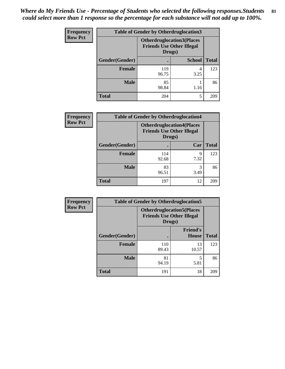| Frequency      | <b>Table of Gender by Otherdruglocation3</b> |              |                                                                      |              |
|----------------|----------------------------------------------|--------------|----------------------------------------------------------------------|--------------|
| <b>Row Pct</b> |                                              | Drugs)       | <b>Otherdruglocation3(Places</b><br><b>Friends Use Other Illegal</b> |              |
|                | Gender(Gender)                               |              | <b>School</b>                                                        | <b>Total</b> |
|                | <b>Female</b>                                | 119<br>96.75 | 3.25                                                                 | 123          |
|                | <b>Male</b>                                  | 85<br>98.84  | 1.16                                                                 | 86           |
|                | <b>Total</b>                                 | 204          | 5                                                                    | 209          |

| Frequency      |                | <b>Table of Gender by Otherdruglocation4</b> |                                                                      |              |
|----------------|----------------|----------------------------------------------|----------------------------------------------------------------------|--------------|
| <b>Row Pct</b> |                | Drugs)                                       | <b>Otherdruglocation4(Places</b><br><b>Friends Use Other Illegal</b> |              |
|                | Gender(Gender) |                                              | Car                                                                  | <b>Total</b> |
|                | Female         | 114<br>92.68                                 | 9<br>7.32                                                            | 123          |
|                | <b>Male</b>    | 83<br>96.51                                  | 3<br>3.49                                                            | 86           |
|                | <b>Total</b>   | 197                                          | 12                                                                   | 209          |

| <b>Frequency</b> | <b>Table of Gender by Otherdruglocation5</b> |              |                                                                      |              |
|------------------|----------------------------------------------|--------------|----------------------------------------------------------------------|--------------|
| <b>Row Pct</b>   |                                              | Drugs)       | <b>Otherdruglocation5(Places</b><br><b>Friends Use Other Illegal</b> |              |
|                  | Gender(Gender)                               |              | <b>Friend's</b><br>House                                             | <b>Total</b> |
|                  | <b>Female</b>                                | 110<br>89.43 | 13<br>10.57                                                          | 123          |
|                  | <b>Male</b>                                  | 81<br>94.19  | 5<br>5.81                                                            | 86           |
|                  | <b>Total</b>                                 | 191          | 18                                                                   | 209          |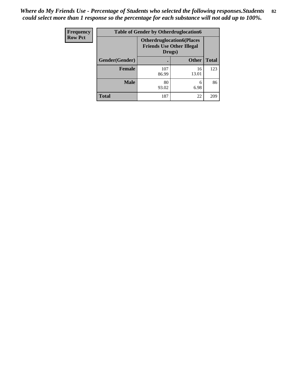| <b>Frequency</b> | <b>Table of Gender by Otherdruglocation6</b> |                                            |                                  |              |
|------------------|----------------------------------------------|--------------------------------------------|----------------------------------|--------------|
| <b>Row Pct</b>   |                                              | <b>Friends Use Other Illegal</b><br>Drugs) | <b>Otherdruglocation6(Places</b> |              |
|                  | Gender(Gender)                               |                                            | <b>Other</b>                     | <b>Total</b> |
|                  | <b>Female</b>                                | 107<br>86.99                               | 16<br>13.01                      | 123          |
|                  | <b>Male</b>                                  | 80<br>93.02                                | 6<br>6.98                        | 86           |
|                  | <b>Total</b>                                 | 187                                        | 22                               | 209          |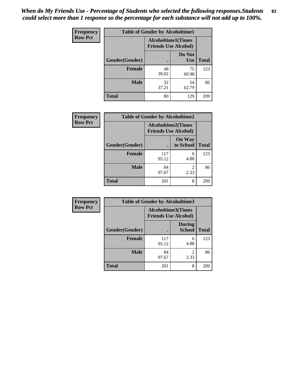| <b>Frequency</b> | <b>Table of Gender by Alcoholtime1</b> |                                                          |                      |              |
|------------------|----------------------------------------|----------------------------------------------------------|----------------------|--------------|
| <b>Row Pct</b>   |                                        | <b>Alcoholtime1(Times</b><br><b>Friends Use Alcohol)</b> |                      |              |
|                  | Gender(Gender)                         | $\bullet$                                                | Do Not<br><b>Use</b> | <b>Total</b> |
|                  | <b>Female</b>                          | 48<br>39.02                                              | 75<br>60.98          | 123          |
|                  | <b>Male</b>                            | 32<br>37.21                                              | 54<br>62.79          | 86           |
|                  | <b>Total</b>                           | 80                                                       | 129                  | 209          |

| Frequency      | <b>Table of Gender by Alcoholtime2</b> |                                                          |                            |              |
|----------------|----------------------------------------|----------------------------------------------------------|----------------------------|--------------|
| <b>Row Pct</b> |                                        | <b>Alcoholtime2(Times</b><br><b>Friends Use Alcohol)</b> |                            |              |
|                | Gender(Gender)                         |                                                          | <b>On Way</b><br>to School | <b>Total</b> |
|                | <b>Female</b>                          | 117<br>95.12                                             | 6<br>4.88                  | 123          |
|                | <b>Male</b>                            | 84<br>97.67                                              | 2<br>2.33                  | 86           |
|                | <b>Total</b>                           | 201                                                      | 8                          | 209          |

| Frequency      | <b>Table of Gender by Alcoholtime3</b>                   |              |                                  |              |
|----------------|----------------------------------------------------------|--------------|----------------------------------|--------------|
| <b>Row Pct</b> | <b>Alcoholtime3(Times</b><br><b>Friends Use Alcohol)</b> |              |                                  |              |
|                | Gender(Gender)                                           |              | <b>During</b><br><b>School</b>   | <b>Total</b> |
|                | <b>Female</b>                                            | 117<br>95.12 | 6<br>4.88                        | 123          |
|                | <b>Male</b>                                              | 84<br>97.67  | $\overline{\mathcal{L}}$<br>2.33 | 86           |
|                | <b>Total</b>                                             | 201          | 8                                | 209          |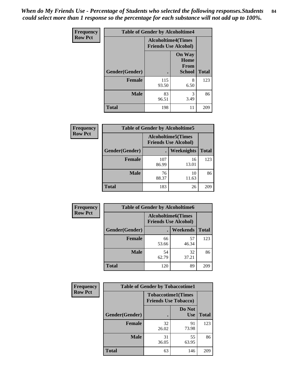*When do My Friends Use - Percentage of Students who selected the following responses.Students could select more than 1 response so the percentage for each substance will not add up to 100%.* **84**

| Frequency      | <b>Table of Gender by Alcoholtime4</b> |                                                          |                                                |              |
|----------------|----------------------------------------|----------------------------------------------------------|------------------------------------------------|--------------|
| <b>Row Pct</b> |                                        | <b>Alcoholtime4(Times</b><br><b>Friends Use Alcohol)</b> |                                                |              |
|                | Gender(Gender)                         | $\bullet$                                                | <b>On Way</b><br>Home<br>From<br><b>School</b> | <b>Total</b> |
|                | <b>Female</b>                          | 115<br>93.50                                             | 8<br>6.50                                      | 123          |
|                | <b>Male</b>                            | 83<br>96.51                                              | 3<br>3.49                                      | 86           |
|                | <b>Total</b>                           | 198                                                      | 11                                             | 209          |

| <b>Frequency</b> | <b>Table of Gender by Alcoholtime5</b>                    |              |                   |              |
|------------------|-----------------------------------------------------------|--------------|-------------------|--------------|
| <b>Row Pct</b>   | <b>Alcoholtime5</b> (Times<br><b>Friends Use Alcohol)</b> |              |                   |              |
|                  | Gender(Gender)                                            |              | <b>Weeknights</b> | <b>Total</b> |
|                  | <b>Female</b>                                             | 107<br>86.99 | 16<br>13.01       | 123          |
|                  | <b>Male</b>                                               | 76<br>88.37  | 10<br>11.63       | 86           |
|                  | <b>Total</b>                                              | 183          | 26                | 209          |

| <b>Frequency</b> |                | <b>Table of Gender by Alcoholtime6</b> |                                                          |              |
|------------------|----------------|----------------------------------------|----------------------------------------------------------|--------------|
| <b>Row Pct</b>   |                |                                        | <b>Alcoholtime6(Times</b><br><b>Friends Use Alcohol)</b> |              |
|                  | Gender(Gender) |                                        | Weekends                                                 | <b>Total</b> |
|                  | Female         | 66<br>53.66                            | 57<br>46.34                                              | 123          |
|                  | <b>Male</b>    | 54<br>62.79                            | 32<br>37.21                                              | 86           |
|                  | <b>Total</b>   | 120                                    | 89                                                       | 209          |

| Frequency      | <b>Table of Gender by Tobaccotime1</b> |                                                          |                      |              |
|----------------|----------------------------------------|----------------------------------------------------------|----------------------|--------------|
| <b>Row Pct</b> |                                        | <b>Tobaccotime1(Times</b><br><b>Friends Use Tobacco)</b> |                      |              |
|                | Gender(Gender)                         |                                                          | Do Not<br><b>Use</b> | <b>Total</b> |
|                | <b>Female</b>                          | 32<br>26.02                                              | 91<br>73.98          | 123          |
|                | <b>Male</b>                            | 31<br>36.05                                              | 55<br>63.95          | 86           |
|                | <b>Total</b>                           | 63                                                       | 146                  | 209          |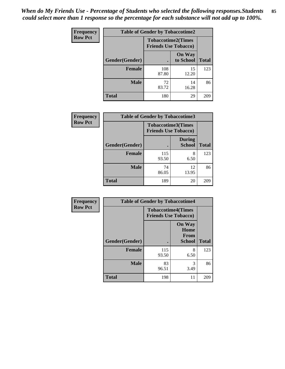| <b>Frequency</b> | <b>Table of Gender by Tobaccotime2</b> |                                                          |                            |              |
|------------------|----------------------------------------|----------------------------------------------------------|----------------------------|--------------|
| <b>Row Pct</b>   |                                        | <b>Tobaccotime2(Times</b><br><b>Friends Use Tobacco)</b> |                            |              |
|                  | Gender(Gender)                         | $\bullet$                                                | <b>On Way</b><br>to School | <b>Total</b> |
|                  | Female                                 | 108<br>87.80                                             | 15<br>12.20                | 123          |
|                  | <b>Male</b>                            | 72<br>83.72                                              | 14<br>16.28                | 86           |
|                  | <b>Total</b>                           | 180                                                      | 29                         | 209          |

| Frequency      | <b>Table of Gender by Tobaccotime3</b> |                                                          |                                |              |
|----------------|----------------------------------------|----------------------------------------------------------|--------------------------------|--------------|
| <b>Row Pct</b> |                                        | <b>Tobaccotime3(Times</b><br><b>Friends Use Tobacco)</b> |                                |              |
|                | Gender(Gender)                         |                                                          | <b>During</b><br><b>School</b> | <b>Total</b> |
|                | <b>Female</b>                          | 115<br>93.50                                             | 8<br>6.50                      | 123          |
|                | <b>Male</b>                            | 74<br>86.05                                              | 12<br>13.95                    | 86           |
|                | <b>Total</b>                           | 189                                                      | 20                             | 209          |

| <b>Frequency</b> | <b>Table of Gender by Tobaccotime4</b> |                                                          |                                                |              |
|------------------|----------------------------------------|----------------------------------------------------------|------------------------------------------------|--------------|
| <b>Row Pct</b>   |                                        | <b>Tobaccotime4(Times</b><br><b>Friends Use Tobacco)</b> |                                                |              |
|                  | Gender(Gender)                         |                                                          | <b>On Way</b><br>Home<br>From<br><b>School</b> | <b>Total</b> |
|                  | <b>Female</b>                          | 115<br>93.50                                             | 8<br>6.50                                      | 123          |
|                  | <b>Male</b>                            | 83<br>96.51                                              | 3<br>3.49                                      | 86           |
|                  | <b>Total</b>                           | 198                                                      | 11                                             | 209          |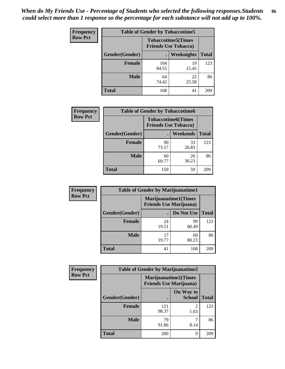| <b>Frequency</b> | <b>Table of Gender by Tobaccotime5</b> |                                                           |                   |              |  |
|------------------|----------------------------------------|-----------------------------------------------------------|-------------------|--------------|--|
| <b>Row Pct</b>   |                                        | <b>Tobaccotime5</b> (Times<br><b>Friends Use Tobacco)</b> |                   |              |  |
|                  | Gender(Gender)                         |                                                           | <b>Weeknights</b> | <b>Total</b> |  |
|                  | <b>Female</b>                          | 104<br>84.55                                              | 19<br>15.45       | 123          |  |
|                  | <b>Male</b>                            | 64<br>74.42                                               | 22<br>25.58       | 86           |  |
|                  | <b>Total</b>                           | 168                                                       | 41                | 209          |  |

| <b>Frequency</b> | <b>Table of Gender by Tobaccotime6</b> |                                                          |                 |              |
|------------------|----------------------------------------|----------------------------------------------------------|-----------------|--------------|
| <b>Row Pct</b>   |                                        | <b>Tobaccotime6(Times</b><br><b>Friends Use Tobacco)</b> |                 |              |
|                  | Gender(Gender)                         |                                                          | <b>Weekends</b> | <b>Total</b> |
|                  | Female                                 | 90<br>73.17                                              | 33<br>26.83     | 123          |
|                  | <b>Male</b>                            | 60<br>69.77                                              | 26<br>30.23     | 86           |
|                  | <b>Total</b>                           | 150                                                      | 59              | 209          |

| <b>Frequency</b> | <b>Table of Gender by Marijuanatime1</b> |                                                               |             |              |
|------------------|------------------------------------------|---------------------------------------------------------------|-------------|--------------|
| <b>Row Pct</b>   |                                          | <b>Marijuanatime1(Times</b><br><b>Friends Use Marijuana</b> ) |             |              |
|                  | Gender(Gender)                           |                                                               | Do Not Use  | <b>Total</b> |
|                  | <b>Female</b>                            | 24<br>19.51                                                   | 99<br>80.49 | 123          |
|                  | <b>Male</b>                              | 17<br>19.77                                                   | 69<br>80.23 | 86           |
|                  | <b>Total</b>                             | 41                                                            | 168         | 209          |

| <b>Frequency</b> | <b>Table of Gender by Marijuanatime2</b> |                                                               |                                     |              |
|------------------|------------------------------------------|---------------------------------------------------------------|-------------------------------------|--------------|
| <b>Row Pct</b>   |                                          | <b>Marijuanatime2(Times</b><br><b>Friends Use Marijuana</b> ) |                                     |              |
|                  | Gender(Gender)                           |                                                               | On Way to<br><b>School</b>          | <b>Total</b> |
|                  | <b>Female</b>                            | 121<br>98.37                                                  | $\mathcal{D}_{\mathcal{L}}$<br>1.63 | 123          |
|                  | <b>Male</b>                              | 79<br>91.86                                                   | 8.14                                | 86           |
|                  | <b>Total</b>                             | 200                                                           | Q                                   | 209          |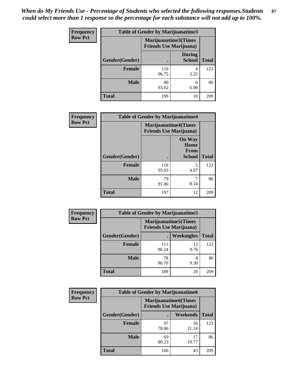*When do My Friends Use - Percentage of Students who selected the following responses.Students could select more than 1 response so the percentage for each substance will not add up to 100%.* **87**

| <b>Frequency</b> | Table of Gender by Marijuanatime3 |                                                                |                                |              |
|------------------|-----------------------------------|----------------------------------------------------------------|--------------------------------|--------------|
| <b>Row Pct</b>   |                                   | <b>Marijuanatime3</b> (Times<br><b>Friends Use Marijuana</b> ) |                                |              |
|                  | Gender(Gender)                    |                                                                | <b>During</b><br><b>School</b> | <b>Total</b> |
|                  | <b>Female</b>                     | 119<br>96.75                                                   | 4<br>3.25                      | 123          |
|                  | <b>Male</b>                       | 80<br>93.02                                                    | 6<br>6.98                      | 86           |
|                  | <b>Total</b>                      | 199                                                            | 10                             | 209          |

| Frequency      | <b>Table of Gender by Marijuanatime4</b> |                                |                                                       |              |
|----------------|------------------------------------------|--------------------------------|-------------------------------------------------------|--------------|
| <b>Row Pct</b> |                                          | <b>Friends Use Marijuana</b> ) | <b>Marijuanatime4</b> (Times                          |              |
|                | <b>Gender</b> (Gender)                   |                                | <b>On Way</b><br>Home<br><b>From</b><br><b>School</b> | <b>Total</b> |
|                |                                          |                                |                                                       |              |
|                | <b>Female</b>                            | 118<br>95.93                   | 5<br>4.07                                             | 123          |
|                | <b>Male</b>                              | 79<br>91.86                    | 7<br>8.14                                             | 86           |
|                | <b>Total</b>                             | 197                            | 12                                                    | 209          |

| Frequency      |                | <b>Table of Gender by Marijuanatime5</b> |                                                                |              |
|----------------|----------------|------------------------------------------|----------------------------------------------------------------|--------------|
| <b>Row Pct</b> |                |                                          | <b>Marijuanatime5</b> (Times<br><b>Friends Use Marijuana</b> ) |              |
|                | Gender(Gender) |                                          | Weeknights                                                     | <b>Total</b> |
|                | <b>Female</b>  | 111<br>90.24                             | 12<br>9.76                                                     | 123          |
|                | <b>Male</b>    | 78<br>90.70                              | 8<br>9.30                                                      | 86           |
|                | <b>Total</b>   | 189                                      | 20                                                             | 209          |

| Frequency      | <b>Table of Gender by Marijuanatime6</b> |                                                               |                 |              |
|----------------|------------------------------------------|---------------------------------------------------------------|-----------------|--------------|
| <b>Row Pct</b> |                                          | <b>Marijuanatime6(Times</b><br><b>Friends Use Marijuana</b> ) |                 |              |
|                | Gender(Gender)                           |                                                               | <b>Weekends</b> | <b>Total</b> |
|                | <b>Female</b>                            | 97<br>78.86                                                   | 26<br>21.14     | 123          |
|                | <b>Male</b>                              | 69<br>80.23                                                   | 17<br>19.77     | 86           |
|                | <b>Total</b>                             | 166                                                           | 43              | 209          |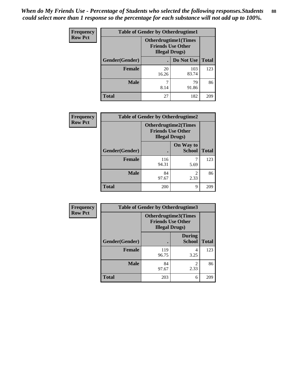| <b>Frequency</b> | <b>Table of Gender by Otherdrugtime1</b> |                                                                                    |              |              |
|------------------|------------------------------------------|------------------------------------------------------------------------------------|--------------|--------------|
| <b>Row Pct</b>   |                                          | <b>Otherdrugtime1</b> (Times<br><b>Friends Use Other</b><br><b>Illegal Drugs</b> ) |              |              |
|                  | Gender(Gender)                           |                                                                                    | Do Not Use   | <b>Total</b> |
|                  | <b>Female</b>                            | 20<br>16.26                                                                        | 103<br>83.74 | 123          |
|                  | <b>Male</b>                              | 8.14                                                                               | 79<br>91.86  | 86           |
|                  | <b>Total</b>                             | 27                                                                                 | 182          | 209          |

| Frequency      | <b>Table of Gender by Otherdrugtime2</b> |                                                                                   |                            |              |
|----------------|------------------------------------------|-----------------------------------------------------------------------------------|----------------------------|--------------|
| <b>Row Pct</b> |                                          | <b>Otherdrugtime2(Times</b><br><b>Friends Use Other</b><br><b>Illegal Drugs</b> ) |                            |              |
|                | Gender(Gender)                           |                                                                                   | On Way to<br><b>School</b> | <b>Total</b> |
|                | <b>Female</b>                            | 116<br>94.31                                                                      | 5.69                       | 123          |
|                | <b>Male</b>                              | 84<br>97.67                                                                       | 2<br>2.33                  | 86           |
|                | <b>Total</b>                             | 200                                                                               | 9                          | 209          |

| Frequency      |                | <b>Table of Gender by Otherdrugtime3</b> |                                                  |              |
|----------------|----------------|------------------------------------------|--------------------------------------------------|--------------|
| <b>Row Pct</b> |                | <b>Illegal Drugs</b> )                   | Otherdrugtime3(Times<br><b>Friends Use Other</b> |              |
|                | Gender(Gender) |                                          | <b>During</b><br><b>School</b>                   | <b>Total</b> |
|                | <b>Female</b>  | 119<br>96.75                             | 4<br>3.25                                        | 123          |
|                | <b>Male</b>    | 84<br>97.67                              | $\overline{c}$<br>2.33                           | 86           |
|                | <b>Total</b>   | 203                                      | 6                                                | 209          |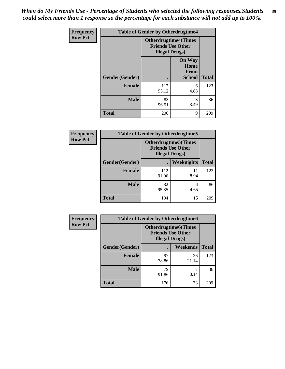*When do My Friends Use - Percentage of Students who selected the following responses.Students could select more than 1 response so the percentage for each substance will not add up to 100%.* **89**

| Frequency      | <b>Table of Gender by Otherdrugtime4</b> |                        |                                                         |              |
|----------------|------------------------------------------|------------------------|---------------------------------------------------------|--------------|
| <b>Row Pct</b> |                                          | <b>Illegal Drugs</b> ) | <b>Otherdrugtime4(Times</b><br><b>Friends Use Other</b> |              |
|                | Gender(Gender)                           |                        | <b>On Way</b><br>Home<br><b>From</b><br><b>School</b>   | <b>Total</b> |
|                | <b>Female</b>                            | 117<br>95.12           | 6<br>4.88                                               | 123          |
|                | <b>Male</b>                              | 83<br>96.51            | 3<br>3.49                                               | 86           |
|                | <b>Total</b>                             | 200                    | 9                                                       | 209          |

| <b>Frequency</b> |                | <b>Table of Gender by Otherdrugtime5</b> |                                                                                   |              |
|------------------|----------------|------------------------------------------|-----------------------------------------------------------------------------------|--------------|
| <b>Row Pct</b>   |                |                                          | <b>Otherdrugtime5(Times</b><br><b>Friends Use Other</b><br><b>Illegal Drugs</b> ) |              |
|                  | Gender(Gender) |                                          | Weeknights                                                                        | <b>Total</b> |
|                  | <b>Female</b>  | 112<br>91.06                             | 11<br>8.94                                                                        | 123          |
|                  | <b>Male</b>    | 82<br>95.35                              | 4<br>4.65                                                                         | 86           |
|                  | <b>Total</b>   | 194                                      | 15                                                                                | 209          |

| Frequency      | <b>Table of Gender by Otherdrugtime6</b> |                                                                                   |             |              |
|----------------|------------------------------------------|-----------------------------------------------------------------------------------|-------------|--------------|
| <b>Row Pct</b> |                                          | <b>Otherdrugtime6(Times</b><br><b>Friends Use Other</b><br><b>Illegal Drugs</b> ) |             |              |
|                | Gender(Gender)                           |                                                                                   | Weekends    | <b>Total</b> |
|                | <b>Female</b>                            | 97<br>78.86                                                                       | 26<br>21.14 | 123          |
|                | <b>Male</b>                              | 79<br>91.86                                                                       | 7<br>8.14   | 86           |
|                | <b>Total</b>                             | 176                                                                               | 33          | 209          |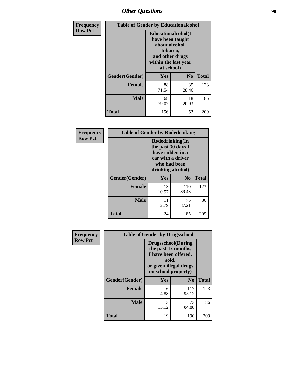# *Other Questions* **90**

| <b>Frequency</b> | <b>Table of Gender by Educationalcohol</b> |                                                                                                                                       |                |              |
|------------------|--------------------------------------------|---------------------------------------------------------------------------------------------------------------------------------------|----------------|--------------|
| <b>Row Pct</b>   |                                            | <b>Educationalcohol</b> (I<br>have been taught<br>about alcohol,<br>tobacco,<br>and other drugs<br>within the last year<br>at school) |                |              |
|                  | Gender(Gender)                             | <b>Yes</b>                                                                                                                            | N <sub>0</sub> | <b>Total</b> |
|                  | <b>Female</b>                              | 88<br>71.54                                                                                                                           | 35<br>28.46    | 123          |
|                  | <b>Male</b>                                | 68<br>79.07                                                                                                                           | 18<br>20.93    | 86           |
|                  | <b>Total</b>                               | 156                                                                                                                                   | 53             | 209          |

| Frequency<br><b>Row Pct</b> | <b>Table of Gender by Rodedrinking</b> |                                                                                                                     |              |              |
|-----------------------------|----------------------------------------|---------------------------------------------------------------------------------------------------------------------|--------------|--------------|
|                             |                                        | Rodedrinking(In<br>the past 30 days I<br>have ridden in a<br>car with a driver<br>who had been<br>drinking alcohol) |              |              |
|                             | Gender(Gender)                         | Yes                                                                                                                 | $\bf N_0$    | <b>Total</b> |
|                             | <b>Female</b>                          | 13<br>10.57                                                                                                         | 110<br>89.43 | 123          |
|                             | <b>Male</b>                            | 11<br>12.79                                                                                                         | 75<br>87.21  | 86           |
|                             | <b>Total</b>                           | 24                                                                                                                  | 185          | 209          |

| Frequency      | <b>Table of Gender by Drugsschool</b> |                                                                                                                                     |                |              |  |
|----------------|---------------------------------------|-------------------------------------------------------------------------------------------------------------------------------------|----------------|--------------|--|
| <b>Row Pct</b> |                                       | <b>Drugsschool</b> (During<br>the past 12 months,<br>I have been offered,<br>sold,<br>or given illegal drugs<br>on school property) |                |              |  |
|                | Gender(Gender)                        | Yes                                                                                                                                 | N <sub>0</sub> | <b>Total</b> |  |
|                | <b>Female</b>                         | 6<br>4.88                                                                                                                           | 117<br>95.12   | 123          |  |
|                | <b>Male</b>                           | 13<br>15.12                                                                                                                         | 73<br>84.88    | 86           |  |
|                | <b>Total</b>                          | 19                                                                                                                                  | 190            | 209          |  |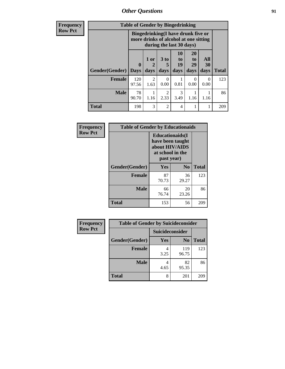*Other Questions* **91**

**Frequency Row Pct**

| <b>Table of Gender by Bingedrinking</b> |                                                                             |                        |                        |                        |                        |                   |              |
|-----------------------------------------|-----------------------------------------------------------------------------|------------------------|------------------------|------------------------|------------------------|-------------------|--------------|
|                                         | Bingedrinking(I have drunk five or<br>more drinks of alcohol at one sitting |                        |                        |                        |                        |                   |              |
| Gender(Gender)                          | 0<br><b>Days</b>                                                            | 1 or<br>days           | 3 to<br>days           | 10<br>to<br>19<br>days | 20<br>to<br>29<br>days | All<br>30<br>days | <b>Total</b> |
| <b>Female</b>                           | 120<br>97.56                                                                | $\overline{c}$<br>1.63 | $\Omega$<br>0.00       | 0.81                   | 0<br>0.00              | 0<br>0.00         | 123          |
| <b>Male</b>                             | 78<br>90.70                                                                 | 1.16                   | $\overline{2}$<br>2.33 | $\mathcal{F}$<br>3.49  | 1.16                   | 1.16              | 86           |
|                                         |                                                                             |                        |                        |                        |                        |                   |              |

| Frequency      | <b>Table of Gender by Educationaids</b> |                                                                                                 |             |              |  |
|----------------|-----------------------------------------|-------------------------------------------------------------------------------------------------|-------------|--------------|--|
| <b>Row Pct</b> |                                         | <b>Educationaids</b> (I<br>have been taught<br>about HIV/AIDS<br>at school in the<br>past year) |             |              |  |
|                | Gender(Gender)                          | Yes                                                                                             | $\bf N_0$   | <b>Total</b> |  |
|                | <b>Female</b>                           | 87<br>70.73                                                                                     | 36<br>29.27 | 123          |  |
|                | <b>Male</b>                             | 66<br>76.74                                                                                     | 20<br>23.26 | 86           |  |
|                | <b>Total</b>                            | 153                                                                                             | 56          | 209          |  |

| <b>Frequency</b> | <b>Table of Gender by Suicideconsider</b> |                        |                |       |  |
|------------------|-------------------------------------------|------------------------|----------------|-------|--|
| <b>Row Pct</b>   |                                           | <b>Suicideconsider</b> |                |       |  |
|                  | Gender(Gender)                            | Yes                    | N <sub>0</sub> | Total |  |
|                  | <b>Female</b>                             | 3.25                   | 119<br>96.75   | 123   |  |
|                  | <b>Male</b>                               | 4.65                   | 82<br>95.35    | 86    |  |
|                  | <b>Total</b>                              | 8                      | 201            | 209   |  |